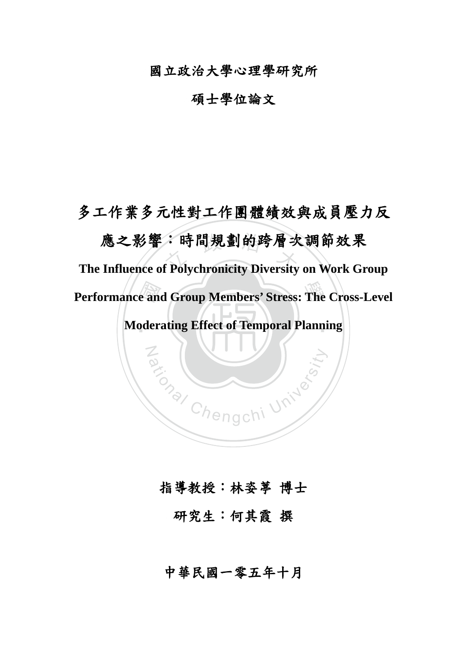國立政治大學心理學研究所

碩士學位論文

**Moderating Effect of Temporal Planning Performance and Group Members' Stress: The Cross-Level<br>Moderating Effect of Temporal Planning** 應之影響:時間規劃的跨層次調節效果<br>Influence of Polvchronicity Diversity on Work Gr 多工作業多元性對工作團體績效與成員壓力反 **The Influence of Polychronicity Diversity on Work Group** 

# 指導教授:林姿葶 博士

Za (William University

研究生:何其霞 撰

中華民國一零五年十月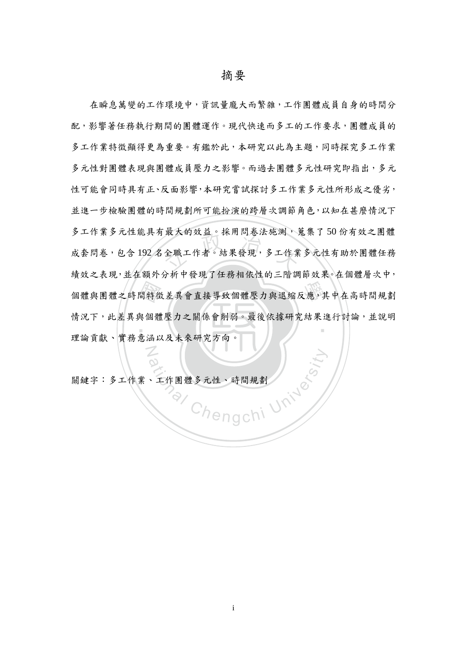間特徵<br>與個體<br>意涵ら 取入的效益。林用问卷法施测, 個體與團體之時間特徵差異會直接導致個體壓力與退縮反應,其中在高時間規劃 ‧ 在瞬息萬變的工作環境中,資訊量龐大而繁雜,工作團體成員自身的時間分 配,影響著任務執行期間的團體運作。現代快速而多工的工作要求,團體成員的 多工作業特徵顯得更為重要。有鑑於此,本研究以此為主題,同時探究多工作業 多元性對團體表現與體成員壓力之影響。而過去團體多元性研究即指出,多元 性可能會同時具有正、反面影響,本研究嘗試探討多工作業多元性所形成之優劣, 並進一步檢驗團體的時間規劃所可能扮演的跨層次調節角色,以知在甚麼情況下 多工作業多元性能具有最大的效益。採用問卷法施測,蒐集了50份有效之團體 成套問卷,包含 192 名全職工作者。結果發現,多工作業多元性有助於團體任務 績效之表現,並在額外分析中發現了任務相依性的三階調節效果。在個體層次中, 情況下,此差異與個體壓力之關係會削弱。最後依據研究結果進行討論,並說明 理論貢獻、實務意涵以及未來研究方向。

Rational Chengchi University 關鍵字:多工作業、工作團體多元性、時間規劃

N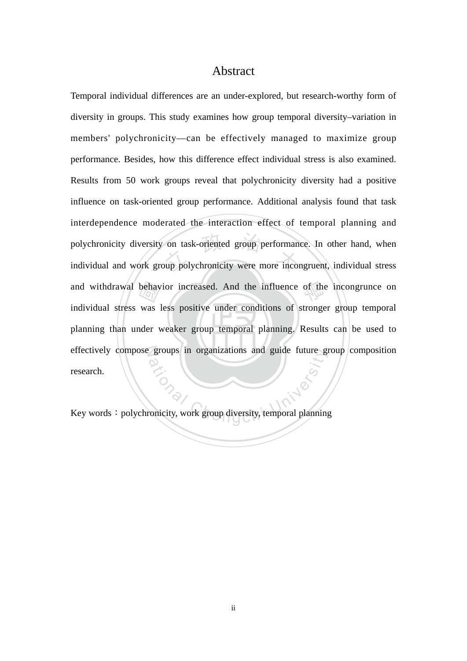### Abstract

planning than under weaker group temporal planning. Results can be used to behay<br>was<br>der v on task-oriented group performancy<br>oup polychronicity were more incor and withdrawal behavior increased. And the influence of the incongrunce on effectively compose groups in organizations and guide future group composition groups in organizations and guide future gives Temporal individual differences are an under-explored, but research-worthy form of diversity in groups. This study examines how group temporal diversity–variation in members' polychronicity—can be effectively managed to maximize group performance. Besides, how this difference effect individual stress is also examined. Results from 50 work groups reveal that polychronicity diversity had a positive influence on task-oriented group performance. Additional analysis found that task interdependence moderated the interaction effect of temporal planning and polychronicity diversity on task-oriented group performance. In other hand, when individual and work group polychronicity were more incongruent, individual stress individual stress was less positive under conditions of stronger group temporal research.

Key words: polychronicity, work group diversity, temporal planning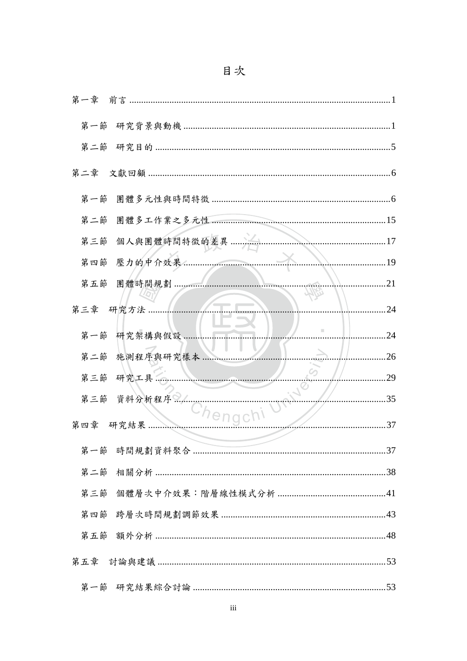| 第一節 |             |             |
|-----|-------------|-------------|
| 第二節 |             |             |
|     |             |             |
| 第四節 | . 19        |             |
| 第五節 | 團體時間規劃      | $\ldots$ 21 |
|     | 第三章 研究方法    | . 24        |
|     | 第一節 研究架構與假設 | 24          |
| 第二節 | 施測程序與研究樣本   | .26         |
|     | 第三節 研究工具    | 29          |
|     | 第三節 資料分析程序  | 35          |
|     | 第四章 研究結果    | 37          |
|     |             |             |
|     |             |             |
|     |             |             |
|     |             |             |
| 第五節 |             |             |
|     |             |             |
|     |             |             |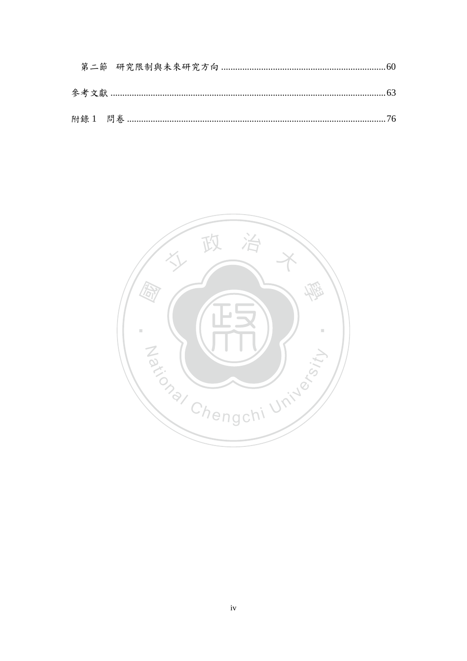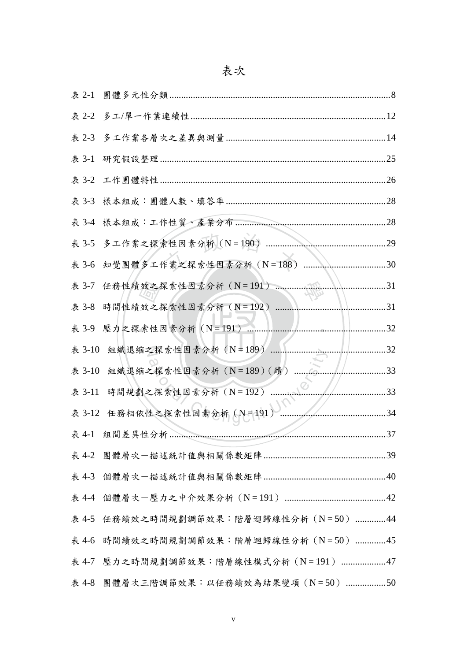|        | 表 3-1 研究假設整理                                  | 25  |
|--------|-----------------------------------------------|-----|
|        |                                               | 26  |
|        |                                               | .28 |
|        |                                               | 28  |
|        |                                               | 29  |
|        | 表 3-6 知覺團體多工作業之探索性因素分析 (N=188)                | .30 |
| 表 3-7  | 任務性績效之探索性因素分析 (N=191)<br>$\mathcal{M}$        | .31 |
| 表 3-8  | 時間性績效之探索性因素分析 (N=192)                         | 31  |
|        | 表 3-9 壓力之探索性因素分析 (N=191)                      | 32  |
| 表 3-10 | 組織退縮之探索性因素分析 (N=189)                          | .32 |
| 表 3-10 | 組織退縮之探索性因素分析 (N=189) (續)                      | 33  |
| 表 3-11 | $\mathcal{L}^{\odot}$<br>時間規劃之探索性因素分析 (N=192) | 33  |
|        | 表 3-12 任務相依性之探索性因素分析 (N=191)                  | 34  |
|        |                                               | 37  |
|        |                                               |     |
|        |                                               |     |
|        |                                               |     |
|        | 表 4-5 任務績效之時間規劃調節效果:階層迴歸線性分析 (N=50) 44        |     |
|        | 表 4-6 時間績效之時間規劃調節效果:階層迴歸線性分析 (N=50) 45        |     |
|        | 表 4-7 壓力之時間規劃調節效果:階層線性模式分析 (N=191) 47         |     |
|        | 表 4-8 團體層次三階調節效果: 以任務績效為結果變項 (N=50) 50        |     |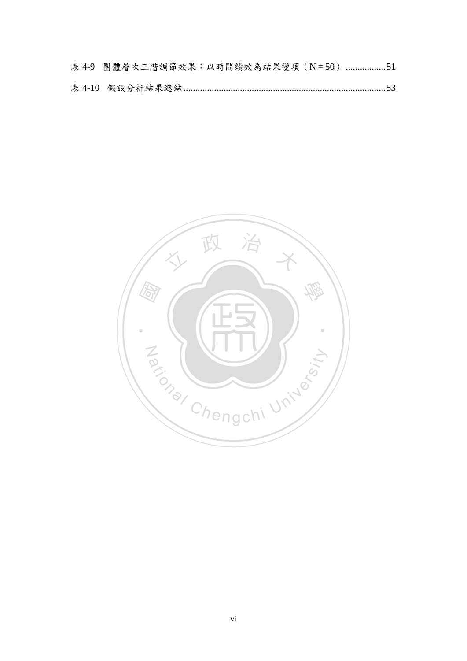| 表 4-9 團體層次三階調節效果:以時間績效為結果變項 (N=50) 51 |  |  |  |
|---------------------------------------|--|--|--|
|                                       |  |  |  |

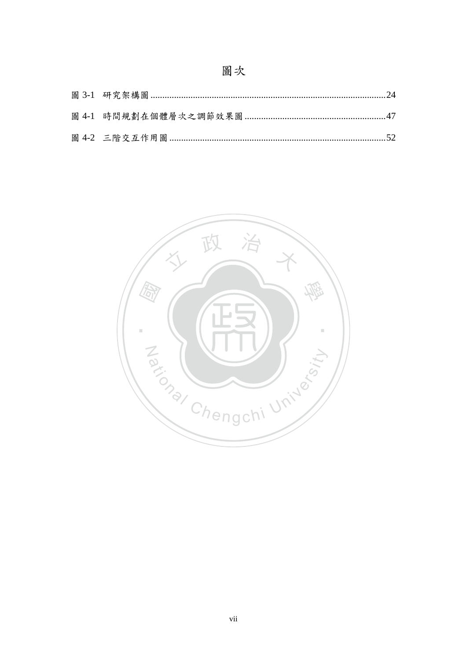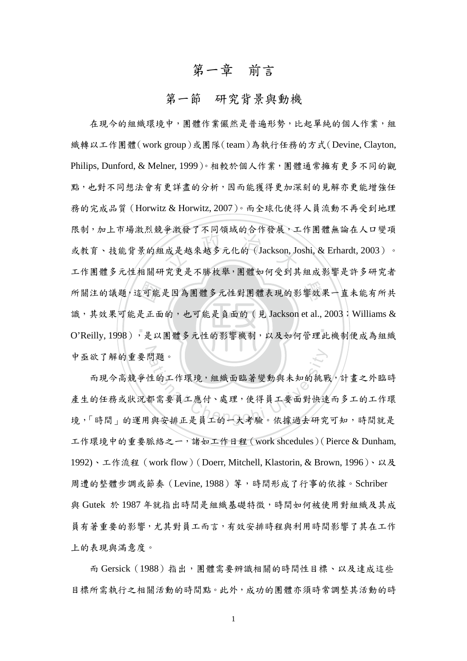# 第一章 前言

# 第一節 研究背景與動機

<span id="page-8-1"></span><span id="page-8-0"></span>『可能<br>是正面<br>,是以 ·成是越來越多元化的(Jackson, Jc<br><br>"空車旱不昧坎舉, 圍贈如何受到甘 所關注的議題,這可能是因為團體多元性對團體表現的影響效果一直未能有所共 ‧ 中亟欲了解的重要問題。 在現今的組織環境中,團體作業儼然是普遍形勢,比起單純的個人作業,組 織轉以工作團體(work group)或團隊(team)為執行任務的方式(Devine, Clayton, Philips, Dunford, & Melner, 1999)。相較於個人作業,團體通常擁有更多不同的觀 點,也對不同想法會有更詳盡的分析,因而能獲得更加深刻的見解亦更能增強任 務的完成品質(Horwitz & Horwitz, 2007)。而全球化使得人員流動不再受到地理 限制,加上市場激烈競爭激發了不同領域的合作發展,工作團體無論在人口變項 或教育、技能背景的組成是越來越多元化的(Jackson, Joshi, & Erhardt, 2003)。 工作團體多元性相關研究更是不勝枚舉,團體如何受到其組成影響是許多研究者 識,其效果可能是正面的,也可能是負面的 (見 Jackson et al., 2003; Williams & O'Reilly, 1998),是以團體多元性的影響機制,以及如何管理此機制便成為組織

明題。<br>性的工作環境,組織面臨著變動與未知的挑單<br>都需要員工應付、處理,使得員工要面對快速<br><br>與安排正是員工的一大考驗。依據過去研究 而現今高競爭性的工作環境,組織面臨著變動與未知的挑戰,計畫之外臨時 產生的任務或狀況都需要員工應付、處理,使得員工要面對快速而多工的工作環 境,「時間」的運用與安排正是員工的一大考驗。依據過去研究可知,時間就是 工作環境中的重要脈絡之一,諸如工作日程(work shcedules)(Pierce & Dunham, 1992)、工作流程(work flow)(Doerr, Mitchell, Klastorin, & Brown, 1996)、以及 周遭的整體步調或節奏 (Levine, 1988) 等,時間形成了行事的依據。Schriber 與 Gutek 於 1987 年就指出時間是組織基礎特徵,時間如何被使用對組織及其成 員有著重要的影響,尤其對員工而言,有效安排時程與利用時間影響了其在工作 上的表現與滿意度。

而 Gersick (1988) 指出,團體需要辨識相關的時間性目標、以及達成這些 目標所需執行之相關活動的時間點。此外,成功的團體亦須時常調整其活動的時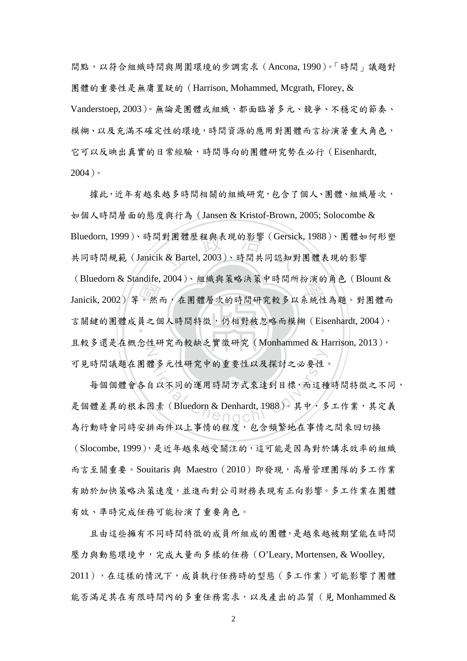間點,以符合組織時間與周圍環境的步調需求(Ancona, 1990)。「時間」議題對 團體的重要性是無庸置疑的(Harrison, Mohammed, Mcgrath, Florey, & Vanderstoep, 2003)。無論是團體或組織,都面臨著多元、競爭、不穩定的節奏、 模糊、以及充滿不確定性的環境,時間資源的應用對團體而言扮演著重大角色, 它可以反映出真實的日常經驗,時間導向的團體研究勢在必行(Eisenhardt, 2004)。

……<br>。然<br>員<br>くいで Bluedorn, 1999)、時間對團體歷程與表現的影響(Gersick, 1988)、團體如何形塑<br>共同時間規範(Janicik & Bartel, 2003)、時間共同認知對團體表現的影響  $\rm Inacdom\, \&\, 2002) \, \tilde{*}\, \circ\, \&\, \tilde{m}\, ,\, \tilde{a} \, \mathbb{R} \, \mathbb{R} \times \cdots \times \tilde{r} \, \mathbb{R} \, \mathbb{N} \, \mathbb{R} \times \mathbb{N} \, \mathbb{R} \times \mathbb{N} \, \mathbb{R} \times \mathbb{R} \times \mathbb{N} \, \mathbb{R} \times \mathbb{R} \times \mathbb{R} \times \mathbb{N} \, \mathbb{R} \times \mathbb{R} \times \mathbb{R} \times \mathbb{N} \, \mathbb$ 言關鍵的團體成員之個人時間特徵,仍相對被忽略而模糊 (Eisenhardt, 2004), N 據此,近年有越來越多時間相關的組織研究,包含了個人、團體、組織層次, 如個人時間層面的態度與行為(Jansen & Kristof-Brown, 2005; Solocombe & 共同時間規範(Janicik & Bartel, 2003)、時間共同認知對團體表現的影響 (Bluedorn & Standife, 2004)、組織與策略決策中時間所扮演的角色(Blount & 且較多還是在概念性研究而較缺乏實徵研究(Monhammed & Harrison, 2013), 可見時間議題在團體多元性研究中的重要性以及探討之必要性。

體多元性研究中的重要性以及探討之必要性。 每個個體會各自以不同的運用時間方式來達到目標,而這種時間特徵之不同, 是個體差異的根本因素 (Bluedorn & Denhardt, 1988)。其中, 多工作業, 其定義 為行動時會同時安排兩件以上事情的程度,包含頻繁地在事情之間來回切換 (Slocombe, 1999),是近年越來越受關注的,這可能是因為對於講求效率的組織 而言至關重要。Souitaris 與 Maestro (2010) 即發現,高層管理團隊的多工作業 有助於加快策略決策速度,並進而對公司財務表現有正向影響。多工作業在團體 有效、準時完成任務可能扮演了重要角色。

 且由這些擁有不同時間特徵的成員所組成的團體,是越來越被期望能在時間 壓力與動態環境中,完成大量而多樣的任務(O'Leary, Mortensen, & Woolley, 2011),在這樣的情況下,成員執行任務時的型態(多工作業)可能影響了團體 能否滿足其在有限時間內的多重任務需求,以及產出的品質(見 Monhammed &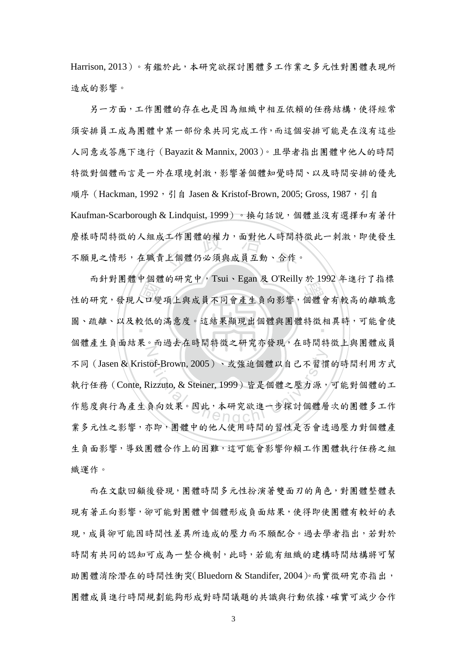Harrison, 2013)。有鑑於此,本研究欲探討團體多工作業之多元性對團體表現所 造成的影響。

,工作團體的權力,面對他人時間特<br>上個體仍必須與成員互動、合作 另一方面,工作團體的存在也是因為組織中相互依賴的任務結構,使得經常 須安排員工成為團體中某一部份來共同完成工作,而這個安排可能是在沒有這些 人同意或答應下進行(Bayazit & Mannix, 2003)。且學者指出團體中他人的時間 特徵對個體而言是一外在環境刺激,影響著個體知覺時間、以及時間安排的優先 順序 (Hackman, 1992, 引自 Jasen & Kristof-Brown, 2005; Gross, 1987, 引自 Kaufman-Scarborough & Lindquist, 1999)。換句話說,個體並沒有選擇和有著什 麼樣時間特徵的人組成工作團體的權力,面對他人時間特徵此一刺激,即使發生 不願見之情形,在職責上個體仍必須與成員互動、合作。

- 口變變的 m 21 时间短1 回短的20 TSut · Lgan & O KCmy 3、1992 + 上1 1 相保<br>性的研究,發現人口變項上與成員不同會產生負向影響,個體會有較高的離職意 圖、疏離、以及較低的滿意度。這結果顯現出個體與團體特徵相異時,可能會使 N cof-Brown, 2005)、或強迫個體以自己不習慣<br>lizzuto, & Steiner, 1999)皆是個體之壓力源,<br>負向效果。因此, 本研究欲進一步探討個體層 而針對團體中個體的研究中,Tsui、Egan 及 O'Reilly 於 1992 年進行了指標 個體產生負面結果。而過去在時間特徵之研究亦發現,在時間特徵上與團體成員 不同(Jasen & Kristof-Brown, 2005)、或強迫個體以自己不習慣的時間利用方式 執行任務(Conte, Rizzuto, & Steiner, 1999)皆是個體之壓力源,可能對個體的工 作態度與行為產生負向效果。因此,本研究欲進一步探討個體層次的團體多工作 業多元性之影響,亦即,團體中的他人使用時間的習性是否會透過壓力對個體產 生負面影響,導致團體合作上的困難,這可能會影響仰賴工作團體執行任務之組 織運作。

而在文獻回顧後發現,團體時間多元性扮演著雙面刃的角色,對團體整體表 現有著正向影響,卻可能對團體中個體形成負面結果,使得即使團體有較好的表 現,成員卻可能因時間性差異所造成的壓力而不願配合。過去學者指出,若對於 時間有共同的認知可成為一整合機制,此時,若能有組織的建構時間結構將可幫 助團體消除潛在的時間性衝突(Bluedorn & Standifer, 2004)。而實徵研究亦指出, 團體成員進行時間規劃能夠形成對時間議題的共識與行動依據,確實可減少合作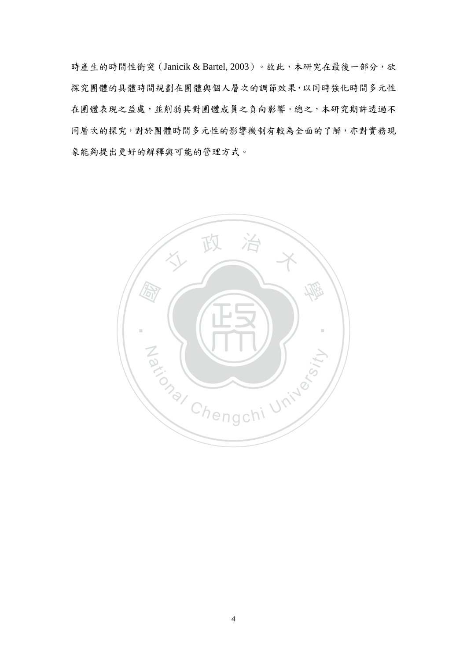時產生的時間性衝突 (Janicik & Bartel, 2003)。故此,本研究在最後一部分,欲 探究團體的具體時間規劃在團體與個人層次的調節效果,以同時強化時間多元性 在團體表現之益處,並削弱其對團體成員之負向影響。總之,本研究期許透過不 同層次的探究,對於團體時間多元性的影響機制有較為全面的了解,亦對實務現 象能夠提出更好的解釋與可能的管理方式。

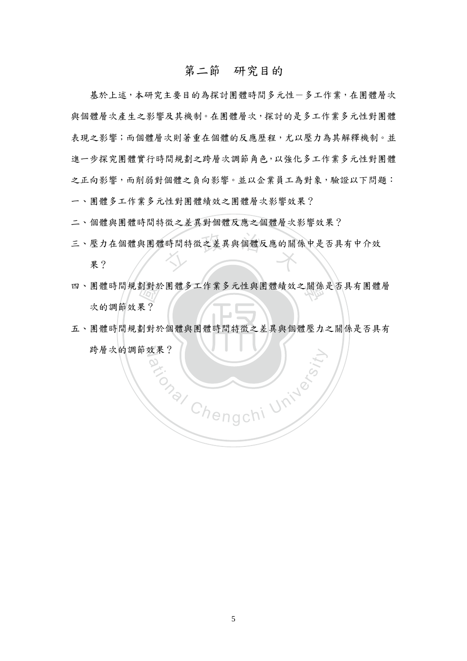## 第二節 研究目的

<span id="page-12-0"></span>基於上述,本研究主要目的為探討團體時間多元性一多工作業,在團體層次 與個體層次產生之影響及其機制。在團體層次,探討的是多工作業多元性對團體 表現之影響;而個體層次則著重在個體的反應歷程,尤以壓力為其解釋機制。並 進一步探究團體實行時間規劃之跨層次調節角色,以強化多工作業多元性對團體 之正向影響,而削弱對個體之負向影響。並以企業員工為對象,驗證以下問題: 一、團體多工作業多元性對團體績效之團體層次影響效果?

二、個體與團體時間特徵之差異對個體反應之個體層次影響效果?

- 時間特徵之差異與個體反應的關1 三、壓力在個體與團體時間特徵之差異與個體反應的關係中是否具有中介效 果?
- 四、團體時間規劃對於團體多工作業多元性與團體績效之關係是否具有團體層<br>次的調節效果?<br>五、團體時間規劃對於個體與團體時間特徵之差異與個體壓力之關係是否具有 次的調節效果?
- 五、團體時間規劃對於個體與團體時間特徵之差異與個體壓力之關係是否具有 跨層次的調節效果? ational University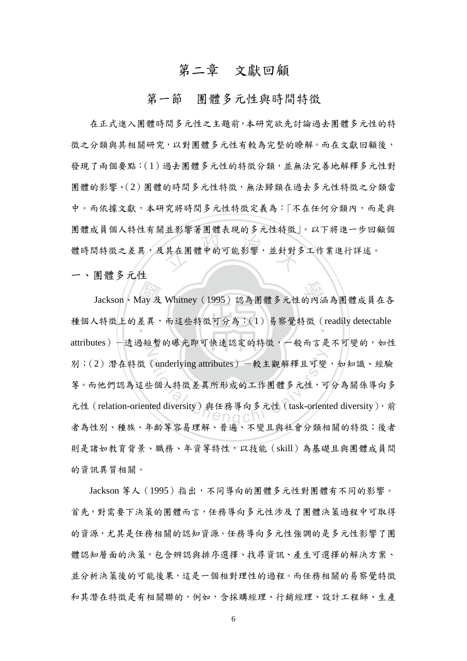# 第二章 文獻回顧

### 第一節 團體多元性與時間特徵

<span id="page-13-1"></span><span id="page-13-0"></span><sup>立</sup> <sup>政</sup> <sup>治</sup> <sup>大</sup> 在正式進入團體時間多元性之主題前,本研究欲先討論過去團體多元性的特 徵之分類與其相關研究,以對團體多元性有較為完整的瞭解。而在文獻回顧後, 發現了兩個要點:(1)過去團體多元性的特徵分類,並無法完善地解釋多元性對 團體的影響、(2)團體的時間多元性特徵,無法歸類在過去多元性特徵之分類當 中。而依據文獻,本研究將時間多元性特徵定義為:「不在任何分類內,而是與 團體成員個人特性有關並影響著團體表現的多元性特徵」。以下將進一步回顧個 體時間特徵之差異,及其在團體中的可能影響,並針對多工作業進行詳述。

一、團體多元性

Aay 及<br>差異, 學 Jackson、May 及 Whitney(1995)認為團體多元性的內涵為團體成員在各 種個人特徵上的差異,而這些特徵可分為:(1)易察覺特徵 (readily detectable N (underlying attributes)一較主觀解釋且可變<br>と個人特徵差異所形成的工作團體多元性,可<br>tted diversity)與任務導向多元性 (task-orient attributes)-透過短暫的曝光即可快速認定的特徵,一般而言是不可變的,如性 別;(2)潛在特徵 (underlying attributes) 一較主觀解釋且可變,如知識、經驗 等。而他們認為這些個人特徵差異所形成的工作團體多元性,可分為關係導向多 元性 (relation-oriented diversity)與任務導向多元性 (task-oriented diversity), 前 者為性別、種族、年齡等容易理解、普遍、不變且與社會分類相關的特徵;後者 則是諸如教育背景、職務、年資等特性,以技能(skill)為基礎且與團體成員間 的資訊異質相關。

Jackson 等人 (1995) 指出,不同導向的團體多元性對團體有不同的影響。 首先,對需要下決策的團體而言,任務導向多元性涉及了團體決策過程中可取得 的資源,尤其是任務相關的認知資源。任務導向多元性強調的是多元性影響了團 體認知層面的決策,包含辨認與排序選擇、找尋資訊、產生可選擇的解決方案、 並分析決策後的可能後果,這是一個相對理性的過程。而任務相關的易察覺特徵 和其潛在特徵是有相關聯的,例如,含採購經理、行銷經理、設計工程師、生產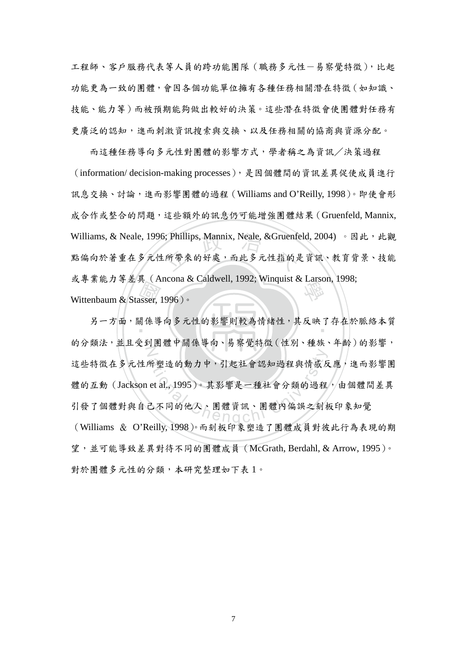工程師、客戶服務代表等人員的跨功能團隊(職務多元性-易察覺特徵),比起 功能更為一致的團體,會因各個功能單位擁有各種任務相關潛在特徵(如知識、 技能、能力等)而被預期能夠做出較好的決策。這些潛在特徵會使團體對任務有 更廣泛的認知,進而刺激資訊搜索與交換、以及任務相關的協商與資源分配。

5; Phillips, Mannix, Neale, &Gruenfe<br>:所帶來的好處,而此多元性指的是 或專業能力等差異 (Ancona & Caldwell, 1992; Winquist & Larson, 1998;<br>Wittenbaum & Stasser, 1996) 。 而這種任務導向多元性對團體的影響方式,學者稱之為資訊/決策過程 (information/ decision-making processes),是因個體間的資訊差異促使成員進行 訊息交換、討論,進而影響團體的過程(Williams and O'Reilly, 1998)。即使會形 成合作或整合的問題,這些額外的訊息仍可能增強團體結果(Gruenfeld, Mannix, Williams, & Neale, 1996; Phillips, Mannix, Neale, &Gruenfeld, 2004) 。因此,此觀 點偏向於著重在多元性所帶來的好處,而此多元性指的是資訊、教育背景、技能 Wittenbaum & Stasser, 1996)。

、<br>usser,<br>絹係導 另一方面,關係導向多元性的影響則較為情緒性,其反映了存在於脈絡本質 Z 所塑造的動力中,引起社會認知過程與情感反<br>et al., 1995)。其影響是一種社會分類的過程 的分類法,並且受到團體中關係導向、易察覺特徵(性別、種族、年齡)的影響, 這些特徵在多元性所塑造的動力中,引起社會認知過程與情感反應,進而影響團 體的互動(Jackson et al., 1995)。其影響是一種社會分類的過程,由個體間差異 引發了個體對與自己不同的他人、團體資訊、團體內偏誤之刻板印象知覺 (Williams & O'Reilly, 1998)。而刻板印象塑造了團體成員對彼此行為表現的期 望,並可能導致差異對待不同的團體成員(McGrath, Berdahl, & Arrow, 1995)。 對於團體多元性的分類,本研究整理如下表 1。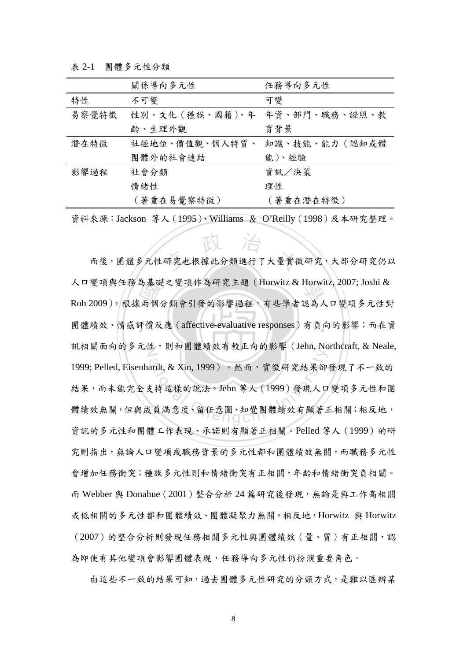<span id="page-15-0"></span>表 2-1 團體多元性分類

|       | 關係導向多元性                       | 任務導向多元性   |
|-------|-------------------------------|-----------|
| 特性    | 不可變                           | 可變        |
| 易察覺特徵 | 性別、文化 (種族、國籍)、年 年資、部門、職務、證照、教 |           |
|       | 齡、生理外觀                        | 育背景       |
| 潛在特徵  | 社經地位、價值觀、個人特質、 知識、技能、能力 (認知或體 |           |
|       | 團體外的社會連結                      | 能)、經驗     |
| 影響過程  | 社會分類                          | 資訊/決策     |
|       | 情緒性                           | 理性        |
|       | (著重在易覺察特徵)                    | (著重在潛在特徵) |
|       |                               |           |

資料來源:Jackson 等人(1995)、Williams & O'Reilly(1998)及本研究整理。

為基<br>「兩個」 反<br>平價 反 研究也根據此分類進行了大量實復 人口變項與任務為基礎之變項作為研究主題(Horwitz & Horwitz, 2007; Joshi &<br>Poh 2000)。坦博云個八類会引發的影響過程,右世學者認為し口鑽頂多云世戦 團體績效、情感評價反應 (affective-evaluative responses) 有負向的影響;而在資 訊相關面向的多元性,則和團體績效有較正向的影響 (Jehn, Northcraft, & Neale, ardt, & Xin, 1999)。然而,實徵研究結果卻<br>支持這樣的說法。Jehn 等人 (1999)發現人口<br>《員滿意度、留任意圖、知覺團體績效有顯著 而後,團體多元性研究也根據此分類進行了大量實徵研究,大部分研究仍以 Roh 2009)。根據兩個分類會引發的影響過程,有些學者認為人口變項多元性對 1999; Pelled, Eisenhardt, & Xin, 1999)。然而,實徵研究結果卻發現了不一致的 結果,而未能完全支持這樣的說法。Jehn 等人(1999)發現人口變項多元性和團 體績效無關,但與成員滿意度、留任意圖、知覺團體績效有顯著正相關;相反地, 資訊的多元性和團體工作表現、承諾則有顯著正相關。Pelled 等人(1999)的研 究則指出,無論人口變項或職務背景的多元性都和團體績效無關,而職務多元性 會增加任務衝突;種族多元性則和情緒衝突有正相關,年齡和情緒衝突負相關。 而 Webber 與 Donahue(2001)整合分析 24 篇研究後發現,無論是與工作高相關 或低相關的多元性都和團體績效、團體凝聚力無關。相反地,Horwitz 與 Horwitz (2007)的整合分析則發現任務相關多元性與團體績效(量、質)有正相關,認 為即使有其他變項會影響團體表現,任務導向多元性仍扮演重要角色。

由這些不一致的結果可知,過去團體多元性研究的分類方式,是難以區辨某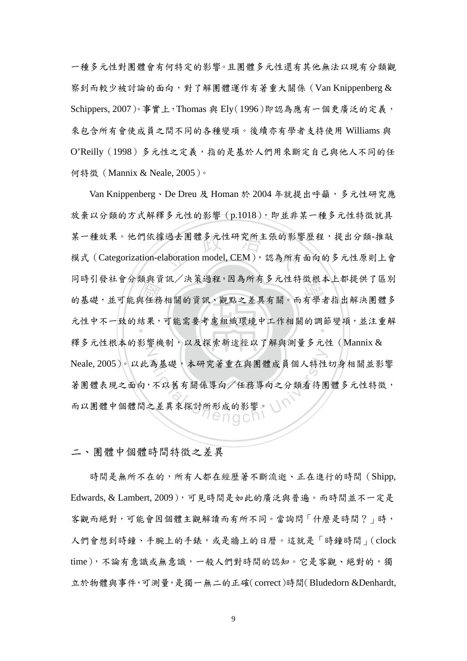一種多元性對團體會有何特定的影響。且團體多元性還有其他無法以現有分類觀 察到而較少被討論的面向,對了解團體運作有著重大關係(Van Knippenberg & Schippers, 2007)。事實上,Thomas 與 Ely(1996)即認為應有一個更廣泛的定義, 來包含所有會使成員之間不同的各種變項。後續亦有學者支持使用 Williams 與 O'Reilly(1998)多元性之定義,指的是基於人們用來斷定自己與他人不同的任 何特徵(Mannix & Neale, 2005)。

奴六兵<br>與任務<br>以經出 (過去團體多元性研究所主張的影<sup>》</sup><br>laboration model, CEM ),認為所有 的时升级社員以积共員訊/ 沃來迦柱,因為所有少凡住村做依个上都從六丁四州<br><br>的基礎,並可能與任務相關的資訊、觀點之差異有關。而有學者指出解決團體多 元性中不一致的結果,可能需要考慮組織環境中工作相關的調節變項,並注重解  $\mathbb Z$ 為基礎,本研究著重在與團體成員個人特性 Van Knippenberg、De Dreu 及 Homan 於 2004 年就提出呼籲,多元性研究應 放棄以分類的方式解釋多元性的影響(p.1018), 即並非某一種多元性特徵就具 某一種效果。他們依據過去團體多元性研究所主張的影響歷程,提出分類-推敲 模式(Categorization-elaboration model, CEM),認為所有面向的多元性原則上會 同時引發社會分類與資訊/決策過程,因為所有多元性特徵根本上都提供了區別 釋多元性根本的影響機制,以及探索新途徑以了解與測量多元性(Mannix & Neale, 2005)。以此為基礎,本研究著重在與團體成員個人特性切身相關並影響 著團體表現之面向,不以舊有關係導向/任務導向之分類看待團體多元性特徵, 而以團體中個體間之差異來探討所形成的影響。

二、團體中個體時間特徵之差異

時間是無所不在的,所有人都在經歷著不斷流逝、正在進行的時間(Shipp, Edwards, & Lambert, 2009),可見時間是如此的廣泛與普遍。而時間並不一定是 客觀而絕對,可能會因個體主觀解讀而有所不同。當詢問「什麼是時間?」時, 人們會想到時鐘、手腕上的手錶,或是牆上的日曆。這就是「時鐘時間」(clock time),不論有意識或無意識,一般人們對時間的認知。它是客觀、絕對的,獨 立於物體與事件,可測量,是獨一無二的正確(correct)時間(Bludedorn &Denhardt,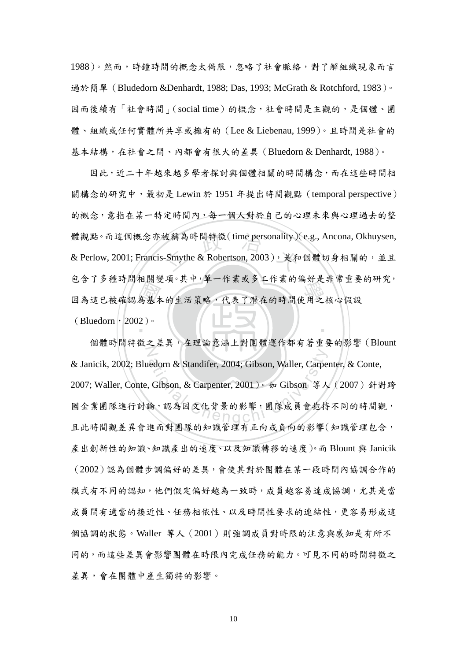1988)。然而,時鐘時間的概念太侷限,忽略了社會脈絡,對了解組織現象而言 過於簡單 (Bludedorn &Denhardt, 1988; Das, 1993; McGrath & Rotchford, 1983)。 因而後續有「社會時間」(social time)的概念,社會時間是主觀的,是個體、團 體、組織或任何實體所共享或擁有的(Lee & Liebenau, 1999)。且時間是社會的 基本結構,在社會之間、內都會有很大的差異(Bluedorn & Denhardt, 1988)。

巴名 ) 夕裡呵问相關交項,共11年 作素或少工作素的偏对定非市里安<br>因為這已被確認為基本的生活策略,代表了潛在的時間使用之核心假設 被稱為時間特徵(time personality)<br>-Smythe & Robertson, 2003 ), 是和 ‧ 因此,近二十年越來越多學者探討與個體相關的時間構念,而在這些時間相 關構念的研究中,最初是 Lewin 於 1951 年提出時間觀點 (temporal perspective) 的概念,意指在某一特定時間內,每一個人對於自己的心理未來與心理過去的整 體觀點。而這個概念亦被稱為時間特徵(time personality)(e.g., Ancona, Okhuysen, & Perlow, 2001; Francis-Smythe & Robertson, 2003), 是和個體切身相關的, 並且 包含了多種時間相關變項。其中,單一作業或多工作業的偏好是非常重要的研究,  $(Bluedorn \cdot 2002)$ 。

N edorn & Standifer, 2004; Gibson, Waller, Carpe<br>
Gibson, & Carpenter, 2001)。如 Gibson 等人<br>
論, 認為因文化背景的影響, 團隊成員會抱持 個體時間特徵之差異,在理論意涵上對團體運作都有著重要的影響(Blount & Janicik, 2002; Bluedorn & Standifer, 2004; Gibson, Waller, Carpenter, & Conte, 2007; Waller, Conte, Gibson, & Carpenter, 2001)。如 Gibson 等人(2007)針對跨 國企業團隊進行討論,認為因文化背景的影響,團隊成員會抱持不同的時間觀, 且此時間觀差異會進而對團隊的知識管理有正向或負向的影響(知識管理包含, 產出創新性的知識、知識產出的速度、以及知識轉移的速度)。而 Blount 與 Janicik (2002)認為個體步調偏好的差異,會使其對於團體在某一段時間內協調合作的 模式有不同的認知,他們假定偏好越為一致時,成員越容易達成協調,尤其是當 成員間有適當的接近性、任務相依性、以及時間性要求的連結性,更容易形成這 個協調的狀態。Waller 等人(2001)則強調成員對時限的注意與感知是有所不 同的,而這些差異會影響團體在時限內完成任務的能力。可見不同的時間特徵之 差異,會在團體中產生獨特的影響。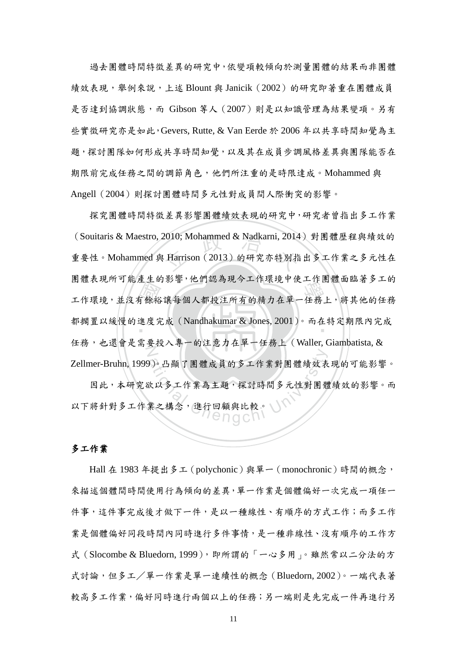過去團體時間特徵差異的研究中,依變項較傾向於測量團體的結果而非團體 績效表現,舉例來說,上述 Blount 與 Janicik (2002) 的研究即著重在團體成員 是否達到協調狀態,而 Gibson 等人(2007)則是以知識管理為結果變項。另有 些實徵研究亦是如此,Gevers, Rutte, & Van Eerde 於 2006 年以共享時間知覺為主 題,探討團隊如何形成共享時間知覺,以及其在成員步調風格差異與團隊能否在 期限前完成任務之間的調節角色,他們所注重的是時限達成。Mohammed 與 Angell(2004)則探討團體時間多元性對成員間人際衝突的影響。

生一餘裕<br>進度<br>重 2010; Mohammed & Nadkarni, 2014<br>: Harrison (2013) 的研究亦特別指 田胆衣玩用了能生主的粉音,他们認為死了工作依況下決工作困脏回臨省夕上的<br><br>工作環境,並沒有餘裕讓每個人都投注所有的精力在單一任務上,將其他的任務 ‧ 都擱置以緩慢的進度完成(Nandhakumar & Jones, 2001)。而在特定期限內完成 N 探究團體時間特徵差異影響團體績效表現的研究中,研究者曾指出多工作業 (Souitaris & Maestro, 2010; Mohammed & Nadkarni, 2014) 對團體歷程與績效的 重要性。Mohammed 與 Harrison (2013) 的研究亦特別指出多工作業之多元性在 團體表現所可能產生的影響,他們認為現今工作環境中使工作團體面臨著多工的 任務,也還會是需要投入專一的注意力在單一任務上(Waller, Giambatista, & Zellmer-Bruhn, 1999)。凸顯了團體成員的多工作業對團體績效表現的可能影響。

)。凸顯了團體成員的多工作業對團體績效表<br>次以多工作業為主題,探討時間多元性對團體<br>業之構念,進行回顧與比較。 因此,本研究欲以多工作業為主題,探討時間多元性對團體績效的影響。而 以下將針對多工作業之構念,進行回顧與比較。

### 多工作業

Hall 在 1983 年提出多工(polychonic)與單一(monochronic)時間的概念, 來描述個體間時間使用行為傾向的差異,單一作業是個體偏好一次完成一項任一 件事,這件事完成後才做下一件,是以一種線性、有順序的方式工作;而多工作 業是個體偏好同段時間內同時進行多件事情,是一種非線性、沒有順序的工作方 式 (Slocombe & Bluedorn, 1999), 即所謂的「一心多用」。雖然常以二分法的方 式討論,但多工/單一作業是單一連續性的概念(Bluedorn, 2002)。一端代表著 較高多工作業,偏好同時進行兩個以上的任務;另一端則是先完成一件再進行另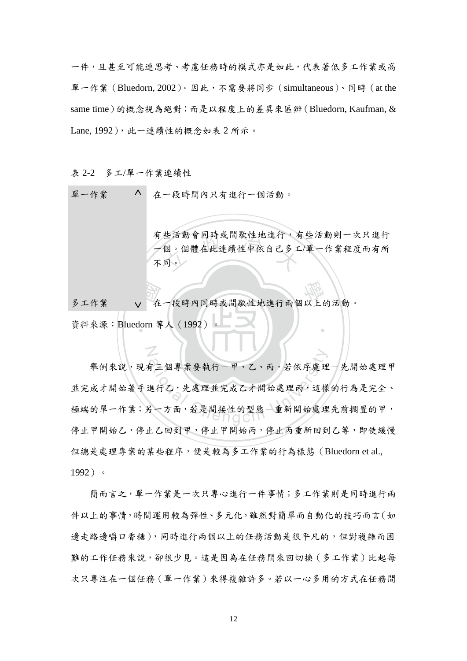一件,且甚至可能連思考、考慮任務時的模式亦是如此,代表著低多工作業或高 單一作業(Bluedorn, 2002)。因此,不需要將同步(simultaneous)、同時(at the same time)的概念視為絕對;而是以程度上的差異來區辨(Bluedorn, Kaufman, & Lane, 1992), 此一連續性的概念如表 2 所示。

<span id="page-19-0"></span>表 2-2 多工/單一作業連續性

N

| 單一作業 | 在一段時間內只有進行一個活動。                  |
|------|----------------------------------|
|      | 有些活動會同時或間歇性地進行,有些活動則一次只進行        |
|      | 個。個體在此連續性中依自己多工/單一作業程度而有所<br>不同。 |
|      |                                  |
| 多工作業 | 在一段時內同時或間歇性地進行兩個以上的活動。           |
|      | 資料來源: Bluedorn 等人 (1992)         |

有三個專案要執行一甲、乙、丙,若依序處理<br>進行乙,先處理並完成乙才開始處理丙,這樣<br>另一方面,若是間接性的型態一重新開始處理 舉例來說,現有三個專案要執行一甲、乙、丙,若依序處理一先開始處理甲 並完成才開始著手進行乙,先處理並完成乙才開始處理丙,這樣的行為是完全、 極端的單一作業;另一方面,若是間接性的型態一重新開始處理先前擱置的甲, 停止甲開始乙,停止乙回到甲,停止甲開始丙,停止丙重新回到乙等,即使緩慢 但總是處理專案的某些程序,便是較為多工作業的行為樣態(Bluedorn et al., 1992)。

簡而言之,單一作業是一次只專心進行一件事情;多工作業則是同時進行兩 件以上的事情,時間運用較為彈性、多元化。雖然對簡單而自動化的技巧而言(如 邊走路邊嚼口香糖),同時進行兩個以上的任務活動是很平凡的,但對複雜而困 難的工作任務來說,卻很少見。這是因為在任務間來回切換(多工作業)比起每 次只專注在一個任務(單一作業)來得複雜許多。若以一心多用的方式在任務間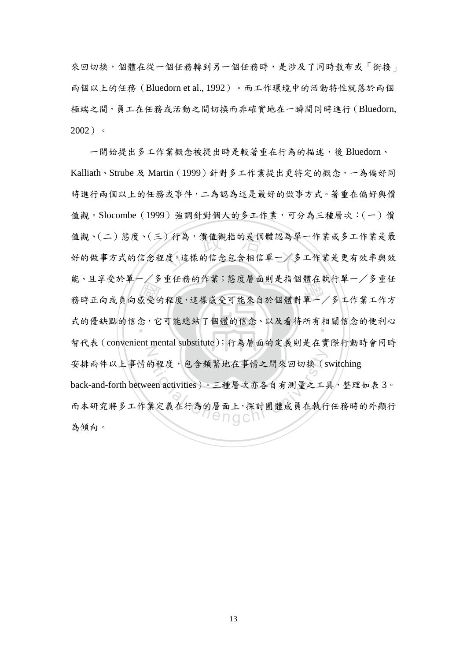來回切換,個體在從一個任務轉到另一個任務時,是涉及了同時散布或「銜接」 兩個以上的任務(Bluedorn et al., 1992)。而工作環境中的活動特性就落於兩個 極端之間,員工在任務或活動之間切換而非確實地在一瞬間同時進行(Bluedorn, 2002)。

能, 正于文公平 / 乡里忙扬的作素, 怒反眉面对足相圖龜在執行平 / 乡里忙, 我時正向或負向感受的程度,這樣感受可能來自於個體對單一/多工作業工作方<br>式的優缺點的信念, 它可能總結了個體的信念、以及看待所有相關信念的便利心 )行為,價值觀指的是個體認為單<br>:度,這樣的信念包含相信單一/多 式的優缺點的信念,它可能總結了個體的信念、以及看待所有相關信念的便利心 N 的程度,包含頻繁地在事情之間來回切換(s<br>een activities)。三種層次亦各自有測量之工具<br>業定義在行為的層面上,探討團體成員在執行 一開始提出多工作業概念被提出時是較著重在行為的描述,後 Bluedorn、 Kalliath、Strube 及 Martin(1999)針對多工作業提出更特定的概念,一為偏好同 時進行兩個以上的任務或事件,二為認為這是最好的做事方式。著重在偏好與價 值觀。Slocombe (1999) 強調針對個人的多工作業,可分為三種層次: (一)價 值觀、(二)態度、(三)行為,價值觀指的是個體認為單一作業或多工作業是最 好的做事方式的信念程度,這樣的信念包含相信單一/多工作業是更有效率與效 能、且享受於單一/多重任務的作業;態度層面則是指個體在執行單一/多重任 智代表(convenient mental substitute);行為層面的定義則是在實際行動時會同時 安排兩件以上事情的程度,包含頻繁地在事情之間來回切換(switching back-and-forth between activities)。三種層次亦各自有測量之工具,整理如表 3。 而本研究將多工作業定義在行為的層面上,探討團體成員在執行任務時的外顯行 為傾向。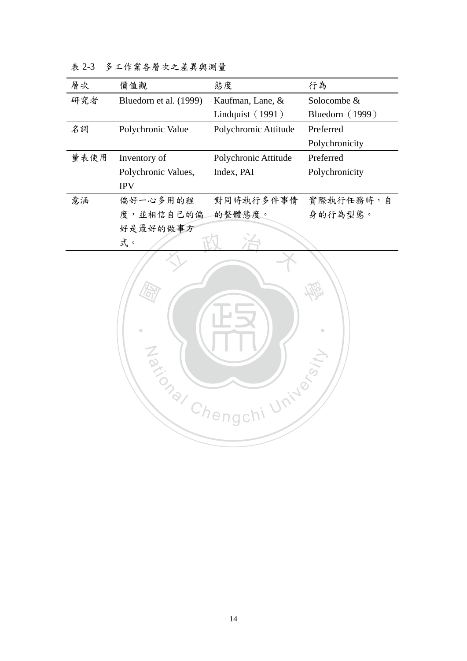| 層次   | 價值觀                    | 態度                   | 行為              |
|------|------------------------|----------------------|-----------------|
| 研究者  | Bluedorn et al. (1999) | Kaufman, Lane, &     | Solocombe &     |
|      |                        | Lindquist (1991)     | Bluedorn (1999) |
| 名詞   | Polychronic Value      | Polychromic Attitude | Preferred       |
|      |                        |                      | Polychronicity  |
| 量表使用 | Inventory of           | Polychronic Attitude | Preferred       |
|      | Polychronic Values,    | Index, PAI           | Polychronicity  |
|      | <b>IPV</b>             |                      |                 |
| 意涵   | 偏好一心多用的程               | 對同時執行多件事情            | 實際執行任務時,自       |
|      | 度,並相信自己的偏              | 的整體態度。               | 身的行為型態。         |
|      | 好是最好的做事方               |                      |                 |
|      | 式。                     |                      |                 |

<span id="page-21-0"></span>表 2-3 多工作業各層次之差異與測量

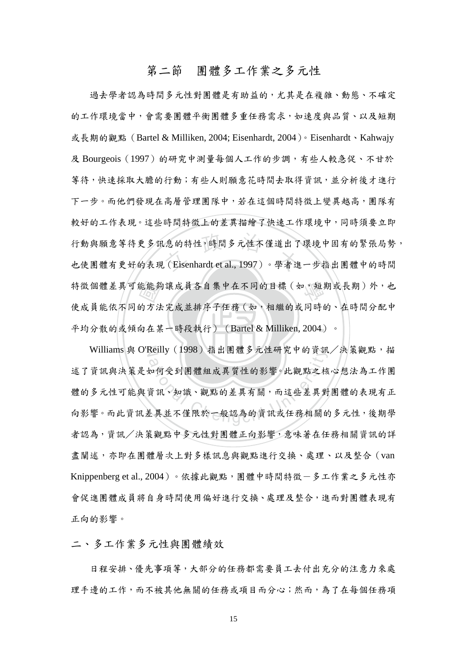## 第二節 團體多工作業之多元性

<span id="page-22-0"></span>‧能能毅<br>的方法<br>句在某 行動與願意等待更多訊息的特性,時間多元性不僅道出了環境中固有的緊張局勢<br>也使團體有更好的表現 (Eisenhardt et al., 1997)。學者進一步指出團體中的時間 特徵個體差異可能能夠讓成員各自集中在不同的目標(如,短期或長期)外,也 ‧ 平均分散的或傾向在某一時段執行)(Bartel & Milliken, 2004)。 過去學者認為時間多元性對團體是有助益的,尤其是在複雜、動態、不確定 的工作環境當中,會需要團體平衡團體多重任務需求,如速度與品質、以及短期 或長期的觀點(Bartel & Milliken, 2004; Eisenhardt, 2004)。Eisenhardt、Kahwajy 及 Bourgeois (1997) 的研究中測量每個人工作的步調,有些人較急促、不甘於 等待,快速採取大膽的行動;有些人則願意花時間去取得資訊,並分析後才進行 下一步。而他們發現在高層管理團隊中,若在這個時間特徵上變異越高,團隊有 較好的工作表現。這些時間特徵上的差異描繪了快速工作環境中,同時須要立即 行動與願意等待更多訊息的特性,時間多元性不僅道出了環境中固有的緊張局勢, 使成員能依不同的方法完成並排序子任務(如,相繼的或同時的、在時間分配中

Williams 與 O'Reilly (1998)指出團體多元性研究中的資訊/決策觀點,描 Reilly (1998) 指出團體多兀性研究中的真訊<br>20<br>如何受到團體組成異質性的影響。此觀點之核<br>資訊、知識、觀點的差異有關,而這些差異對<br> 述了資訊與決策是如何受到團體組成異質性的影響。此觀點之核心想法為工作團 體的多元性可能與資訊、知識、觀點的差異有關,而這些差異對團體的表現有正 向影響。而此資訊差異並不僅限於一般認為的資訊或任務相關的多元性,後期學 者認為,資訊/決策觀點中多元性對團體正向影響,意味著在任務相關資訊的詳 盡闡述,亦即在團體層次上對多樣訊息與觀點進行交換、處理、以及整合(van Knippenberg et al., 2004)。依據此觀點,團體中時間特徵-多工作業之多元性亦 會促進團體成員將自身時間使用偏好進行交換、處理及整合,進而對團體表現有 正向的影響。

二、多工作業多元性與團體績效

 日程安排、優先事項等,大部分的任務都需要員工去付出充分的注意力來處 理手邊的工作,而不被其他無關的任務或項目而分心;然而,為了在每個任務項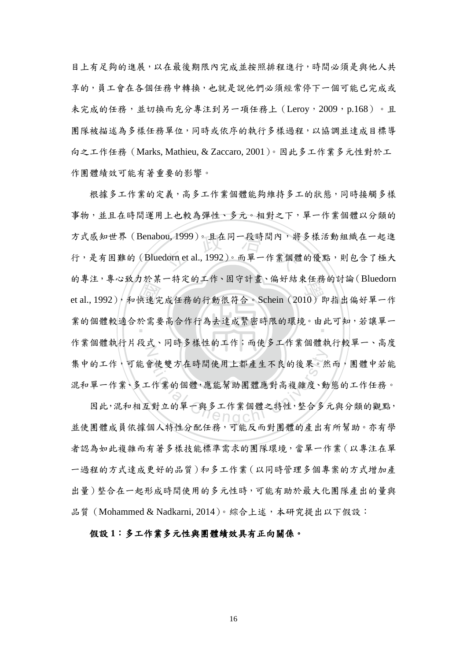目上有足夠的進展,以在最後期限內完成並按照排程進行,時間必須是與他人共 享的,員工會在各個任務中轉換,也就是說他們必須經常停下一個可能已完成或 未完成的任務,並切換而充分專注到另一項任務上 (Leroy, 2009, p.168)。且 團隊被描述為多樣任務單位,同時或依序的執行多樣過程,以協調並達成目標導 向之工作任務(Marks, Mathieu, & Zaccaro, 2001)。因此多工作業多元性對於工 作團體績效可能有著重要的影響。

的每左,每心致力於亲 将定的工作,回了引量,偏对結末在扬的引調(Bidcdoff)<br>et al., 1992),和快速完成任務的行動很符合。Schein (2010)即指出偏好單一作<br>業的個體較適合於需要高合作行為去達成緊密時限的環境。由此可知,若讓單一 ou, 1999)。且在同一段時間內,將<br>dorn et al., 1992)。而單一作業個體 業的個體較適合於需要高合作行為去達成緊密時限的環境。由此可知,若讓單一 N 合使雙方在時間使用上都產生不良的後果。然<br>-作業的個體,應能幫助團體應對高複雜度、動<br>-對立的單一與多工作業個體之特性,整合多 根據多工作業的定義,高多工作業個體能夠維持多工的狀態,同時接觸多樣 事物,並且在時間運用上也較為彈性、多元。相對之下,單一作業個體以分類的 方式感知世界(Benabou, 1999)。且在同一段時間內,將多樣活動組織在一起進 行,是有困難的 (Bluedorn et al., 1992)。而單一作業個體的優點,則包含了極大 的專注,專心致力於某一特定的工作、固守計畫、偏好結束任務的討論(Bluedorn 作業個體執行片段式、同時多樣性的工作;而使多工作業個體執行較單一、高度 集中的工作,可能會使雙方在時間使用上都產生不良的後果。然而,團體中若能 混和單一作業、多工作業的個體,應能幫助團體應對高複雜度、動態的工作任務。

因此,混和相互對立的單一與多工作業個體之特性,整合多元與分類的觀點, 並使團體成員依據個人特性分配任務,可能反而對團體的產出有所幫助。亦有學 者認為如此複雜而有著多樣技能標準需求的團隊環境,當單一作業(以專注在單 一過程的方式達成更好的品質)和多工作業(以同時管理多個專案的方式增加產 出量)整合在一起形成時間使用的多元性時,可能有助於最大化團隊產出的量與 品質 (Mohammed & Nadkarni,  $2014$ )。綜合上述,本研究提出以下假設:

### 假設 **1**:多工作業多元性與團體績效具有正向關係。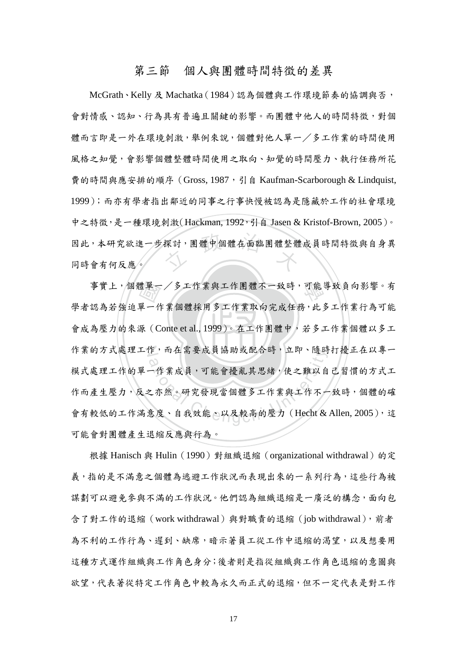### 第三節 個人與團體時間特徵的差異

<span id="page-24-0"></span>探討,團體中個體在面臨團體整體 McGrath、Kelly 及 Machatka(1984)認為個體與工作環境節奏的協調與否, 會對情感、認知、行為具有普遍且關鍵的影響。而團體中他人的時間特徵,對個 體而言即是一外在環境刺激,舉例來說,個體對他人單一/多工作業的時間使用 風格之知覺,會影響個體整體時間使用之取向、知覺的時間壓力、執行任務所花 費的時間與應安排的順序 (Gross, 1987, 引自 Kaufman-Scarborough & Lindquist, 1999);而亦有學者指出鄰近的同事之行事快慢被認為是隱藏於工作的社會環境 中之特徵,是一種環境刺激(Hackman, 1992, 引自 Jasen & Kristof-Brown, 2005)。 因此,本研究欲進一步探討,團體中個體在面臨團體整體成員時間特徵與自身異 同時會有何反應。

‧‧ 會成為壓力的來源(Conte et al., 1999)。在工作團體中,若多工作業個體以多工 遭單一<br>單一竹<br>源(C 事實上,個體單一/多工作業與工作團體不一致時,可能導致負向影響。有 作業的方式處理工作,而在需要成員協助或配合時,立即、隨時打擾正在以專一 作,而任需要成貝協助或配合時,工印、隨時 學者認為若強迫單一作業個體採用多工作業取向完成任務,此多工作業行為可能 模式處理工作的單一作業成員,可能會擾亂其思緒,使之難以自己習慣的方式工 作而產生壓力,反之亦然。研究發現當個體多工作業與工作不一致時,個體的確 會有較低的工作滿意度、自我效能、以及較高的壓力(Hecht & Allen, 2005),這 可能會對團體產生退縮反應與行為。

根據 Hanisch 與 Hulin (1990) 對組織退縮 (organizational withdrawal) 的定 義,指的是不滿意之個體為逃避工作狀況而表現出來的一系列行為,這些行為被 謀劃可以避免參與不滿的工作狀況。他們認為組織退縮是一廣泛的構念,面向包 含了對工作的退縮(work withdrawal)與對職責的退縮(job withdrawal),前者 為不利的工作行為、遲到、缺席,暗示著員工從工作中退縮的渴望,以及想要用 這種方式運作組織與工作角色身分;後者則是指從組織與工作角色退縮的意圖與 欲望,代表著從特定工作角色中較為永久而正式的退縮,但不一定代表是對工作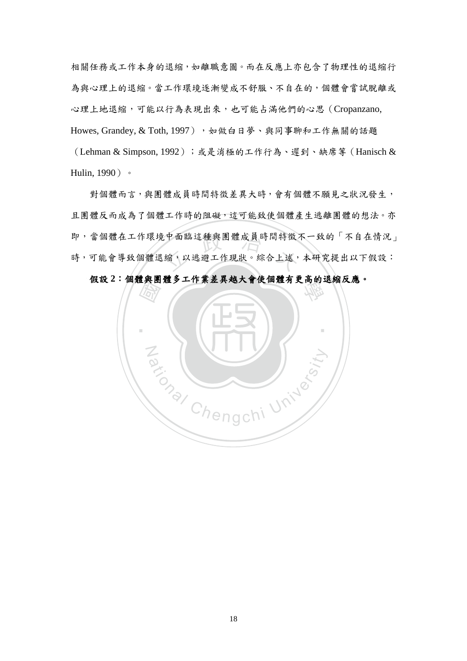相關任務或工作本身的退縮,如離職意圖。而在反應上亦包含了物理性的退縮行 為與心理上的退縮。當工作環境逐漸變成不舒服、不自在的,個體會嘗試脫離或 心理上地退縮,可能以行為表現出來,也可能占滿他們的心思(Cropanzano, Howes, Grandey, & Toth, 1997), 如做白日夢、與同事聊和工作無關的話題 (Lehman & Simpson, 1992);或是消極的工作行為、遲到、缺席等(Hanisch & Hulin, 1990)。

:中面臨這種與團體成員時間特徵<br>縮,以逃避工作現狀。綜合上述, 對個體而言,與團體成員時間特徵差異大時,會有個體不願見之狀況發生, 且團體反而成為了個體工作時的阻礙,這可能致使個體產生逃離團體的想法。亦 即,當個體在工作環境中面臨這種與團體成員時間特徵不一致的「不自在情況」 時,可能會導致個體退縮,以逃避工作現狀。綜合上述,本研究提出以下假設:

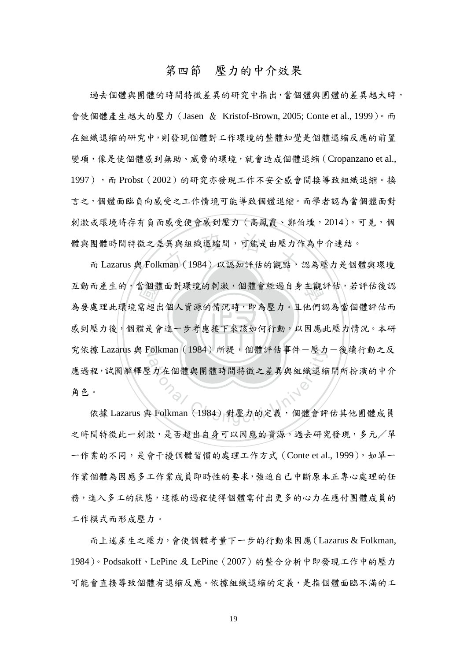## 第四節 壓力的中介效果

<span id="page-26-0"></span>體與團體時間特徵之差異與組織退縮間,可能是由壓力作為中介連結。<br>而 Lazarus 與 Folkman (1984) 以認知評估的觀點,認為壓力是個體與環境 過去個體與團體的時間特徵差異的研究中指出,當個體與團體的差異越大時, 會使個體產生越大的壓力(Jasen & Kristof-Brown, 2005; Conte et al., 1999)。而 在組織退縮的研究中,則發現個體對工作環境的整體知覺是個體退縮反應的前置 變項,像是使個體感到無助、威脅的環境,就會造成個體退縮(Cropanzano et al., 1997),而 Probst (2002)的研究亦發現工作不安全感會間接導致組織退縮。換 言之,個體面臨負向感受之工作情境可能導致個體退縮。而學者認為當個體面對 刺激或環境時存有負面感受便會感到壓力(高鳳霞、鄭伯壎,2014)。可見,個 體與團體時間特徵之差異與組織退縮間,可能是由壓力作為中介連結。

感到壓力後,個體是會進一步考慮接下來該如何行動,以因應此壓力情況。本研 當個體<br>需超出<br>體是會 互動而產生的,當個體面對環境的刺激,個體會經過自身主觀評估,若評估後認 究依據 Lazarus 與 Folkman (1984) 所提, 個體評估事件一壓力一後續行動之反 <sup>a</sup>t<sup>i</sup>ona<sup>l</sup> <sup>C</sup>hengch<sup>i</sup> <sup>U</sup>nivers<sup>i</sup>t<sup>y</sup> 為要處理此環境需超出個人資源的情況時,即為壓力。且他們認為當個體評估而 應過程,試圖解釋壓力在個體與團體時間特徵之差異與組織退縮間所扮演的中介 角色。

依據 Lazarus 與 Folkman (1984) 對壓力的定義, 個體會評估其他團體成員 之時間特徵此一刺激,是否超出自身可以因應的資源。過去研究發現,多元/單 一作業的不同,是會干擾個體習慣的處理工作方式 (Conte et al., 1999), 如單一 作業個體為因應多工作業成員即時性的要求,強迫自己中斷原本正專心處理的任 務,進入多工的狀態,這樣的過程使得個體需付出更多的心力在應付團體成員的 工作模式而形成壓力。

 而上述產生之壓力,會使個體考量下一步的行動來因應(Lazarus & Folkman, 1984)。Podsakoff、LePine 及 LePine(2007)的整合分析中即發現工作中的壓力 可能會直接導致個體有退縮反應。依據組織退縮的定義,是指個體面臨不滿的工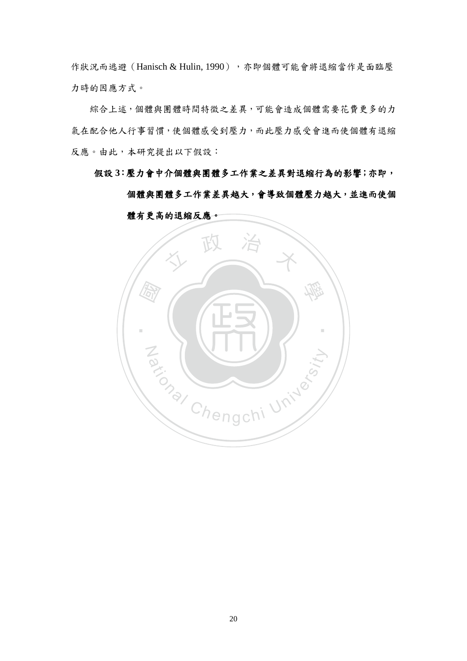作狀況而逃避 (Hanisch & Hulin, 1990),亦即個體可能會將退縮當作是面臨壓 力時的因應方式。

 綜合上述,個體與團體時間特徵之差異,可能會造成個體需要花費更多的力 氣在配合他人行事習慣,使個體感受到壓力,而此壓力感受會進而使個體有退縮 反應。由此,本研究提出以下假設:

假設 **3**:壓力會中介個體與團體多工作業之差異對退縮行為的影響;亦即,

個體與團體多工作業差異越大,會導致個體壓力越大,並進而使個



體有更高的退縮反應。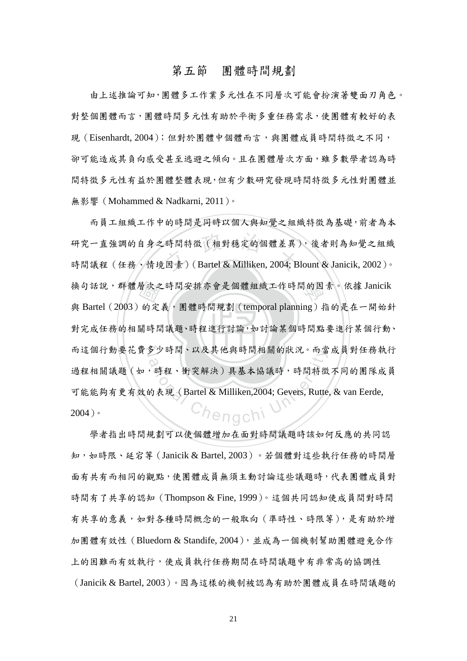### 第五節 團體時間規劃

<span id="page-28-0"></span> 由上述推論可知,團體多工作業多元性在不同層次可能會扮演著雙面刃角色。 對整個團體而言,團體時間多元性有助於平衡多重任務需求,使團體有較好的表 現(Eisenhardt, 2004);但對於團體中個體而言,與團體成員時間特徵之不同, 卻可能造成其負向感受甚至逃避之傾向。且在團體層次方面,雖多數學者認為時 間特徵多元性有益於團體整體表現,但有少數研究發現時間特徵多元性對團體並 無影響(Mohammed & Nadkarni, 2011)。

對完成任務的相關時間議題、時程進行討論,如討論某個時間點要進行某個行動、 層次<br>的定<br>關時間 .時間特徵(相對穩定的個體差異)<br>:因素)( Bartel & Milliken, 2004; B 換句話說,群體層次之時間安排亦會是個體組織工作時間的因素。依據 Janicik 而這個行動要花費多少時間、以及其他與時間相關的狀況。而當成員對任務執行 多少時间、以及具他與時间相關的狀況。而富<br>20<br>5 時程、衝突解決)具基本協議時,時間特徵<br>5 未現(Bartel & Milliken,2004; Gevers, Rutte 而員工組織工作中的時間是同時以個人與知覺之組織特徵為基礎,前者為本 研究一直強調的自身之時間特徵(相對穩定的個體差異),後者則為知覺之組織 時間議程(任務、情境因素)(Bartel & Milliken, 2004; Blount & Janicik, 2002)。 與 Bartel (2003)的定義,團體時間規劃 (temporal planning)指的是在一開始針 過程相關議題(如,時程、衝突解決)具基本協議時,時間特徵不同的團隊成員 可能能夠有更有效的表現(Bartel & Milliken,2004; Gevers, Rutte, & van Eerde, 2004)。

學者指出時間規劃可以使個體增加在面對時間議題時該如何反應的共同認 知,如時限、延宕等(Janicik & Bartel, 2003)。若個體對這些執行任務的時間層 面有共有而相同的觀點,使團體成員無須主動討論這些議題時,代表團體成員對 時間有了共享的認知(Thompson & Fine, 1999)。這個共同認知使成員間對時間 有共享的意義,如對各種時間概念的一般取向(準時性、時限等),是有助於增 加團體有效性(Bluedorn & Standife, 2004), 並成為一個機制幫助團體避免合作 上的困難而有效執行,使成員執行任務期間在時間議題中有非常高的協調性 (Janicik & Bartel, 2003)。因為這樣的機制被認為有助於團體成員在時間議題的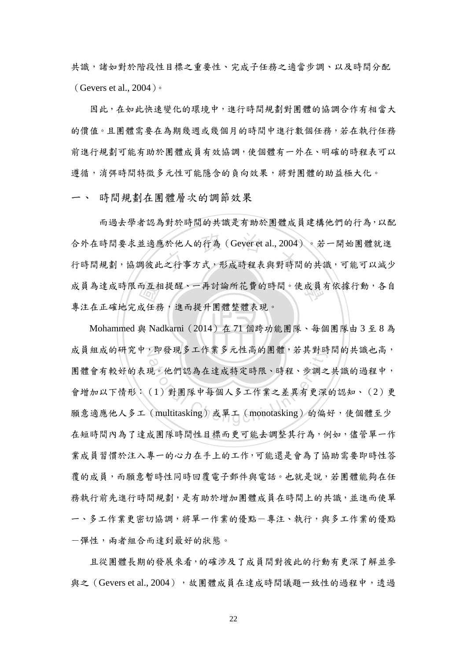共識,諸如對於階段性目標之重要性、完成子任務之適當步調、以及時間分配 (Gevers et al., 2004)。

因此,在如此快速變化的環境中,進行時間規劃對團體的協調合作有相當大 的價值。且團體需要在為期幾週或幾個月的時間中進行數個任務,若在執行任務 前進行規劃可能有助於團體成員有效協調,使個體有一外在、明確的時程表可以 遵循,消弭時間特徵多元性可能隱含的負向效果,將對團體的助益極大化。

一、 時間規劃在團體層次的調節效果

而互相<br>成任務<br>與 Na 合外在時間要求並適應於他人的行為(Gever et al., 2004)。若一開始團體就進<br>行時間規劃,協調彼此之行事方式,形成時程表與對時間的共識,可能可以減少 成員為達成時限而互相提醒、一再討論所花費的時間。使成員有依據行動,各自 而過去學者認為對於時間的共識是有助於團體成員建構他們的行為,以配 合外在時間要求並適應於他人的行為(Gever et al., 2004)。若一開始團體就進 專注在正確地完成任務,進而提升團體整體表現。

‧‧ Mohammed 與 Nadkarni(2014)在 71 個跨功能團隊、每個團隊由 3 至 8 為 成員組成的研究中,即發現多工作業多元性高的團體,若其對時間的共識也高, ,即發現多工作業多元性尚的團體,右具對时<br>(2)他們認為在達成特定時限、時程、步調之<br>(1)對團隊中每個人多工作業之差異有更深<br>(multitasking)或單工(monotasking)的偏 團體會有較好的表現。他們認為在達成特定時限、時程、步調之共識的過程中, 會增加以下情形:(1)對團隊中每個人多工作業之差異有更深的認知、(2)更 願意適應他人多工(multitasking)或單工(monotasking)的偏好,使個體至少 在短時間內為了達成團隊時間性目標而更可能去調整其行為,例如,儘管單一作 業成員習慣於注入專一的心力在手上的工作,可能還是會為了協助需要即時性答 覆的成員,而願意暫時性同時回覆電子郵件與電話。也就是說,若團體能夠在任 務執行前先進行時間規劃,是有助於增加團體成員在時間上的共識,並進而使單 一、多工作業更密切協調,將單一作業的優點一專注、執行,與多工作業的優點 -彈性,兩者組合而達到最好的狀態。

 且從團體長期的發展來看,的確涉及了成員間對彼此的行動有更深了解並參 與之(Gevers et al., 2004),或團體成員在達成時間議題一致性的過程中,透過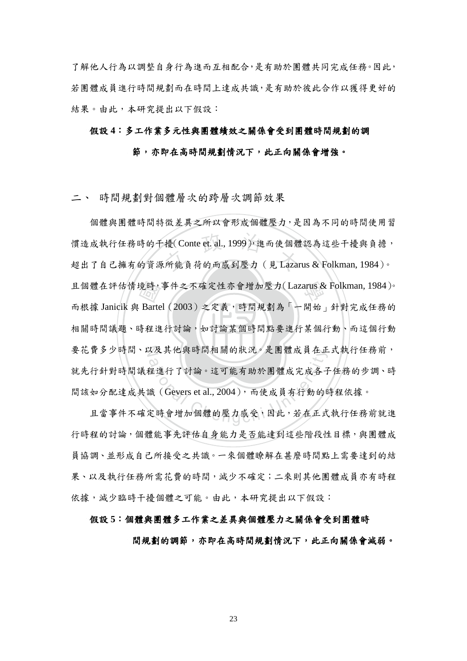了解他人行為以調整自身行為進而互相配合,是有助於團體共同完成任務。因此, 若團體成員進行時間規劃而在時間上達成共識,是有助於彼此合作以獲得更好的 結果。由此,本研究提出以下假設:

### 假設 **4**:多工作業多元性與團體績效之關係會受到團體時間規劃的調

### 節,亦即在高時間規劃情況下,此正向關係會增強。

二、 時間規劃對個體層次的跨層次調節效果

相關時間議題、時程進行討論,如討論某個時間點要進行某個行動、而這個行動 境時,<br>Barte<br>寺程進 擾( Conte et. al., 1999 ), 進而使個體<br>(所能負荷的而感到壓力 ( 見 Lazar 學 且個體在評估情境時,事件之不確定性亦會增加壓力(Lazarus & Folkman, 1984)。 要花費多少時間、以及其他與時間相關的狀況。是團體成員在正式執行任務前, 人及具他與时同相關的狀況。走團體成貝在止<br>2<br>程進行了討論。這可能有助於團體成完成各子<br>識 (Gevers et al., 2004), 而使成員有行動的日<br>定時會增加個體的壓力感受, 因此, 若在正式 個體與團體時間特徵差異之所以會形成個體壓力,是因為不同的時間使用習 慣造成執行任務時的干擾(Conte et. al., 1999),進而使個體認為這些干擾與負擔, 超出了自己擁有的資源所能負荷的而感到壓力(見 Lazarus & Folkman, 1984)。 而根據 Janicik 與 Bartel (2003)之定義,時間規劃為「一開始」針對完成任務的 就先行針對時間議程進行了討論。這可能有助於團體成完成各子任務的步調、時 間該如分配達成共識(Gevers et al., 2004),而使成員有行動的時程依據。

 且當事件不確定時會增加個體的壓力感受,因此,若在正式執行任務前就進 行時程的討論,個體能事先評估自身能力是否能達到這些階段性目標,與團體成 員協調、並形成自己所接受之共識。一來個體瞭解在甚麼時間點上需要達到的結 果、以及執行任務所需花費的時間,減少不確定;二來則其他團體成員亦有時程 依據,減少臨時干擾個體之可能。由此,本研究提出以下假設:

### 假設 **5**:個體與團體多工作業之差異與個體壓力之關係會受到團體時

間規劃的調節,亦即在高時間規劃情況下,此正向關係會減弱。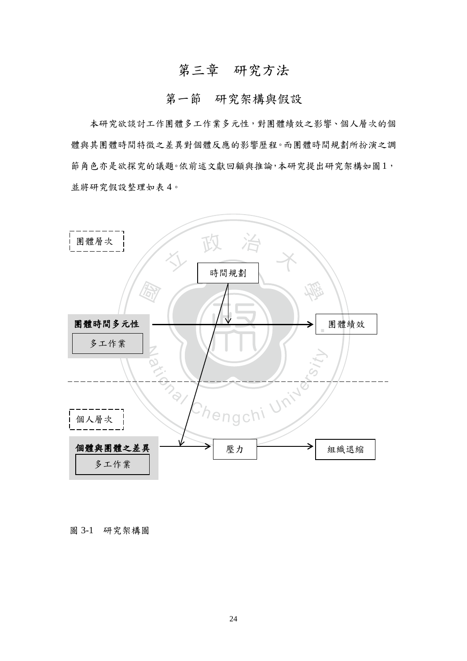# 第三章 研究方法

## 第一節 研究架構與假設

<span id="page-31-1"></span><span id="page-31-0"></span> 本研究欲談討工作團體多工作業多元性,對團體績效之影響、個人層次的個 體與其團體時間特徵之差異對個體反應的影響歷程。而團體時間規劃所扮演之調 節角色亦是欲探究的議題。依前述文獻回顧與推論,本研究提出研究架構如圖1, 並將研究假設整理如表 4。



圖 3-1 研究架構圖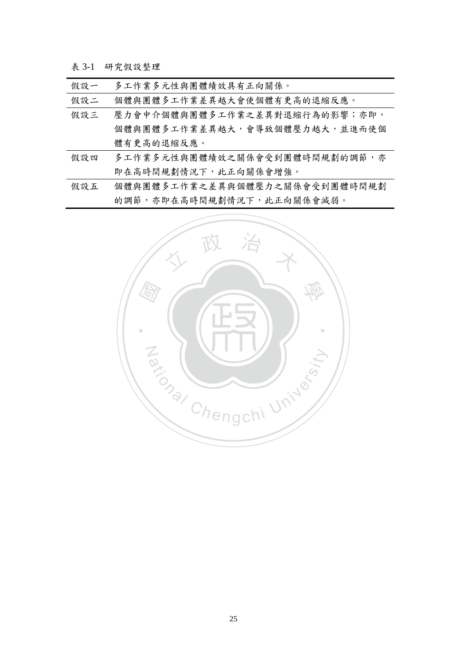<span id="page-32-0"></span>表 3-1 研究假設整理

| 假設一 | 多工作業多元性與團體績效具有正向關係。           |
|-----|-------------------------------|
| 假設二 | 個體與團體多工作業差異越大會使個體有更高的退縮反應。    |
| 假設三 | 壓力會中介個體與團體多工作業之差異對退縮行為的影響;亦即, |
|     | 個體與團體多工作業差異越大,會導致個體壓力越大,並進而使個 |
|     | 體有更高的退縮反應。                    |
| 假設四 | 多工作業多元性與團體績效之關係會受到團體時間規劃的調節,亦 |
|     | 即在高時間規劃情況下,此正向關係會增強。          |
| 假設五 | 個體與團體多工作業之差異與個體壓力之關係會受到團體時間規劃 |
|     | 的調節,亦即在高時間規劃情況下,此正向關係會減弱。     |

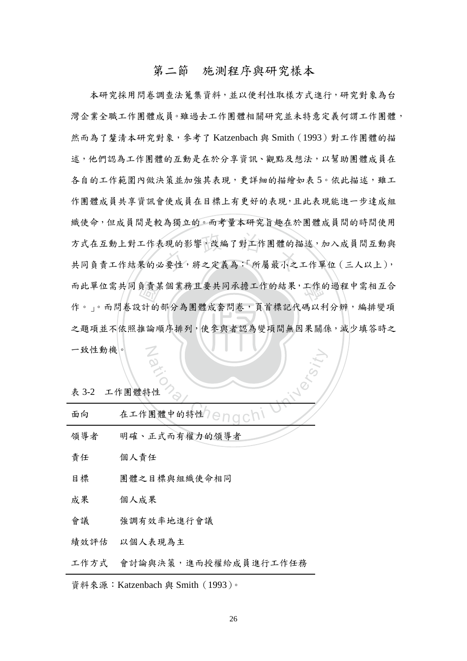## 第二節 施測程序與研究樣本

<span id="page-33-0"></span>之題項並不依照推論順序排列,使參與者認為變項間無因果關係,減少填答時之 負責某<br>注的<br>推論順 方式在互動上對工作表現的影響,改編了對工作團體的描述,加入成員間互動與<br>共同負責工作結果的必要性,將之定義為:「所屬最小之工作單位 (三人以上), 而此單位需共同負責某個業務且要共同承擔工作的結果,工作的過程中需相互合 N 本研究採用問卷調查法蒐集資料,並以便利性取樣方式進行,研究對象為台 灣企業全職工作團體成員。雖過去工作團體相關研究並未特意定義何謂工作團體, 然而為了釐清本研究對象,參考了 Katzenbach 與 Smith(1993)對工作團體的描 述,他們認為工作團體的互動是在於分享資訊、觀點及想法,以幫助團體成員在 各自的工作範圍內做決策並加強其表現,更詳細的描繪如表 5。依此描述,雖工 作團體成員共享資訊會使成員在目標上有更好的表現,且此表現能進一步達成組 織使命,但成員間是較為獨立的。而考量本研究旨趣在於團體成員間的時間使用 方式在互動上對工作表現的影響,改編了對工作團體的描述,加入成員間互動與 作。」。而問卷設計的部分為團體成套問卷,頁首標記代碼以利分辨,編排變項 一致性動機。

<span id="page-33-1"></span>表 3-2 工作團體特性

| 一致性助機        |                      |
|--------------|----------------------|
| 表 3-2 工作團體特性 |                      |
| 面向           | 在工作團體中的特性7日门口CI      |
| 領導者          | 明確、正式而有權力的領導者        |
| 責任           | 個人責任                 |
| 日標           | 團體之目標與組織使命相同         |
| 成果           | 個人成果                 |
| 會議           | 強調有效率地進行會議           |
| 績效評估         | 以個人表現為主              |
| 工作方式         | 會討論與決策,進而授權給成員進行工作任務 |

資料來源:Katzenbach 與 Smith(1993)。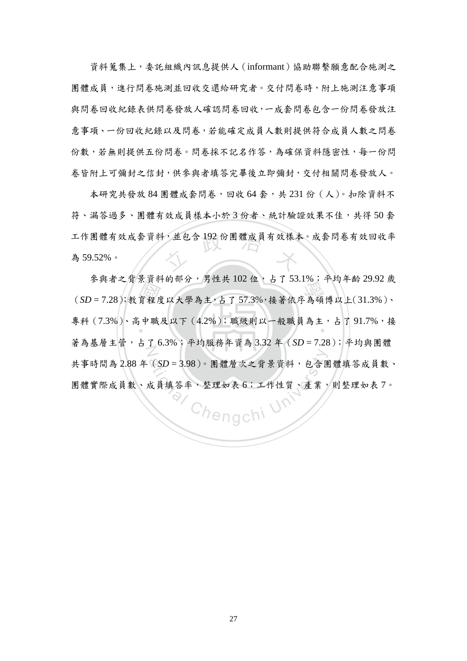資料蒐集上,委託組織內訊息提供人(informant)協助聯繫願意配合施測之 團體成員,進行問卷施測並回收交還給研究者。交付問卷時,附上施測注意事項 與問卷回收紀錄表供問卷發放人確認問卷回收,一成套問卷包含一份問卷發放注 意事項、一份回收紀錄以及問卷,若能確定成員人數則提供符合成員人數之問卷 份數,若無則提供五份問卷。問卷採不記名作答,為確保資料隱密性,每一份問 卷皆附上可彌封之信封,供參與者填答完畢後立即彌封,交付相關問卷發放人。

工作團體有效成套資料,並包含192份團體成員有效樣本。成套問卷有效回收率<br>為59.52%。 本研究共發放 84 團體成套問卷,回收 64 套,共 231 份 (人)。扣除資料不 符、漏答過多、團體有效成員樣本小於3份者、統計驗證效果不佳,共得50套 為 59.52%。

小育程<br>「<br>「<br>「<br>「<br>「<br>」 **(SD = 7.28);教育程度以大學為主,占了 57.3%,接著依序為碩博以上(31.3%)、** 專科 (7.3%)、高中職及以下 (4.2%);職級則以一般職員為主,占了91.7%,接  $\dot{\mathbb{Z}}$  參與者之背景資料的部分,男性共 102 位,占了 53.1%;平均年齡 29.92 歲 著為基層主管,占了 6.3%;平均服務年資為 3.32 年(*SD* = 7.28);平均與團體 共事時間為 2.88 年(*SD* = 3.98)。團體層次之背景資料,包含團體填答成員數、 團體實際成員數、成員填答率,整理如表 6;工作性質、產業,則整理如表 7。

Chengchi Uni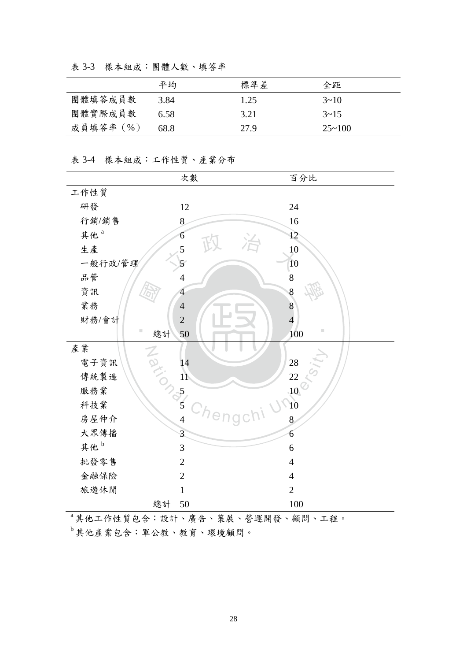|           | 平均   | 標準差  | 全距            |
|-----------|------|------|---------------|
| 團體填答成員數   | 3.84 | 1.25 | $3 \sim 10$   |
| 團體實際成員數   | 6.58 | 3.21 | $3 \sim 15$   |
| 成員填答率 (%) | 68.8 | 27.9 | $25 \sim 100$ |

<span id="page-35-0"></span>表 3-3 樣本組成:團體人數、填答率

### <span id="page-35-1"></span>表 3-4 樣本組成:工作性質、產業分布

|                 | 次數                       | 百分比              |
|-----------------|--------------------------|------------------|
| 工作性質            |                          |                  |
| 研發              | 12                       | 24               |
| 行銷/銷售           | 8                        | 16               |
| 其他 <sup>a</sup> | 6                        | 12               |
| 生產              | 5                        | 10               |
| 一般行政/管理         | $\overline{5}$           | 10               |
| 品管              | $\overline{\mathcal{L}}$ | $\,8$            |
| 資訊              | $\overline{4}$           | 8                |
| 業務              | $\overline{4}$           | $\overline{8}$   |
| 財務/會計           | $\overline{2}$           | $\overline{4}$   |
| ш<br>總計         | 50                       | ш<br>100         |
| 產業<br>Nation    |                          |                  |
| 電子資訊            | 14                       | $28\,$           |
| 傳統製造            | $\overline{11}$          | 22               |
| 服務業             | $\frac{1}{2}$            | .10 <sub>l</sub> |
| 科技業             |                          | $\sqrt{10}$      |
| 房屋仲介            | Chen<br>$\overline{4}$   | 8                |
| 大眾傳播            | 3                        | 6                |
| 其他 <sup>b</sup> | 3                        | 6                |
| 批發零售            | $\overline{2}$           | $\overline{4}$   |
| 金融保險            | $\overline{2}$           | $\overline{4}$   |
| 旅遊休閒            | $\mathbf{1}$             | $\overline{2}$   |
| 總計              | 50                       | 100              |

a 其他工作性質包含:設計、廣告、策展、營運開發、顧問、工程。

<sup>b</sup> 其他產業包含:軍公教、教育、環境顧問。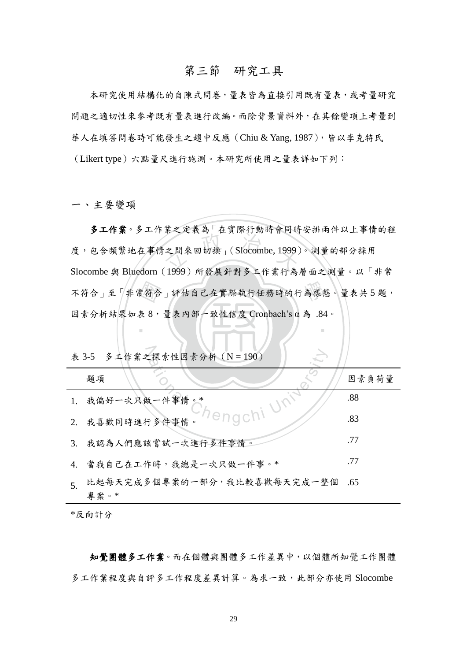#### 第三節 研究工具

 本研究使用結構化的自陳式問卷,量表皆為直接引用既有量表,或考量研究 問題之適切性來參考既有量表進行改編。而除背景資料外,在其餘變項上考量到 華人在填答問卷時可能發生之趨中反應 (Chiu & Yang, 1987),皆以李克特氏 (Likert type)六點量尺進行施測。本研究所使用之量表詳如下列:

一、主要變項

不符合」至「非常符合」評估自己在實際執行任務時的行為樣態。量表共5題,<br>因素分析結果如表8,量表內部一致性信度 Cronbach's α為 .84。 ス ニンス フェス トリング 11 多工作業。多工作業之定義為「在實際行動時會同時安排兩件以上事情的程 度,包含頻繁地在事情之間來回切換」(Slocombe, 1999)。測量的部分採用 Slocombe 與 Bluedorn(1999)所發展針對多工作業行為層面之測量。以「非常 因素分析結果如表 8,量表內部一致性信度 Cronbach's α 為 .84。

‧

|                | 表 3-5 多工作業之探索性因素分析 (N = 190)        |       |
|----------------|-------------------------------------|-------|
|                | 題項                                  | 因素負荷量 |
|                |                                     | .88   |
|                |                                     | .83   |
|                | 3. 我認為人們應該嘗試一次進行多件事情。               | .77   |
|                | 4. 當我自己在工作時,我總是一次只做一件事。*            | .77   |
| 5 <sub>1</sub> | 比起每天完成多個專案的一部分,我比較喜歡每天完成一整個<br>專案。* | .65   |

\*反向計分

 知覺團體多工作業。而在個體與團體多工作差異中,以個體所知覺工作團體 多工作業程度與自評多工作程度差異計算。為求一致,此部分亦使用 Slocombe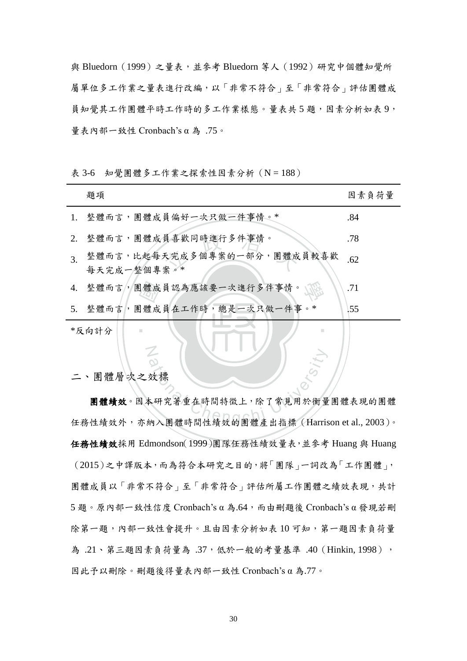與 Bluedorn (1999)之量表,並參考 Bluedorn 等人 (1992)研究中個體知覺所 屬單位多工作業之量表進行改編,以「非常不符合」至「非常符合」評估團體成 員知覺其工作團體平時工作時的多工作業樣態。量表共5題,因素分析如表9, 量表內部一致性 Cronbach's α 為 .75。

題項 カラン こうしょう こうしょう あんしゃ 因素負荷量

表 3-6 知覺團體多工作業之探索性因素分析 (N = 188)

|                  | 1. 整體而言,團體成員偏好一次只做一件事情。*                   | .84 |
|------------------|--------------------------------------------|-----|
|                  | 2. 整體而言,團體成員喜歡同時進行多件事情。                    | .78 |
| $\overline{3}$ . | 整體而言,比起每天完成多個專案的一部分,團體成員較喜歡<br>每天完成一整個專案。* | .62 |
|                  | 4. 整體而言,團體成員認為應該要一次進行多件事情。                 | .71 |
|                  | 5. 整體而言,團體成員在工作時,總是一次只做一件事。*               | .55 |
|                  | *反向計分<br>m                                 |     |

#### 二、團體層次之效標

N

效標<br>本研究著重在時間特徵上,除了常見用於衡量<br>納入團體時間性績效的團體產出指標 (Harris 團體績效。因本研究著重在時間特徵上,除了常見用於衡量團體表現的團體 任務性績效外,亦納入團體時間性績效的團體產出指標(Harrison et al., 2003)。 任務性績效採用 Edmondson(1999)團隊任務性績效量表,並參考 Huang 與 Huang (2015)之中譯版本,而為符合本研究之目的,將「團隊」一詞改為「工作團體」, 團體成員以「非常不符合」至「非常符合」評估所屬工作團體之績效表現,共計  $5.50$ 。原內部一致性信度 Cronbach's α為.64,而由刪題後 Cronbach's α 發現若刪 除第一題,內部一致性會提升。且由因素分析如表 10 可知,第一題因素負荷量 為 .21、第三題因素負荷量為 .37, 低於一般的考量基準 .40 (Hinkin, 1998), 因此予以刪除。刪題後得量表內部一致性 Cronbach's α 為.77。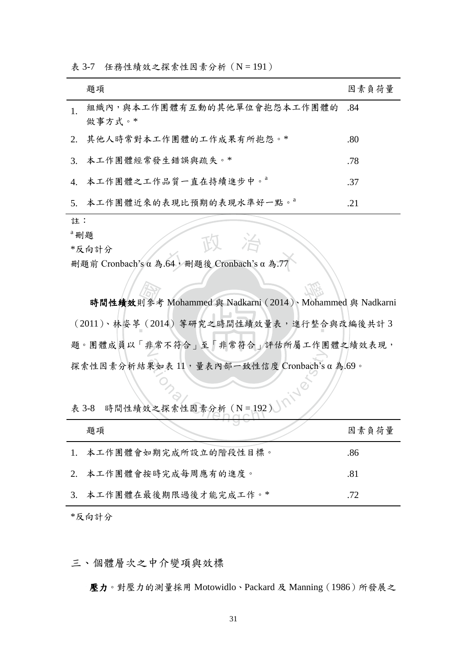| 題項                                        | 因素負荷量 |
|-------------------------------------------|-------|
| 組織內,與本工作團體有互動的其他單位會抱怨本工作團體的 .84<br>做事方式。* |       |
| 2. 其他人時常對本工作團體的工作成果有所抱怨。*                 | .80   |
| 3. 本工作團體經常發生錯誤與疏失。*                       | .78   |
| 4. 本工作團體之工作品質一直在持續進步中。                    | .37   |
| 5. 本工作團體近來的表現比預期的表現水準好一點。 <sup>a</sup>    | .21   |

表 3-7 任務性績效之探索性因素分析 (N = 191)

註:

a 刪題

\*反向計分

"刪題<br>\*反向計分<br>刪題前 Cronbach's α 為.64,刪題後 Cronbach's α 為.77

則參考<br>. (20)<br>. 時間性績效則參考 Mohammed 與 Nadkarni (2014)、Mohammed 與 Nadkarni ‧ (2011)、林姿葶(2014)等研究之時間性績效量表,進行整合與改編後共計 3 題。團體成員以「非常不符合」主常符合」評估所屬工作團體之績效表現, 果如表 11,量表内部一致性信度 Cronbach's e 探索性因素分析結果如表 11,量表內部一致性信度 Cronbach's α 為.69。

|  |  | 表 3-8 時間性績效之探索性因素分析 (N = 192) |  |  |
|--|--|-------------------------------|--|--|
|--|--|-------------------------------|--|--|

| 題項                      | 因素負荷量 |
|-------------------------|-------|
| 1. 本工作團體會如期完成所設立的階段性目標。 | .86   |
| 2. 本工作團體會按時完成每周應有的進度。   | .81   |
| 3. 本工作團體在最後期限過後才能完成工作。* | .72   |

\*反向計分

三、個體層次之中介變項與效標

壓力。對壓力的測量採用 Motowidlo、Packard 及 Manning(1986)所發展之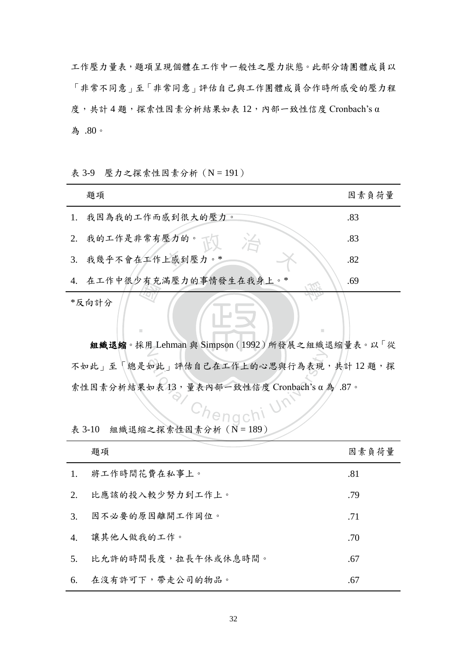工作壓力量表,題項呈現個體在工作中一般性之壓力狀態。此部分請團體成員以 「非常不同意」至「非常同意」評估自己與工作團體成員合作時所感受的壓力程 度,共計 4 題,探索性因素分析結果如表 12,內部一致性信度 Cronbach's α 為 .80。

| 表 3-9 壓力之探索性因素分析 (N = 191) |  |  |  |
|----------------------------|--|--|--|
|----------------------------|--|--|--|

|    | 題項                        | 因素負荷量 |
|----|---------------------------|-------|
| 1. | 我因為我的工作而感到很大的壓力。          | .83   |
| 2. | 我的工作是非常有壓力的。一             | .83   |
| 3. | 我幾乎不會在工作上感到壓力。*           | .82   |
|    | 4. 在工作中很少有充满壓力的事情發生在我身上。* | .69   |
|    | *反向計分<br>ш<br>ш           |       |

組織退縮。採用 Lehman 與 Simpson (1992)所發展之組織退縮量表。以「從 h此」評估自己在工作上的心思與行為表現<br>如表13,量表內部一致性信度 Cronbach's α ; 不如此」至「總是如此」評估自己在工作上的心思與行為表現,共計12題,探 索性因素分析結果如表 13,量表內部一致性信度 Cronbach's α 為 .87。

表 3-10 組織退縮之探索性因素分析  $(N = 189)$ 

|                | 題項                  | 因素負荷量 |
|----------------|---------------------|-------|
| $\mathbf{1}$ . | 將工作時間花費在私事上。        | .81   |
| 2.             | 比應該的投入較少努力到工作上。     | .79   |
| 3.             | 因不必要的原因離開工作岡位。      | .71   |
| 4.             | 讓其他人做我的工作。          | .70   |
| 5 <sub>1</sub> | 比允許的時間長度,拉長午休或休息時間。 | .67   |
| 6.             | 在沒有許可下,帶走公司的物品。     | .67   |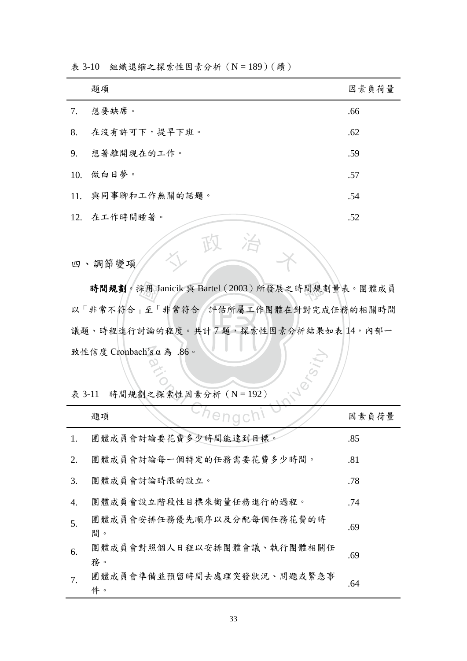|    | 題項                | 因素負荷量 |
|----|-------------------|-------|
| 7. | 想要缺席。             | .66   |
| 8. | 在沒有許可下,提早下班。      | .62   |
| 9. | 想著離開現在的工作。        | .59   |
|    | 10. 做白日夢。         | .57   |
|    | 11. 與同事聊和工作無關的話題。 | .54   |
|    | 12. 在工作時間睡著。      | .52   |

表 3-10 組織退縮之探索性因素分析 (N = 189) (續)

四、調節變項

議題、時程進行討論的程度。共計7題,探索性因素分析結果如表 14,內部一 采用」<br>」<br>封論的 時間規劃。採用 Janicik 與 Bartel (2003)所發展之時間規劃量表。團體成員 N 致性信度 Cronbach's α 為 .86。 以「非常不符合」至「非常符合」評估所屬工作團體在針對完成任務的相關時間

人 政 治 木

表 3-11 時間規劃之探索性因素分析  $(N = 192)$ 

|        | 致性信度 Cronbach's α 為 .86。<br>indersi |       |
|--------|-------------------------------------|-------|
| 表 3-11 | 時間規劃之探索性因素分析 (N = 192)              |       |
|        | enach!<br>題項                        | 因素負荷量 |
| 1.     | 團體成員會討論要花費多少時間能達到目標。                | .85   |
| 2.     | 團體成員會討論每一個特定的任務需要花費多少時間。            | .81   |
| 3.     | 團體成員會討論時限的設立。                       | .78   |
| 4.     | 團體成員會設立階段性目標來衡量任務進行的過程。             | .74   |
| 5.     | 團體成員會安排任務優先順序以及分配每個任務花費的時<br>間。     | .69   |
| 6.     | 團體成員會對照個人日程以安排團體會議、執行團體相關任<br>務。    | .69   |
| 7.     | 團體成員會準備並預留時間去處理突發狀況、問題或緊急事<br>件。    | .64   |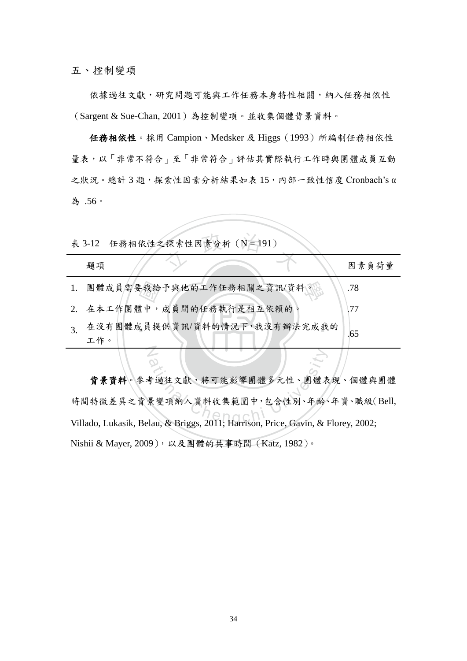五、控制變項

依據過往文獻,研究問題可能與工作任務本身特性相關,納入任務相依性 (Sargent & Sue-Chan, 2001)為控制變項。並收集個體背景資料。

 任務相依性。採用 Campion、Medsker 及 Higgs(1993)所編制任務相依性 量表,以「非常不符合」至「非常符合」評估其實際執行工作時與團體成員互動 之狀況。總計 3 題,探索性因素分析結果如表 15,內部一致性信度 Cronbach's α 為 .56。

|    |     |  | 表 3-12 任務相依性之探索性因素分析 (N=191) |                              |       |  |
|----|-----|--|------------------------------|------------------------------|-------|--|
|    | 題項  |  |                              |                              | 因素負荷量 |  |
| 1. |     |  | 團體成員需要我給予與他的工作任務相關之資訊/資料。    |                              | .78   |  |
|    |     |  | 2. 在本工作團體中,成員間的任務執行是相互依賴的。   |                              | 177   |  |
| 3. | 工作。 |  |                              | 在沒有團體成員提供資訊/資料的情況下,我沒有辦法完成我的 | .65   |  |
|    |     |  |                              |                              |       |  |

adional Chengchi View The South View The South View The South View The South View The South View The South View The South View The South View Theory<br><br>The South View The South View The South View The South View The South V 背景資料。參考過往文獻,將可能影響團體多元性、團體表現、個體與團體 時間特徵差異之背景變項納入資料收集範圍中,包含性別、年齡、年資、職級(Bell, Villado, Lukasik, Belau, & Briggs, 2011; Harrison, Price, Gavin, & Florey, 2002; Nishii & Mayer, 2009),以及團體的共事時間(Katz, 1982)。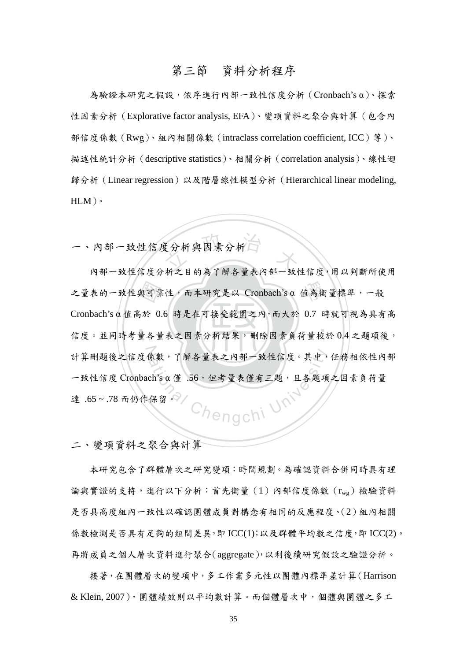### 第三節 資料分析程序

 為驗證本研究之假設,依序進行內部一致性信度分析(Cronbach's α)、探索 性因素分析(Explorative factor analysis, EFA)、變項資料之聚合與計算(包含內 部信度係數(Rwg)、組內相關係數(intraclass correlation coefficient, ICC)等)、 描述性統計分析(descriptive statistics)、相關分析(correlation analysis)、線性迴 歸分析(Linear regression)以及階層線性模型分析(Hierarchical linear modeling,  $HLM$ )。

支分析與因素分析 一、內部一致性信度分析與因素分析

‧與可靠<br>ji於 0<br>量各量 學 之量表的一致性與可靠性,而本研究是以 Cronbach's α 值為衡量標準,一般 ‧ 計算刪題後之信度係數,了解各量表之內部一致性信度。其中,任務相依性內部 Chengchi Univ 內部一致性信度分析之目的為了解各量表內部一致性信度,用以判斷所使用 Cronbach's α 值高於 0.6 時是在可接受範圍之內,而大於 0.7 時就可視為具有高 信度。並同時考量各量表之因素分析結果,刪除因素負荷量校於 0.4 之題項後,  $-$ 致性信度 Cronbach's α 僅 .56,但考量表僅有三題,且各題項之因素負荷量 達 .65 ~ .78 而仍作保留。

二、變項資料之聚合與計算

 本研究包含了群體層次之研究變項:時間規劃。為確認資料合併同時具有理 論與實證的支持,進行以下分析:首先衡量(1)內部信度係數(rwg)檢驗資料 是否具高度組內一致性以確認團體成員對構念有相同的反應程度、(2)組內相關 係數檢測是否具有足夠的組間差異,即 ICC(1);以及群體平均數之信度,即 ICC(2)。 再將成員之個人層次資料進行聚合(aggregate),以利後續研究假設之驗證分析。

 接著,在團體層次的變項中,多工作業多元性以團體內標準差計算(Harrison & Klein, 2007),團體績效則以平均數計算。而個體層次中,個體與團體之多工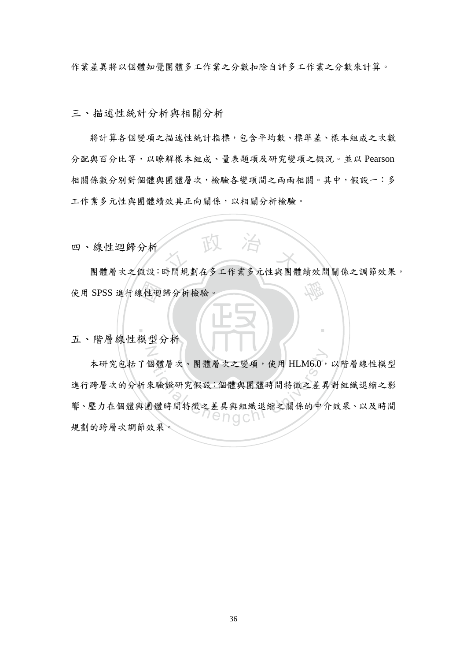作業差異將以個體知覺團體多工作業之分數扣除自評多工作業之分數來計算。

三、描述性統計分析與相關分析

 將計算各個變項之描述性統計指標,包含平均數、標準差、樣本組成之次數 分配與百分比等,以瞭解樣本組成、量表題項及研究變項之概況。並以 Pearson 相關係數分別對個體與團體層次,檢驗各變項間之兩兩相關。其中,假設一:多 工作業多元性與團體績效具正向關係,以相關分析檢驗。

四、線性迴歸分析

。<br><br><br>横刑<br> <sup>立</sup> <sup>政</sup> <sup>治</sup> <sup>大</sup> 團體層次之假設:時間規劃在多工作業多元性與團體績效間關係之調節效果, 學 使用 SPSS 進行線性迴歸分析檢驗。

‧

五、階層線性模型分析

N

個體層次、團體層次之變項,使用 HLM6.0,<br>來驗證研究假設:個體與團體時間特徵之差異<br>即體時間特徵之差異與組織退縮之關係的中介 本研究包括了個體層次、團體層次之變項,使用 HLM6.0,以階層線性模型 進行跨層次的分析來驗證研究假設:個體與團體時間特徵之差異對組織退縮之影 響、壓力在個體與團體時間特徵之差異與組織退縮之關係的中介效果、以及時間 規劃的跨層次調節效果。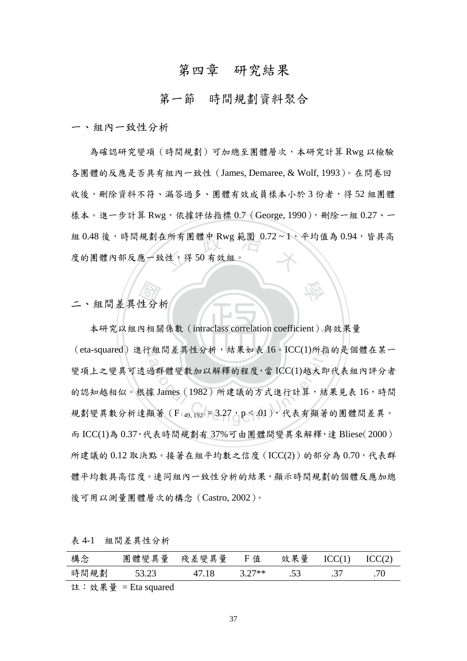# 第四章 研究結果

#### 第一節 時間規劃資料聚合

一、組內一致性分析

組 0.48 後,時間規劃在所有團體中 Rwg 範圍 0.72~1,平均值為 0.94,皆具高<br>度的團體內部反應一致性,得 50 有效組。 為確認研究變項(時間規劃)可加總至團體層次,本研究計算 Rwg 以檢驗 各團體的反應是否具有組內一致性(James, Demaree, & Wolf, 1993)。在問卷回 收後,刪除資料不符、漏答過多、團體有效成員樣本小於3份者,得52 組團體 樣本。進一步計算 Rwg,依據評估指標 0.7 (George, 1990),刪除一組 0.27、一 度的團體內部反應一致性,得 50 有效組。

學

二、組間差異性分析

本研究以組內相關係數 (intraclass correlation coefficient) 與效果量 (行) (eta-squared)進行組間差異性分析,結果如表 16。ICC(1)所指的是個體在某一 <sup>a</sup>t<sup>i</sup>ona<sup>l</sup> <sup>C</sup>hengch<sup>i</sup> <sup>U</sup>nivers<sup>i</sup>t<sup>y</sup> 變項上之變異可透過群體變數加以解釋的程度,當 ICC(1)越大即代表組內評分者 的認知越相似。根據 James (1982)所建議的方式進行計算,結果見表 16,時間 規劃變異數分析達顯著  $(F_{(49, 192)} = 3.27$ ,  $p < .01)$ , 代表有顯著的團體間差異。 而 ICC(1)為 0.37,代表時間規劃有 37%可由團體間變異來解釋,達 Bliese(2000) 所建議的 0.12 取決點。接著在組平均數之信度 (ICC(2)) 的部分為 0.70,代表群 體平均數具高信度。連同組內一致性分析的結果,顯示時間規劃的個體反應加總 後可用以測量團體層次的構念(Castro, 2002)。

| 構念   | 量<br>體變<br>異<br>團 | 量<br>差變<br>殘<br>異 | 值<br>н | 效果量    |         | CC(2) |
|------|-------------------|-------------------|--------|--------|---------|-------|
| 時間規劃 | รว าว<br>ن∠.د ر   | 18                | $77**$ | $\sim$ | $\cdot$ |       |
|      |                   |                   |        |        |         |       |

註:效果量 = Eta squared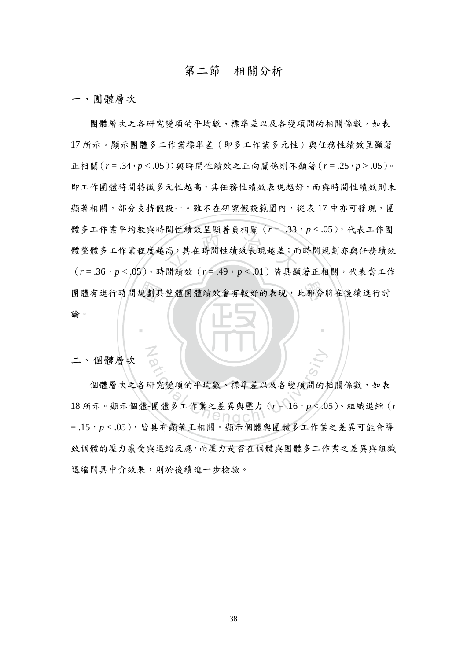## 第二節 相關分析

一、團體層次

團體有進行時間規劃其整體團體績效會有較好的表現,此部分將在後續進行討<br>論。 高,其在時間性績效表現越差;而<br>高,其在時間性績效表現越差;而 團體層次之各研究變項的平均數、標準差以及各變項間的相關係數,如表 17 所示。顯示團體多工作業標準差(即多工作業多元性)與任務性績效呈顯著 正相關(*r* = .34,*p* < .05);與時間性績效之正向關係則不顯著(*r* = .25,*p* > .05)。 即工作團體時間特徵多元性越高,其任務性績效表現越好,而與時間性績效則未 顯著相關,部分支持假設一。雖不在研究假設範圍內,從表17中亦可發現,團 體多工作業平均數與時間性績效呈顯著負相關(*r* = -.33,*p* < .05),代表工作團 體整體多工作業程度越高,其在時間性績效表現越差;而時間規劃亦與任務績效 (*r* = .36,*p* < .05)、時間績效(*r* = .49,*p* < .01)皆具顯著正相關,代表當工作 論。

二、個體層次

N

dong<br>研究變項的平均數、標準差以及各變項間的材<br>-團體多工作業之差異與壓力 (r=.16, p<.0) 個體層次之各研究變項的平均數、標準差以及各變項間的相關係數,如表 18 所示。顯示個體-團體多工作業之差異與壓力(*r* = .16,*p* < .05)、組織退縮(*r* = .15,*p* < .05),皆具有顯著正相關。顯示個體與團體多工作業之差異可能會導 致個體的壓力感受與退縮反應,而壓力是否在個體與團體多工作業之差異與組織 退縮間具中介效果,則於後續進一步檢驗。

‧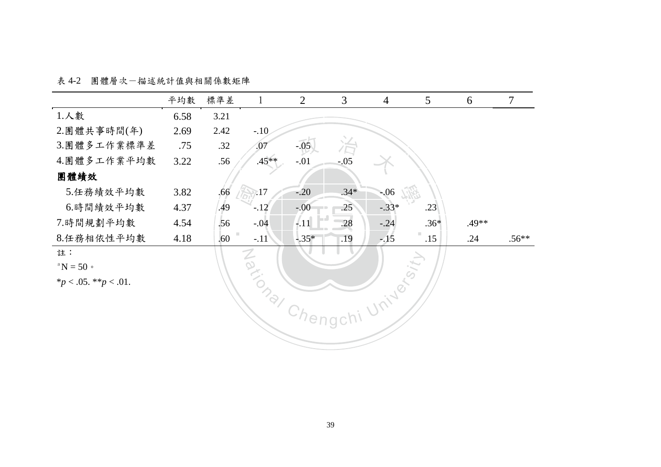表 4-2 團體層次-描述統計值與相關係數矩陣

|                                                | 平均數  | 標準差  | $\mathbf 1$ | $\overline{2}$          | 3                        | $\overline{4}$ | $5\overline{)}$ | 6     | $\overline{7}$ |
|------------------------------------------------|------|------|-------------|-------------------------|--------------------------|----------------|-----------------|-------|----------------|
| 1.人數                                           | 6.58 | 3.21 |             |                         |                          |                |                 |       |                |
| 2.團體共事時間(年)                                    | 2.69 | 2.42 | $-.10$      |                         |                          |                |                 |       |                |
| 3.團體多工作業標準差                                    | .75  | .32  | .07         | $-.05$                  | $\sum_{-0.05}^{+\infty}$ |                |                 |       |                |
| 4.團體多工作業平均數                                    | 3.22 | .56  | $.45**$     | $-.01$                  |                          |                |                 |       |                |
| 團體績效                                           |      |      |             |                         |                          |                |                 |       |                |
| 5.任務績效平均數                                      | 3.82 | .66  | 7.17        | $-.20$                  | $.34*$                   | $-06$          |                 |       |                |
| 6.時間績效平均數                                      | 4.37 | .49  | $-.12$      | $-.00$                  | .25                      | $-.33*$        | .23             |       |                |
| 7.時間規劃平均數                                      | 4.54 | .56  | $-.04$      | lin A<br>$\frac{1}{11}$ | .28                      | $-.24$         | $.36*$          | .49** |                |
| 8.任務相依性平均數                                     | 4.18 | .60  | $-.11$      | $-0.35*$                | .19                      | $-15$          | .15             | .24   | $.56**$        |
| 註:                                             |      |      |             |                         |                          |                |                 |       |                |
| $\mathrm{d}^{\mathrm{a}}\mathrm{N}=50$ $\circ$ |      |      |             |                         |                          |                |                 |       |                |
| * $p < .05.$ ** $p < .01.$                     |      |      |             |                         |                          |                |                 |       |                |
|                                                |      |      | Maxional    |                         |                          | University     |                 |       |                |
|                                                |      |      |             |                         |                          |                |                 |       |                |
|                                                |      |      |             |                         |                          |                |                 |       |                |
|                                                |      |      |             |                         |                          |                |                 |       |                |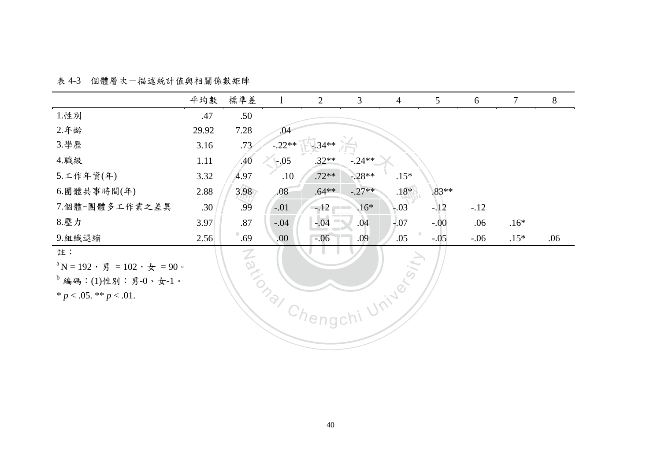表 4-3 個體層次-描述統計值與相關係數矩陣

|                                                                                                       | 平均數   | 標準差              | $\mathbf{1}$ | $\overline{2}$ | 3        | $\overline{4}$ | 5       | 6       | $\tau$ | 8   |
|-------------------------------------------------------------------------------------------------------|-------|------------------|--------------|----------------|----------|----------------|---------|---------|--------|-----|
| 1.性别                                                                                                  | .47   | .50              |              |                |          |                |         |         |        |     |
| 2.年齢                                                                                                  | 29.92 | 7.28             | .04          |                |          |                |         |         |        |     |
| 3.學歷                                                                                                  | 3.16  | .73/             | $-.22**$     | $-34**$        |          |                |         |         |        |     |
| 4. 職級                                                                                                 | 1.11  | .40              | $-0.05$      | $.32**$        | $-.24**$ |                |         |         |        |     |
| 5.工作年資(年)                                                                                             | 3.32  | 4.97             | .10          | $.72**$        | $-.28**$ | $.15*$         |         |         |        |     |
| 6.團體共事時間(年)                                                                                           | 2.88  | 3.98             | .08          | $.64***$       | $-.27**$ | $.18*$         | $.83**$ |         |        |     |
| 7.個體-團體多工作業之差異                                                                                        | .30   | .99              | $-.01$       | $-.12$         | $.16*$   | $-03$          | $-.12$  | $-.12$  |        |     |
| 8.壓力                                                                                                  | 3.97  | .87              | $-.04$       | $-0.04$        | .04      | $-0.07$        | $-.00$  | .06     | $.16*$ |     |
| 9.組織退縮                                                                                                | 2.56  | $\overline{.69}$ | .00.         | $-.06$         | .09      | .05            | $-.05$  | $-0.06$ | $.15*$ | .06 |
| 註:<br>$^{\rm a}$ N = 192, 男 = 102, 女 = 90。<br>$b$ 編碼: (1)性別: 男-0、女-1。<br>* $p < .05$ . ** $p < .01$ . |       | $\mathcal{Z}$    | TONDET       | Chengch        |          | University     |         |         |        |     |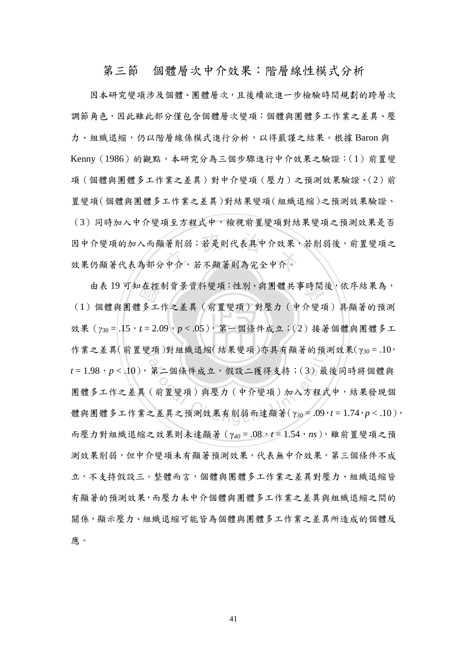第三節 個體層次中介效果:階層線性模式分析

因中介變項的加入而顯著削弱;若是則代表具中介效果,<br>效果仍顯著代表為部分中介,若不顯著則為完全中介。 因本研究變項涉及個體、團體層次,且後續欲進一步檢驗時間規劃的跨層次 調節角色,因此雖此部分僅包含個體層次變項:個體與團體多工作業之差異、壓 力、組織退縮,仍以階層線係模式進行分析,以得嚴謹之結果。根據 Baron 與 Kenny(1986)的觀點,本研究分為三個步驟進行中介效果之驗證:(1)前置變 項(個體與團體多工作業之差異)對中介變項(壓力)之預測效果驗證、(2)前 置變項(個體與團體多工作業之差異)對結果變項(組織退縮)之預測效果驗證、 (3)同時加入中介變項至方程式中,檢視前置變項對結果變項之預測效果是否 因中介變項的加入而顯著削弱;若是則代表具中介效果,若削弱後,前置變項之

效果 ( $γ_{30} = .15$ ,  $t = 2.09$ ,  $p < .05$ ), 第一個條件成立;(2)接著個體與團體多工 |在控<br>|多工<br>|多工 由表 19 可知在控制背景資料變項:性別、與團體共事時間後,依序結果為, 作業之差異(前置變項)對組織退縮(結果變項)亦具有顯著的預測效果(γ30=.10, [垻)對組織退縮(結未變頃)小具有網者的損?<br>第二個條件成立,假設二獲得支持;(3)最<br>(前置變項)與壓力 (中介變項)加入方程式<br>(前置變項)與壓力 (中介變項)加入方程式 (1)個體與團體多工作之差異(前置變項)對壓力(中介變項)具顯著的預測 *t* = 1.98,*p* < .10),第二個條件成立,假設二獲得支持;(3)最後同時將個體與 團體多工作之差異(前置變項)與壓力(中介變項)加入方程式中,結果發現個 體與團體多工作業之差異之預測效果有削弱而達顯著(γ*30* = .09,*t* = 1.74,*p* < .10), 而壓力對組織退縮之效果則未達顯著(γ*40* = .08,*t* = 1.54,*ns*),雖前置變項之預 測效果削弱,但中介變項未有顯著預測效果,代表無中介效果,第三個條件不成 立,不支持假設三。整體而言,個體與團體多工作業之差異對壓力、組織退縮皆 有顯著的預測效果,而壓力未中介個體與團體多工作業之差異與組織退縮之間的 關係,顯示壓力、組織退縮可能皆為個體與團體多工作業之差異所造成的個體反 應。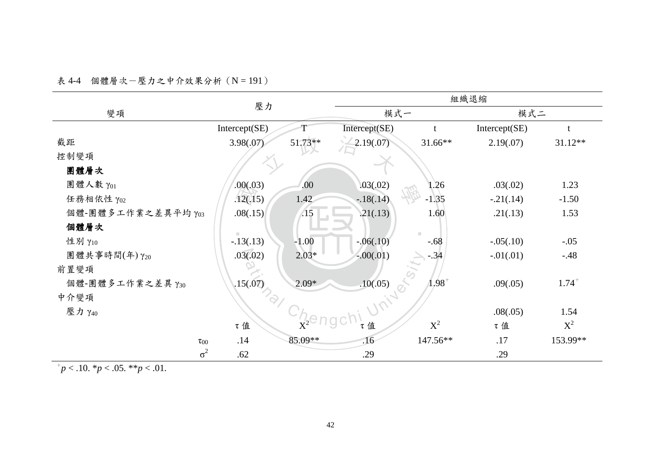表 4-4 個體層次一壓力之中介效果分析 (N = 191)

|                    | 壓力                    |         | 組織退縮          |                |               |                     |  |
|--------------------|-----------------------|---------|---------------|----------------|---------------|---------------------|--|
| 變項                 |                       |         | 模式一           |                | 模式二           |                     |  |
|                    | Intercept(SE)         |         | Intercept(SE) |                | Intercept(SE) | t                   |  |
| 截距                 | 3.98(.07)             | 51.73** | 2.19(.07)     | 31.66**        | 2.19(.07)     | $31.12**$           |  |
| 控制變項               |                       |         |               |                |               |                     |  |
| 團體層次               |                       |         |               |                |               |                     |  |
| 團體人數 γ01           | .00(.03)              | .00     | .03(.02)      | 1.26           | .03(.02)      | 1.23                |  |
| 任務相依性 γ02          | .12(.15)              | 1.42    | $-.18(.14)$   | $-1.35$        | $-.21(.14)$   | $-1.50$             |  |
| 個體-團體多工作業之差異平均 Y03 | .08(.15)              | .15     | .21(.13)      | 1.60           | .21(.13)      | 1.53                |  |
| 個體層次               |                       |         |               | $\mathbb{R}^n$ |               |                     |  |
| 性别 γ10             | $-13(.13)$            | $-1.00$ | $-.06(.10)$   | $-.68$         | $-.05(.10)$   | $-.05$              |  |
| 團體共事時間(年)γ20       | .03(.02)              | $2.03*$ | $-.00(.01)$   | 34/            | $-.01(.01)$   | $-.48$              |  |
| 前置變項               | Ø                     |         |               |                |               |                     |  |
| 個體-團體多工作業之差異 Y30   | .15(.07)              | $2.09*$ | .10(.05)      | $1.98^{+}$     | .09(.05)      | $1.74$ <sup>+</sup> |  |
| 中介變項               | $\mathcal{P}_{Q_{f}}$ |         | Uniters       |                |               |                     |  |
| 壓力 γ <sub>40</sub> |                       |         |               |                | .08(.05)      | 1.54                |  |
|                    | τ值                    |         | τ值            | $\mathbf{X}^2$ | τ值            | $X^2$               |  |
| $\tau_{00}$        | .14                   | 85.09** | .16           | 147.56**       | .17           | 153.99**            |  |
| $\sigma^2$         | .62                   |         | .29           |                | .29           |                     |  |

 $p<10$ . \* $p<0.05$ . \*\* $p<0.01$ .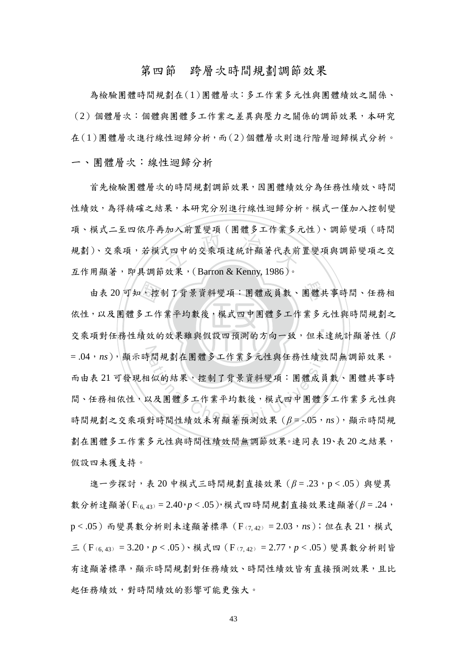#### 第四節 跨層次時間規劃調節效果

為檢驗團體時間規劃在(1)團體層次:多工作業多元性與團體績效之關係、 (2)個體層次:個體與團體多工作業之差異與壓力之關係的調節效果,本研究 在(1)團體層次進行線性迴歸分析,而(2)個體層次則進行階層迴歸模式分析。 一、團體層次:線性迴歸分析

<sub>がインの計量文</sub> ス 、出通クーロホンク<br><br><br>.<br>. \* 単 、( Barron & Kenny, 1986 )。 首先檢驗團體層次的時間規劃調節效果,因團體績效分為任務性績效、時間 性績效,為得精確之結果,本研究分別進行線性迴歸分析。模式一僅加入控制變 項、模式二至四依序再加入前置變項(團體多工作業多元性)、調節變項(時間 規劃)、交乘項,若模式四中的交乘項達統計顯著代表前置變項與調節變項之交 互作用顯著,即具調節效果,(Barron & Kenny, 1986)。

 $\ldots$   $\ldots$   $\ldots$   $\ldots$   $\ldots$   $\ldots$ 由表 20 可知,控制了背景資料變項:團體成員數、團體共事時間、任務相<br>依性,以及團體多工作業平均數後,模式四中團體多工作業多元性與時間規劃之<br>交乘項對任務性績效的效果雖與假設四預測的方向一致,但未達統計顯著性 (β =.04,ns),顯示時間規劃在團體多工作業多元性與任務性績效間無調節效果。 ·間規劃在團體多工作業多元性與任務性績效<br>1似的結果、控制了背景資料變項:團體成員<br><br><br>以及團體多工作業平均數後,模式四中團體多<br><br>對時間性績效未有顯著預測效果 (β = -.05, π 依性,以及團體多工作業平均數後,模式四中團體多工作業多元性與時間規劃之 交乘項對任務性績效的效果雖與假設四預測的方向一致,但未達統計顯著性(*β* 而由表 21 可發現相似的結果,控制了背景資料變項:團體成員數、團體共事時 間、任務相依性,以及團體多工作業平均數後,模式四中團體多工作業多元性與 時間規劃之交乘項對時間性績效未有顯著預測效果 (β = -.05, ns), 顯示時間規 劃在團體多工作業多元性與時間性績效間無調節效果。連同表 19、表 20 之結果, 假設四未獲支持。

 進一步探討,表 20 中模式三時間規劃直接效果(*β* = .23,p < .05)與變異 數分析達顯著(F(6, 43) = 2.40,*p* < .05),模式四時間規劃直接效果達顯著(*β* = .24, p < .05) 而變異數分析則未達顯著標準 (F<sub>(7,42)</sub> = 2.03, ns); 但在表 21, 模式 三(F(6, 43) = 3.20,*p* < .05)、模式四(F(7, 42) = 2.77,*p* < .05)變異數分析則皆 有達顯著標準,顯示時間規劃對任務績效、時間性績效皆有直接預測效果,且比 起任務績效,對時間績效的影響可能更強大。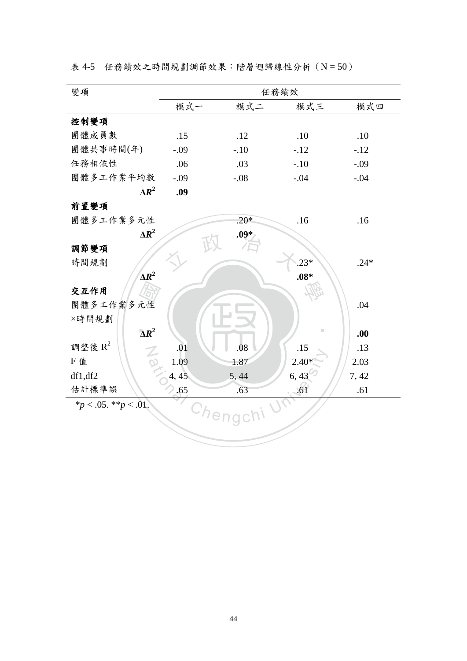|  |  |  | 表 4-5 任務績效之時間規劃調節效果:階層迴歸線性分析 (N = 50) |  |
|--|--|--|---------------------------------------|--|
|--|--|--|---------------------------------------|--|

| 變項                                 |        |          | 任務績效         |        |
|------------------------------------|--------|----------|--------------|--------|
|                                    | 模式一    | 模式二      | 模式三          | 模式四    |
| 控制變項                               |        |          |              |        |
| 團體成員數                              | .15    | .12      | .10          | .10    |
| 團體共事時間(年)                          | $-.09$ | $-.10$   | $-.12$       | $-.12$ |
| 任務相依性                              | .06    | .03      | $-.10$       | $-.09$ |
| 團體多工作業平均數                          | $-.09$ | $-.08$   | $-.04$       | $-.04$ |
| $\Delta R^2$                       | .09    |          |              |        |
| 前置變項                               |        |          |              |        |
| 團體多工作業多元性                          |        | $.20*$   | .16          | .16    |
| $\Delta R^2$                       |        | .09*     |              |        |
| 調節變項                               |        |          |              |        |
| 時間規劃                               |        |          | $.23*$       | $.24*$ |
| $\Delta R^2$                       |        |          | $.08*$       |        |
| 交互作用                               |        |          |              |        |
| 團體多工作業多元性                          |        |          |              | .04    |
| ×時間規劃                              |        |          |              |        |
| $\Delta R^2$                       |        |          |              | .00    |
| 調整後 $\mathbb{R}^2$<br>$\mathbb{Z}$ | .01    | .08      | .15          | .13    |
| F 值                                | 1.09   | 1.87     | $2.40*$      | 2.03   |
| df1, df2                           | 4, 45  | 5,44     | 6,43         | 7,42   |
| 估計標準誤                              | .65    | .63      | $-61$        | .61    |
| * $p < .05.$ ** $p < .01.$         |        |          | $U_{\Delta}$ |        |
|                                    |        | Chengchi |              |        |
|                                    |        |          |              |        |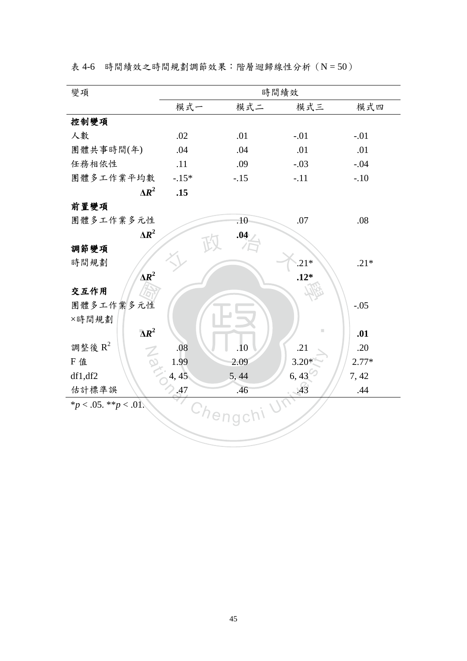|  |  |  | 表 4-6 時間績效之時間規劃調節效果:階層迴歸線性分析 (N=50) |  |
|--|--|--|-------------------------------------|--|
|--|--|--|-------------------------------------|--|

| 模式一     | 模式二    | 模式三           | 模式四                                   |
|---------|--------|---------------|---------------------------------------|
|         |        |               |                                       |
| .02     | .01    | $-.01$        | $-.01$                                |
| .04     | .04    | .01           | .01                                   |
| .11     | .09    | $-.03$        | $-.04$                                |
| $-.15*$ | $-.15$ | $-.11$        | $-.10$                                |
| .15     |        |               |                                       |
|         |        |               |                                       |
|         | .10    | .07           | .08                                   |
|         | .04    |               |                                       |
|         |        |               |                                       |
|         |        | $.21*$        | $.21*$                                |
|         |        | $.12*$        |                                       |
|         |        |               |                                       |
|         |        |               | $-.05$                                |
|         |        |               |                                       |
|         |        | ш             | .01                                   |
| .08     | .10    | .21           | .20                                   |
| 1.99    | 2.09   | $3.20*$       | $2.77*$                               |
| 4, 45   | 5,44   | $6, 43^\circ$ | 7,42                                  |
| .47     | .46    |               | .44                                   |
|         |        |               |                                       |
|         |        |               |                                       |
|         |        |               |                                       |
|         |        | Chengchi      | 時間績效<br>.43<br>$\Omega_{\mathcal{L}}$ |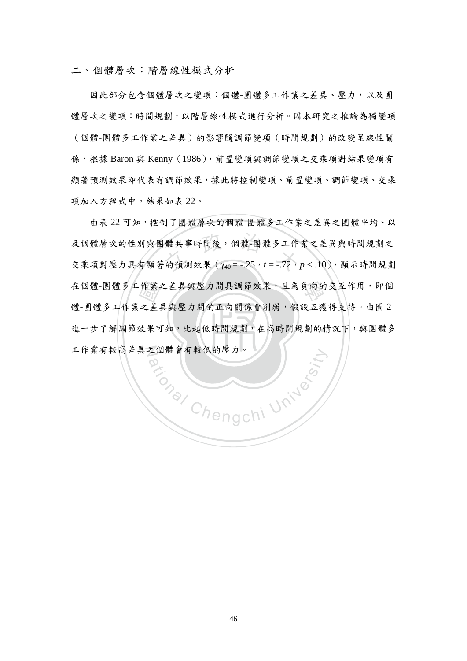二、個體層次:階層線性模式分析

因此部分包含個體層次之變項:個體-團體多工作業之差異、壓力,以及團 體層次之變項:時間規劃,以階層線性模式進行分析。因本研究之推論為獨變項 (個體-團體多工作業之差異)的影響隨調節變項(時間規劃)的改變呈線性關 係,根據 Baron 與 Kenny (1986), 前置變項與調節變項之交乘項對結果變項有 顯著預測效果有調節效果,據此將控制變項、前置變項、調節變項、交乘 項加入方程式中,結果如表 22。

進一步了解調節效果可知,比起低時間規劃,在高時間規劃的情況下,與團體多 作業:<br>之差:<br>效果可 及個體層次的性別與團體共事時間後,個體-團體多工作業之差異與時間規劃之<br>交乘項對壓力具有顯著的預測效果 (γ40 = -.25, t = -.72, p <.10), 顯示時間規劃 在個體-團體多工作業之差異與壓力間具調節效果,且為負向的交互作用,即個 工作業有較高差異之個體會有較低的壓力。 由表 22 可知,控制了團體層次的個體-團體多工作業之差異之團體平均、以 及個體層次的性別與團體共事時間後,個體-團體多工作業之差異與時間規劃之 體-團體多工作業之差異與壓力間的正向關係會削弱,假設五獲得支持。由圖 2

**Primary Chengchi University**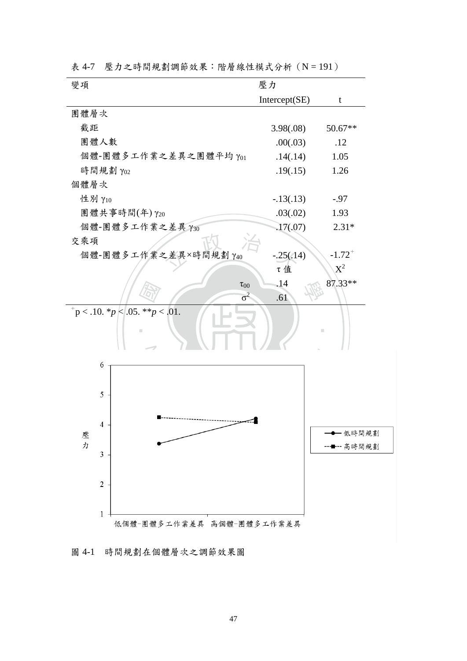| 變項                                          | 壓力                 |                      |
|---------------------------------------------|--------------------|----------------------|
|                                             | Intercept(SE)      | t                    |
| 團體層次                                        |                    |                      |
| 截距                                          | 3.98(.08)          | $50.67**$            |
| 團體人數                                        | .00(.03)           | .12                  |
| 個體-團體多工作業之差異之團體平均 Y01                       | .14(.14)           | 1.05                 |
| 時間規劃 γ02                                    | .19(.15)           | 1.26                 |
| 個體層次                                        |                    |                      |
| 性别 γ10                                      | $-.13(.13)$        | $-.97$               |
| 團體共事時間(年)γ20                                | .03(.02)           | 1.93                 |
| 個體-團體多工作業之差異 Y30                            | .17(0.07)          | $2.31*$              |
| 交乘項                                         |                    |                      |
| 個體-團體多工作業之差異×時間規劃 Y40                       | $-.25(.14)$        | $-1.72$ <sup>+</sup> |
|                                             | τ值                 | $X^2$                |
|                                             | .14<br>$\tau_{00}$ | 87.33**              |
|                                             | $\sigma^2$<br>.61  |                      |
| $p^+$ p < .10. * p \squad .05. * * p < .01. |                    | П                    |
| 6                                           |                    |                      |
|                                             |                    |                      |
| 5                                           |                    |                      |
|                                             |                    |                      |
| $\overline{4}$                              |                    |                      |
| 壓                                           |                    | 一低時間規劃               |
| 力<br>3                                      |                    | ■…高時間規劃              |
|                                             |                    |                      |
| $\sqrt{2}$                                  |                    |                      |
|                                             |                    |                      |
|                                             |                    |                      |
| 1<br>低個體–團體多工作業差異 高個體–團體多工作業差異              |                    |                      |

表 4-7 壓力之時間規劃調節效果:階層線性模式分析 (N = 191)

圖 4-1 時間規劃在個體層次之調節效果圖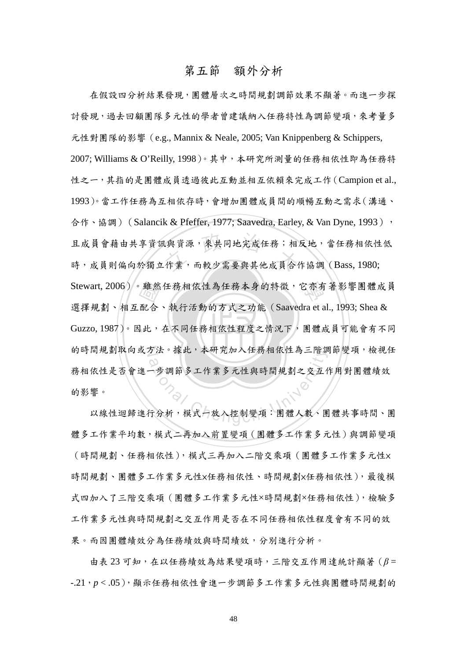#### 第五節 額外分析

‧‧ Guzzo, 1987)。因此,在不同任務相依性程度之情況下,團體成員可能會有不同 雖然<br>配合, (與資源,來共同地完成任務;相)<br>.作業,而較少需要與其他成員合<sup>{</sup> Stewart, 2006)。雖然任務相依性為任務本身的特徵,它亦有著影響團體成員 的時間規劃取向或方法。據此,本研究加入任務相依性為三階調節變項,檢視任 ク法。據此,本研究加入仕榜相依性為二階訳<br>○<br>一步調節多工作業多元性與時間規劃之交互作<br>行分析,模式一放入控制變項:團體人數、團 在假設四分析結果發現,團體層次之時間規劃調節效果不顯著。而進一步探 討發現,過去回顧團隊多元性的學者曾建議納入任務特性為調節變項,來考量多 元性對團隊的影響(e.g., Mannix & Neale, 2005; Van Knippenberg & Schippers, 2007; Williams & O'Reilly, 1998)。其中,本研究所測量的任務相依性即為任務特 性之一,其指的是團體成員透過彼此互動並相互依賴來完成工作(Campion et al., 1993)。當工作任務為互相依存時,會增加團體成員間的順暢互動之需求(溝通、 合作、協調)(Salancik & Pfeffer, 1977; Saavedra, Earley, & Van Dyne, 1993), 且成員會藉由共享資訊與資源,來共同地完成任務;相反地,當任務相依性低 時,成員則偏向於獨立作業,而較少需要與其他成員合作協調 (Bass, 1980; 選擇規劃、相互配合、執行活動的方式之功能(Saavedra et al., 1993; Shea & 務相依性是否會進一步調節多工作業多元性與時間規劃之交互作用對團體績效 的影響。

以線性迴歸進行分析,模式一放入控制變項:團體人數、團體共事時間、團 體多工作業平均數,模式二再加入前置變項(團體多工作業多元性)與調節變項 (時間規劃、任務相依性),模式三再加入二階交乘項(團體多工作業多元性× 時間規劃、團體多工作業多元性×任務相依性、時間規劃×任務相依性),最後模 式四加入了三階交乘項(團體多工作業多元性×時間規劃×任務相依性),檢驗多 工作業多元性與時間規劃之交互作用是否在不同任務相依性程度會有不同的效 果。而因團體績效分為任務績效與時間績效,分別進行分析。

 由表 23 可知,在以任務績效為結果變項時,三階交互作用達統計顯著(*β* = -.21,*p* < .05),顯示任務相依性會進一步調節多工作業多元性與團體時間規劃的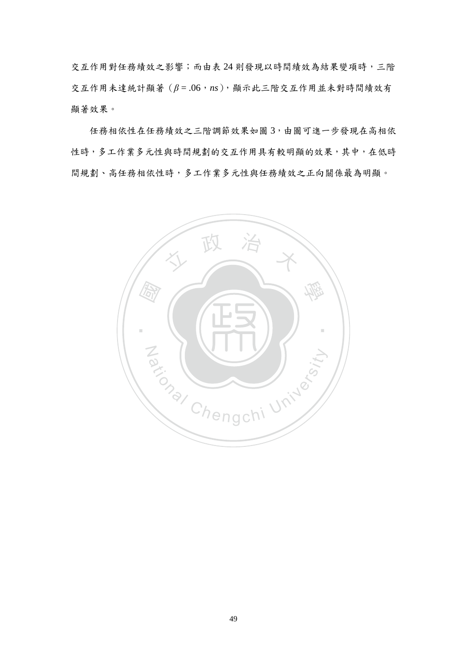交互作用對任務績效之影響;而由表 24 則發現以時間績效為結果變項時,三階 交互作用未達統計顯著(*β* = .06,*ns*),顯示此三階交互作用並未對時間績效有 顯著效果。

 任務相依性在任務績效之三階調節效果如圖 3,由圖可進一步發現在高相依 性時,多工作業多元性與時間規劃的交互作用具有較明顯的效果,其中,在低時 間規劃、高任務相依性時,多工作業多元性與任務績效之正向關係最為明顯。

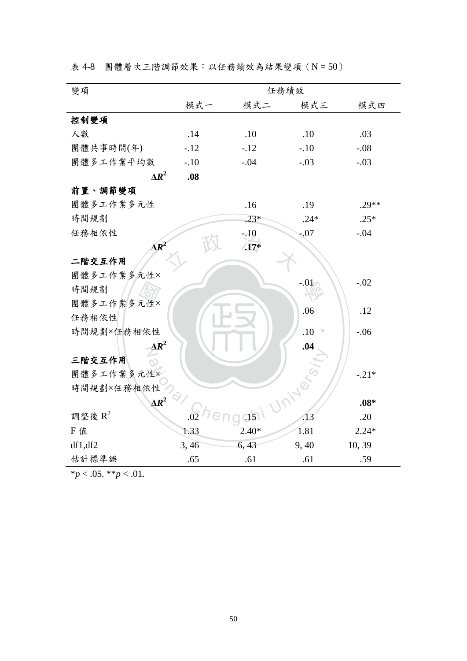表 4-8 團體層次三階調節效果:以任務績效為結果變項(N = 50)

| 變項              |        |               | 任務績效       |         |
|-----------------|--------|---------------|------------|---------|
|                 | 模式一    | 模式二           | 模式三        | 模式四     |
| 控制變項            |        |               |            |         |
| 人數              | .14    | .10           | .10        | .03     |
| 團體共事時間(年)       | $-.12$ | $-.12$        | $-.10$     | $-.08$  |
| 團體多工作業平均數       | $-.10$ | $-.04$        | $-.03$     | $-.03$  |
| $\Lambda R^2$   | .08    |               |            |         |
| 前置、調節變項         |        |               |            |         |
| 團體多工作業多元性       |        | .16           | .19        | $.29**$ |
| 時間規劃            |        | $.23*$        | $.24*$     | $.25*$  |
| 任務相依性           |        | $-.10$        | $-.07$     | $-.04$  |
| $\triangle R^2$ |        | $\sqrt{17^*}$ |            |         |
| 二階交互作用          |        |               |            |         |
| 團體多工作業多元性×      |        |               | $-.01$     | $-.02$  |
| 時間規劃            |        |               |            |         |
| 團體多工作業多元性×      |        |               | .06        | .12     |
| 任務相依性           |        |               |            |         |
| 時間規劃×任務相依性      |        |               | .10        | $-.06$  |
| $\Delta R^2$    |        |               | .04        |         |
| 三階交互作用<br>N     |        |               |            |         |
| 團體多工作業多元性×      |        |               |            | $-.21*$ |
| 時間規劃×任務相依性      |        |               |            |         |
| $\Delta R^2$    |        |               | University | $.08*$  |
| 調整後 $\rm R^2$   | .02    | d51           |            | .20     |
| F 值             | 1.33   | $2.40*$       | 1.81       | $2.24*$ |
| df1, df2        | 3,46   | 6, 43         | 9, 40      | 10, 39  |
| 估計標準誤           | .65    | .61           | .61        | .59     |

 $\frac{}{p}$  < .05. \*\**p* < .01.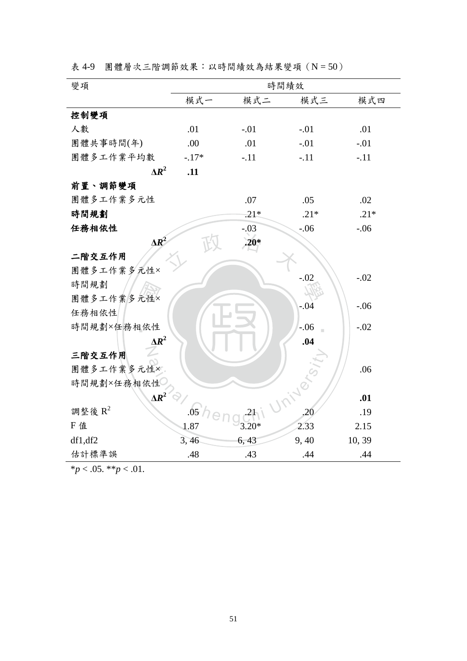|  |  | 表 4-9 團體層次三階調節效果:以時間績效為結果變項 (N = 50) |  |  |  |  |
|--|--|--------------------------------------|--|--|--|--|
|--|--|--------------------------------------|--|--|--|--|

| 變項           |                  |         | 時間績效      |        |
|--------------|------------------|---------|-----------|--------|
|              | 模式一              | 模式二     | 模式三       | 模式四    |
| 控制變項         |                  |         |           |        |
| 人數           | .01              | $-.01$  | $-.01$    | .01    |
| 團體共事時間(年)    | .00              | .01     | $-.01$    | $-.01$ |
| 團體多工作業平均數    | $-.17*$          | $-.11$  | $-.11$    | $-.11$ |
| $\Delta R^2$ | .11              |         |           |        |
| 前置、調節變項      |                  |         |           |        |
| 團體多工作業多元性    |                  | .07     | .05       | .02    |
| 時間規劃         |                  | $.21*$  | $.21*$    | $.21*$ |
| 任務相依性        |                  | $-.03$  | $-0.06$   | $-.06$ |
| $\Delta R^2$ |                  | $.20*$  |           |        |
| 二階交互作用       |                  |         |           |        |
| 團體多工作業多元性×   |                  |         | $-.02$    | $-.02$ |
| 時間規劃         |                  |         |           |        |
| 團體多工作業多元性×   |                  |         | $-.04$    | $-.06$ |
| 任務相依性        |                  |         |           |        |
| 時間規劃×任務相依性   |                  |         | $-.06$    | $-.02$ |
| $\Delta R^2$ |                  |         | .04       |        |
| 三階交互作用       |                  |         |           |        |
| 團體多工作業多元性×   |                  |         |           | .06    |
| 時間規劃×任務相依性   |                  |         |           |        |
| $\Delta R^2$ |                  |         | Iniversit | .01    |
| 調整後 $R^2$    | .05 <sub>1</sub> |         |           | .19    |
| F 值          | 1.87             | $3.20*$ | 2.33      | 2.15   |
| df1, df2     | 3,46             | 6, 43   | 9,40      | 10, 39 |
| 估計標準誤        | .48              | .43     | .44       | .44    |

 $**p* < .05. ***p* < .01.$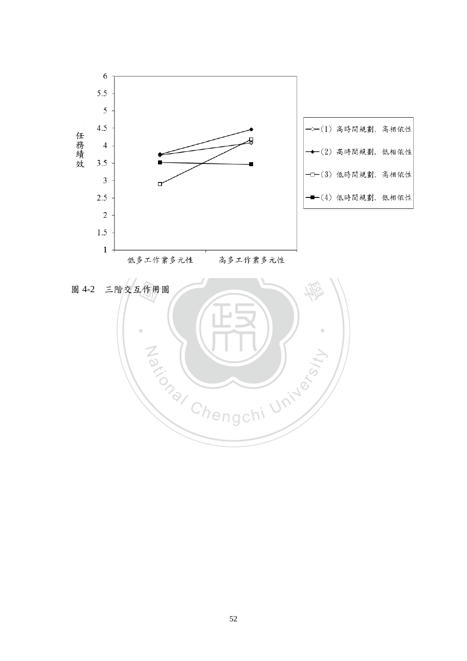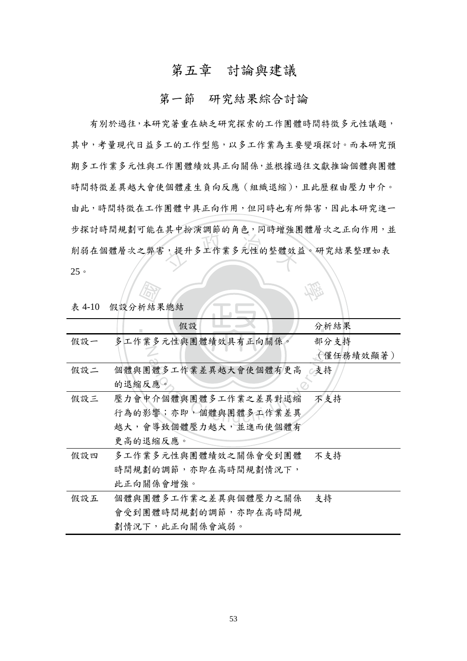# 第五章 討論與建議

#### 第一節 研究結果綜合討論

,从上以以到研究门口,,,,,,, 有別於過往,本研究著重在缺乏研究探索的工作團體時間特徵多元性議題, 其中,考量現代日益多工的工作型態,以多工作業為主要變項探討。而本研究預 期多工作業多元性與工作團體績效具正向關係,並根據過往文獻推論個體與團體 時間特徵差異越大會使個體產生負向反應(組織退縮),且此歷程由壓力中介。 由此,時間特徵在工作團體中具正向作用,但同時也有所弊害,因此本研究進一 步探討時間規劃可能在其中扮演調節的角色,同時增強團體層次之正向作用,並 削弱在個體層次之弊害,提升多工作業多元性的整體效益。研究結果整理如表 25。

| 表 4-10 | 假設分析結果總結             |           |
|--------|----------------------|-----------|
|        | 假設                   | 分析結果      |
| 假設一    | 多工作業多元性與團體績效具有正向關係。  | 部分支持      |
|        |                      | (僅任務績效顯著) |
| 假設二    | 個體與團體多工作業差異越大會使個體有更高 | 支持        |
|        | 的退缩反應。               |           |
| 假設三    | 壓力會中介個體與團體多工作業之差異對退縮 | 不支持       |
|        | 行為的影響;亦即,個體與團體多工作業差異 |           |
|        | 越大,會導致個體壓力越大,並進而使個體有 |           |
|        | 更高的退縮反應。             |           |
| 假設四    | 多工作業多元性與團體績效之關係會受到團體 | 不支持       |
|        | 時間規劃的調節,亦即在高時間規劃情況下, |           |
|        | 此正向關係會增強。            |           |
| 假設五    | 個體與團體多工作業之差異與個體壓力之關係 | 支持        |
|        | 會受到團體時間規劃的調節,亦即在高時間規 |           |
|        | 劃情況下,此正向關係會減弱。       |           |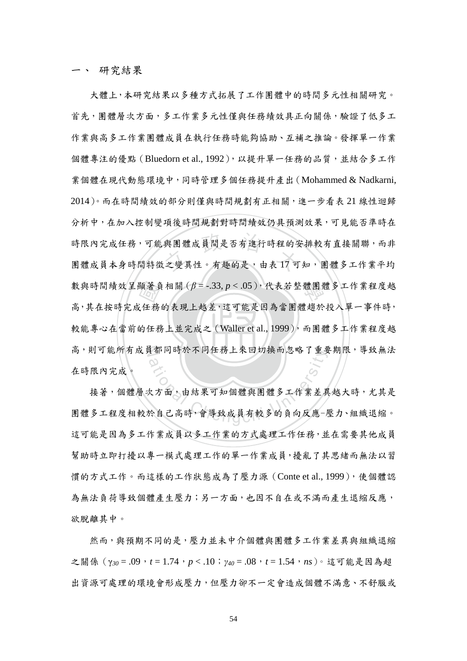一、 研究結果

較能專心在當前的任務上並完成之 (Waller et al., 1999), 而團體多工作業程度越 顯著負<br><br><br>的任務<br>的任務 與團體成員間是否有進行時程的<sup><br><br>之變異性。有趣的是,由表 17 可</sup> 學 數與時間績效呈顯著負相關(*β* = -.33, *p* < .05),代表若整體團體多工作業程度越 高,則可能所有成員都同時於不同任務上來回切換而忽略了重要期限,導致無法 大體上,本研究結果以多種方式拓展了工作團體中的時間多元性相關研究。 首先,團體層次方面,多工作業多元性僅與任務績效具正向關係,驗證了低多工 作業與高多工作業團體成員在執行任務時能夠協助、互補之推論。發揮單一作業 個體專注的優點 (Bluedorn et al., 1992), 以提升單一任務的品質, 並結合多工作 業個體在現代動態環境中,同時管理多個任務提升產出(Mohammed & Nadkarni, 2014)。而在時間績效的部分則僅與時間規劃有正相關,進一步看表 21 線性迴歸 分析中,在加入控制變項後時間規劃對時間績效仍具預測效果,可見能否準時在 時限內完成任務,可能與團體成員間是否有進行時程的安排較有直接關聯,而非 團體成員本身時間特徵之變異性。有趣的是,由表17可知,團體多工作業平均 高,其在按時完成任務的表現上越差,這可能是因為當團體趨於投入單一事件時, 在時限內完成。

<sub>【</sub>都问時於个问仕榜上來回切換而忽略」里<br>△<br>欠方面,由結果可知個體與團體多工作業差異<br>於自己高時,會導致成員有較多的負向反應– 接著,個體層次方面,由結果可知個體與團體多工作業差異越大時,尤其是 團體多工程度相較於自己高時,會導致成員有較多的負向反應-壓力、組織退縮。 這可能是因為多工作業成員以多工作業的方式處理工作任務,並在需要其他成員 幫助時立即打擾以專一模式處理工作的單一作業成員,擾亂了其思緒而無法以習 慣的方式工作。而這樣的工作狀態成為了壓力源(Conte et al., 1999),使個體認 為無法負荷導致個體產生壓力;另一方面,也因不自在或不滿而產生退縮反應, 欲脫離其中。

然而,與預期不同的是,壓力並未中介個體與團體多工作業差異與組織退縮 之關係(γ*30* = .09,*t* = 1.74,*p* < .10;*γ40* = .08,*t* = 1.54,*ns*)。這可能是因為超 出資源可處理的環境會形成壓力,但壓力卻不一定會造成個體不滿意、不舒服或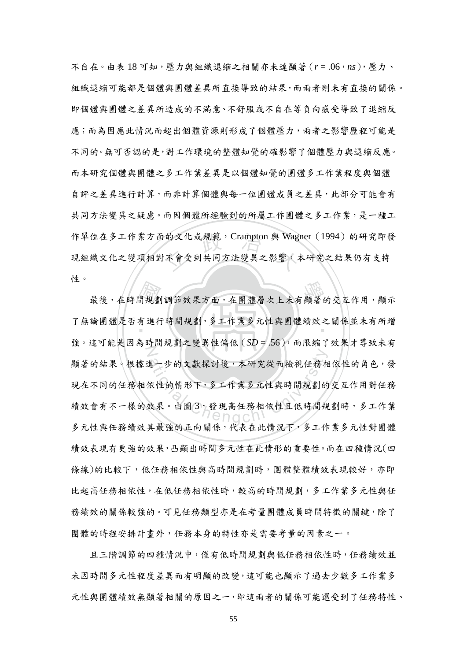的文化或規範,Crampton 與 Wag<br>不會受到共同方法變異之影響, 不自在。由表 18 可知,壓力與組織退縮之相關亦未達顯著(*r* = .06,*ns*),壓力、 組織退縮可能都是個體與團體差異所直接導致的結果,而兩者則未有直接的關係。 即個體與團體之差異所造成的不滿意、不舒服或不自在等負向感受導致了退縮反 應;而為因應此情況而超出個體資源則形成了個體壓力,兩者之影響歷程可能是 不同的。無可否認的是,對工作環境的整體知覺的確影響了個體壓力與退縮反應。 而本研究個體與團體之多工作業差異是以個體知覺的團體多工作業程度與個體 自評之差異進行計算,而非計算個體與每一位團體成員之差異,此部分可能會有 共同方法變異之疑慮。而因個體所經驗到的所屬工作團體之多工作業,是一種工 作單位在多工作業方面的文化或規範, Crampton 與 Wagner (1994)的研究即發 現組織文化之變項相對不會受到共同方法變異之影響,本研究之結果仍有支持 性。

聞規劃<br>有進行 任。<br>最後,在時間規劃調節效果方面,在團體層次上未有顯著的交互作用,顯示 了無論團體是否有進行時間規劃,多工作業多元性與團體績效之關係並未有所增  $\mathbb Z$ 生一步的文獻探討後,本研究從而檢視任務相<br>依性的情形下,多工作業多元性與時間規劃的<br>效果。由圖3,發現高任務相依性且低時間規 強。這可能是因為時間規劃之變異性偏低 (SD = .56), 而限縮了效果才導致未有 顯著的結果。根據進一步的文獻探討後,本研究從而檢視任務相依性的角色,發 現在不同的任務相依性的情形下,多工作業多元性與時間規劃的交互作用對任務 績效會有不一樣的效果。由圖 3,發現高任務相依性且低時間規劃時,多工作業 多元性與任務績效具最強的正向關係,代表在此情況下,多工作業多元性對團體 績效表現有更強的效果,凸顯出時間多元性在此情形的重要性。而在四種情況(四 條線)的比較下,低任務相依性與高時間規劃時,團體整體績效表現較好,亦即 比起高任務相依任務相依性時,較高的時間規劃,多工作業多元性與任 務績效的關係較強的。可見任務類型亦是在考量團體成員時間特徵的關鍵,除了 團體的時程安排計畫外,任務本身的特性亦是需要考量的因素之一。

且三階調節的四種情況中,僅有低時間規劃與低任務相依性時,任務績效並 未因時間多元性程度差異而有明顯的改變,這可能也顯示了過去少數多工作業多 元性與團體績效無顯著相關的原因之一,即這兩者的關係可能還受到了任務特性、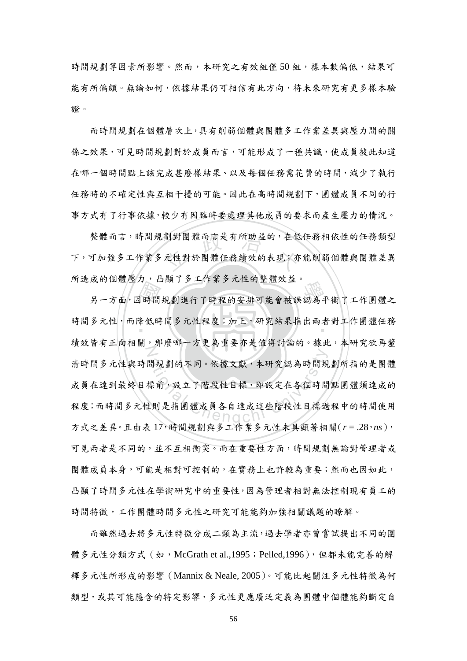時間規劃等因素所影響。然而,本研究之有效組僅50 組,樣本數偏低,結果可 能有所偏頗。無論如何,依據結果仍可相信有此方向,待未來研究有更多樣本驗 證。

而時間規劃在個體層次上,具有削弱個體與團體多工作業差異與壓力間的關 係之效果,可見時間規劃對於成員而言,可能形成了一種共識,使成員彼此知道 在哪一個時間點上該完成甚麼樣結果、以及每個任務需花費的時間,減少了執行 任務時的不確定性與互相干擾的可能。因此在高時間規劃下,團體成員不同的行 事方式有了行事依據,較少有因臨時要處理其他成員的要求而產生壓力的情況。

劃對團體而言是有所助益的,在低<br>元性對於團體任務績效的表現;亦 整體而言,時間規劃對團體而言是有所助益的,在低任務相依性的任務類型 下,可加強多工作業多元性對於團體任務績效的表現;亦能削弱個體與團體差異 所造成的個體壓力,凸顯了多工作業多元性的整體效益。

 國 川逗成的個短壓力, 口線」タエト未タル性的定短效血。<br>另一方面,因時間規劃進行了時程的安排可能會被誤認為平衡了工作團體之 時間多元性,而降低時間多元性程度;加上,研究結果指出兩者對工作團體任務 N 出規劃的不同。依據文獻,本研究認為時間規<br>標前,設立了階段性目標,即設定在各個時間 績效皆有正向相關,那麼哪一方更為重要亦是值得討論的。據此,本研究欲再釐 清時間多元性與時間規劃的不同。依據文獻,本研究認為時間規劃所指的是團體 成員在達到最終目標前,設立了階段性目標,即設定在各個時間點團體須達成的 程度;而時間多元性則是指團體成員各自達成這些階段性目標過程中的時間使用 方式之差異。且由表 17,時間規劃與多工作業多元性未具顯著相關(*r* = .28,*ns*), 可見兩者是不同的,並不互相衝突。而在重要性方面,時間規劃無論對管理者或 團體成員本身,可能是相對可控制的,在實務上也許較為重要;然而也因如此, 凸顯了時間多元性在學術研究中的重要性,因為管理者相對無法控制現有員工的 時間特徵,工作團體時間多元性之研究可能能夠加強相關議題的瞭解。

 而雖然過去將多元性特徵分成二類為主流,過去學者亦曾嘗試提出不同的團 體多元性分類方式 (如, McGrath et al.,1995; Pelled,1996), 但都未能完善的解 釋多元性所形成的影響(Mannix & Neale, 2005)。可能比起關注多元性特徵為何 類型,或其可能隱含的特定影響,多元性更應廣泛定義為團體中個體能夠斷定自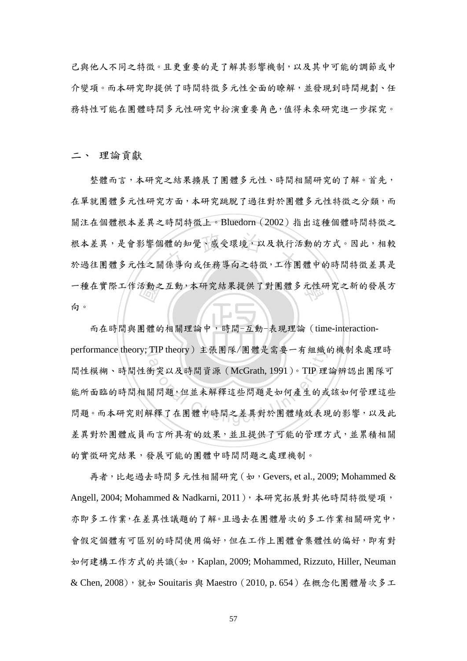己與他人不同之特徵。且更重要的是了解其影響機制,以及其中可能的調節或中 介變項。而本研究即提供了時間特徵多元性全面的瞭解,並發現到時間規劃、任 務特性可能在團體時間多元性研究中扮演重要角色,值得未來研究進一步探究。

二、 理論貢獻

一種在實際工作活動之互動,本研究結果提供了對團體多元性研究之新的發展方向。<br>向。<br>而在時間與團體的相關理論中,時間-互動-表現理論 (time-interaction-體的知覺、感受環境,以及執行活<br>|係導向或任務導向之特徵,工作團 整體而言,本研究之結果擴展了團體多元性、時間相關研究的了解。首先, 在單就團體多元性研究方面,本研究跳脫了過往對於團體多元性特徵之分類,而 關注在個體根本差異之時間特徵上。Bluedorn(2002)指出這種個體時間特徵之 根本差異,是會影響個體的知覺、感受環境,以及執行活動的方式。因此,相較 於過往團體多元性之關係導向或任務導向之特徵,工作團體中的時間特徵差異是 向。

而在時間與團體的相關理論中,時間-互動-表現理論 (time-interactionperformance theory; TIP theory) 主張團隊/團體是需要一有組織的機制來處理時 11P theory) 王派團隊/團體走需要一有組織 間性模糊、時間性衝突以及時間資源(McGrath, 1991)。TIP 理論辨認出團隊可 能所面臨的時間相關問題,但並未解釋這些問題是如何產生的或該如何管理這些 問題。而本研究則解釋了在團體中時間之差異對於團體績效表現的影響,以及此 差異對於團體成員而言所具有的效果,並且提供了可能的管理方式,並累積相關 的實徵研究結果,發展可能的團體中時間問題之處理機制。

 再者,比起過去時間多元性相關研究(如,Gevers, et al., 2009; Mohammed & Angell, 2004; Mohammed & Nadkarni, 2011),本研究拓展對其他時間特徵變項, 亦即多工作業,在差異性議題的了解。且過去在團體層次的多工作業相關研究中, 會假定個體有可區別的時間使用偏好,但在工作上團體會集體性的偏好,即有對 如何建構工作方式的共識(如,Kaplan, 2009; Mohammed, Rizzuto, Hiller, Neuman & Chen, 2008),就如 Souitaris 與 Maestro(2010, p. 654)在概念化團體層次多工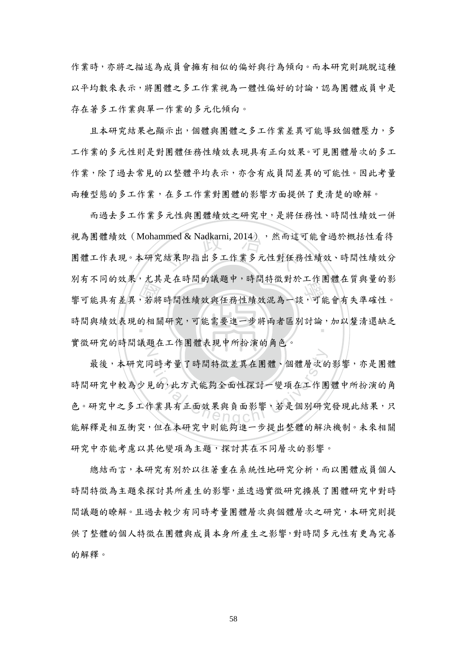作業時,亦將之描述為成員會擁有相似的偏好與行為傾向。而本研究則跳脫這種 以平均數來表示,將團體之多工作業視為一體性偏好的討論,認為團體成員中是 存在著多工作業與單一作業的多元化傾向。

 且本研究結果也顯示出,個體與團體之多工作業差異可能導致個體壓力,多 工作業的多元性則是對團體任務性績效表現具有正向效果。可見團體層次的多工 作業,除了過去常見的以整體平均表示,亦含有成員間差異的可能性。因此考量 兩種型態的多工作業,在多工作業對團體的影響方面提供了更清楚的瞭解。

27月不同的效果, 尤共是任明間的誠處「, 明間将做到於工作團體任員與量的於<br>響可能具有差異, 若將時間性績效與任務性績效混為一談, 可能會有失準確性。<br>時間與績效表現的相關研究, 可能需要進一步將兩者區別討論, 加以釐清還缺乏 nmed & Nadkarni, 2014) , 然而這<br>結果即指出多工作業多元性對任務 時間與績效表現的相關研究,可能需要進一步將兩者區別討論,加以釐清還缺乏 N 而過去多工作業多元性與團體績效之研究中,是將任務性、時間性績效一併 視為團體績效(Mohammed & Nadkarni, 2014), 然而這可能會過於概括性看待 團體工作表現。本研究結果即指出多工作業多元性對任務性績效、時間性績效分 別有不同的效果,尤其是在時間的議題中,時間特徵對於工作團體在質與量的影 實徵研究的時間議題在工作團體表現中所扮演的角色。

司時考量了時間特徵差異在團體、個體層次的 最後,本研究同時考量了時間特徵差異在團體、個體層次的影響,亦是團體 時間研究中較為少見的,此方式能夠全面性探討一變項在工作團體中所扮演的角 色。研究中之多工作業具有正面效果與負面影響,若是個別研究發現此結果,只 能解釋是相互衝突,但在本研究中則能夠進一步提出整體的解決機制。未來相關 研究中亦能考慮以其他變項為主題,探討其在不同層次的影響。

 總結而言,本研究有別於以往著重在系統性地研究分析,而以團體成員個人 時間特徵為主題來探討其所產生的影響,並透過實徵研究擴展了團體研究中對時 間議題的瞭解。且過去較少有同時考量團體層次與個體層次之研究,本研究則提 供了整體的個人特徵在團體與成員本身所產生之影響,對時間多元性有更為完善 的解釋。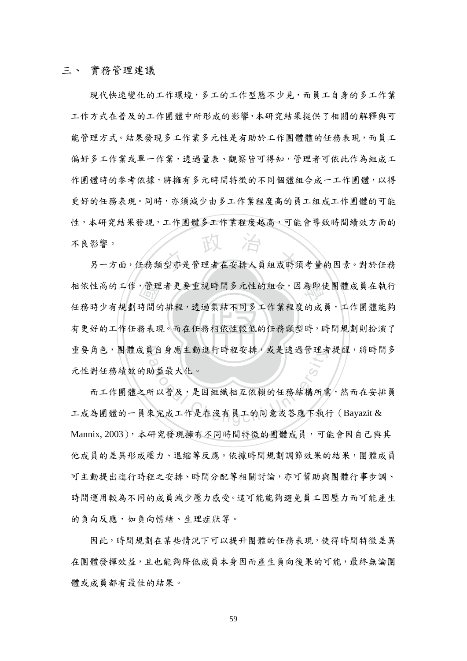#### 三、 實務管理建議

不良影響。<br>另一方面,任務類型亦是管理者在安排人員組成時須考量的因素。對於任務 現代快速變化的工作環境,多工的工作型態不少見,而員工自身的多工作業 工作方式在普及的工作團體中所形成的影響,本研究結果提供了相關的解釋與可 能管理方式。結果發現多工作業多元性是有助於工作團體體的任務表現,而員工 偏好多工作業或單一作業,透過量表、觀察皆可得知,管理者可依此作為組成工 作團體時的參考依據,將擁有多元時間特徵的不同個體組合成一工作團體,以得 更好的任務表現。同時,亦須減少由多工作業程度高的員工組成工作團體的可能 性,本研究結果發現,工作團體多工作業程度越高,可能會導致時間績效方面的 不良影響。

有更好的工作任務表現。而在任務相依性較低的任務類型時,時間規劃則扮演了 相依性高的工作,管理者更要重視時間多元性的組合,因為即使團體成員在執行<br>任務時少有規劃時間的排程,透過集結不同多工作業程度的成員,工作團體能夠<br>有更好的工作任務表現。而在任務相依性較低的任務類型時,時間規劃則扮演了 重要角色,團體成員自身應主動進行時程安排,或是透過管理者提醒,將時間多 任務時少有規劃時間的排程,透過集結不同多工作業程度的成員,工作團體能夠 元性對任務績效的助益最大化。

ational Chengert时程安排,或走透過官理有<br>co<br>助益最大化。<br>所以普及,是因組織相互依賴的任務結構所需<br><br>來完成工作是在沒有員工的同意或答應下執行 而工作團體之所以普及,是因組織相互依賴的任務結構所需,然而在安排員 工成為團體的一員來完成工作是在沒有員工的同意或答應下執行(Bayazit & Mannix, 2003), 本研究發現擁有不同時間特徵的團體成員,可能會因自己與其 他成員的差異形成壓力、退縮等反應。依據時間規劃調節效果的結果,團體成員 可主動提出進行時程之安排、時間分配等相關討論,亦可幫助與團體行事步調、 時間運用較為不同的成員減少壓力感受。這可能能夠避免員工因壓力而可能產生 的負向反應,如負向情緒、生理症狀等。

因此,時間規劃在某些情況下可以提升團體的任務表現,使得時間特徵差異 在團體發揮效益,且也能夠降低成員本身因而產生負向後果的可能,最終無論團 體或成員都有最佳的結果。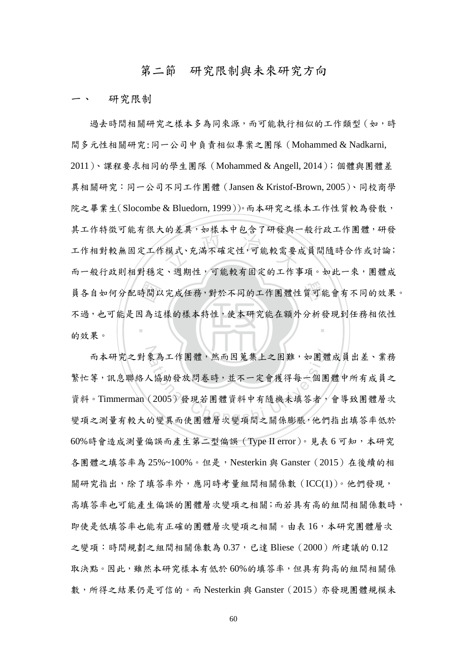#### 第二節 研究限制與未來研究方向

研究限制

時間山<br>因為這 <sup>立</sup> <sup>政</sup> <sup>治</sup> <sup>大</sup> 員各自如何分配時間以完成任務,對於不同的工作團體性質可能會有不同的效果。 ‧ 過去時間相關研究之樣本多為同來源,而可能執行相似的工作類型(如,時 間多元性相關研究:同一公司中負責相似專案之團隊(Mohammed & Nadkarni, 2011)、課程要求相同的學生團隊(Mohammed & Angell, 2014);個體與團體差 異相關研究:同一公司不同工作團體(Jansen & Kristof-Brown, 2005)、同校商學 院之畢業生(Slocombe & Bluedorn, 1999))。而本研究之樣本工作性質較為發散, 其工作特徵可能有很大的差異,如樣本中包含了研發與一般行政工作團體,研發 工作相對較無固定工作模式、充滿不確定性,可能較需要成員間隨時合作或討論; 而一般行政則相對穩定、週期性,可能較有固定的工作事項。如此一來,團體成 不過,也可能是因為這樣的樣本特性,使本研究能在額外分析發現到任務相依性 的效果。

而本研究之對象為工作團體,然而因蒐集上之困難,如團體成員出差、業務 象為工作團體,然而因蒐集上之困難,如團體<br><br><br>(2005)發現若團體資料中有隨機未填答者,<br><br>的變異而使團體層次變項間之關係膨脹,他們 繁忙等,訊息聯絡人協助發放問卷時,並不一定會獲得每一個團體中所有成員之 資料。Timmerman(2005)發現若團體資料中有隨機未填答者,會導致團體層次 變項之測量有較大的變異而使團體層次變項間之關係膨脹,他們指出填答率低於 60%時會造成測量偏誤而產生第二型偏誤 (Type II error)。見表 6 可知,本研究 各團體之填答率為 25%~100%。但是,Nesterkin 與 Ganster (2015) 在後續的相 關研究指出,除了填答率外,應同時考量組間相關係數(ICC(1))。他們發現, 高填答率也可能產生偏誤的團體層次變項之相關;而若具有高的組間相關係數時, 即使是低填答率也能有正確的團體層次變項之相關。由表16,本研究團體層次 之變項:時間規劃之組間相關係數為 0.37,已達 Bliese(2000)所建議的 0.12 取決點。因此,雖然本研究樣本有低於 60%的填答率,但具有夠高的組間相關係 數,所得之結果仍是可信的。而 Nesterkin 與 Ganster(2015)亦發現團體規模未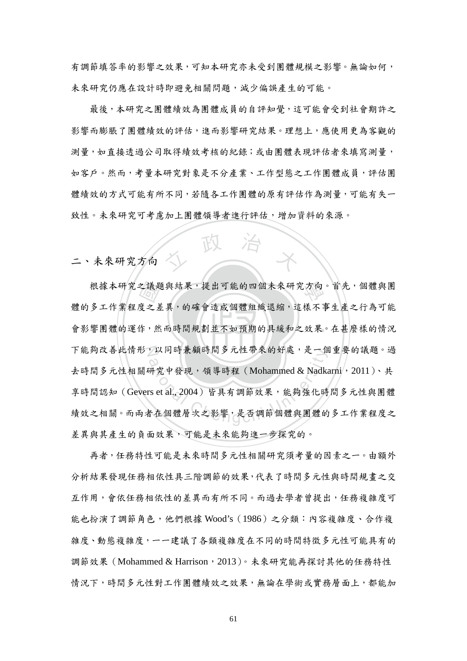有調節填答率的影響之效果,可知本研究亦未受到團體規模之影響。無論如何, 未來研究仍應在設計時即避免相關問題,減少偏誤產生的可能。

 最後,本研究之團體績效為團體成員的自評知覺,這可能會受到社會期許之 影響而膨脹了團體績效的評估,進而影響研究結果。理想上,應使用更為客觀的 測量,如直接透過公司取得績效考核的紀錄;或由團體表現評估者來填寫測量, 如客戶。然而,考量本研究對象是不分產業、工作型態之工作團體成員,評估團 體績效的方式可能有所不同,若隨各工作團體的原有評估作為測量,可能有失一 致性。未來研究可考慮加上團體領導者進行評估,增加資料的來源。

人 政 治 木

二、未來研究方向

會影響團體的運作,然而時間規劃並不如預期的具緩和之效果。在甚麼樣的情況 之議題<br>度之差<br>作,然 根據本研究之議題與結果,提出可能的四個未來研究方向。首先,個體與團 下能夠改善此情形,以同時兼顧時間多元性帶來的好處,是一個重要的議題。過 ,以问時兼傾時间多兀性帝來的好處,走一個<br>60<br>研究中發現,領導時程 (Mohammed & Nadka<br>rs et al., 2004) 皆具有調節效果,能夠強化時<br>皆在個體層次之影響,是否調節個體與團體的 體的多工作業程度之差異,的確會造成個體組織退縮,這樣不事生產之行為可能 去時間多元性相關研究中發現,領導時程(Mohammed & Nadkarni, 2011)、共 享時間認知 (Gevers et al., 2004)皆具有調節效果,能夠強化時間多元性與團體 績效之相關。而兩者在個體層次之影響,是否調節個體與團體的多工作業程度之 差異與其產生的負面效果,可能是未來能夠進一步探究的。

 再者,任務特性可能是未來時間多元性相關研究須考量的因素之一。由額外 分析結果發現任務相依性具三階調節的效果,代表了時間多元性與時間規畫之交 互作用,會依任務相依性的差異而有所不同。而過去學者曾提出,任務複雜度可 能也扮演了調節角色,他們根據 Wood's (1986) 之分類:內容複雜度、合作複 雜度、動態複雜度,一一建議了各類複雜度在不同的時間特徵多元性可能具有的 調節效果(Mohammed & Harrison,2013)。未來研究能再探討其他的任務特性 情況下,時間多元性對工作團體績效之效果,無論在學術或實務層面上,都能加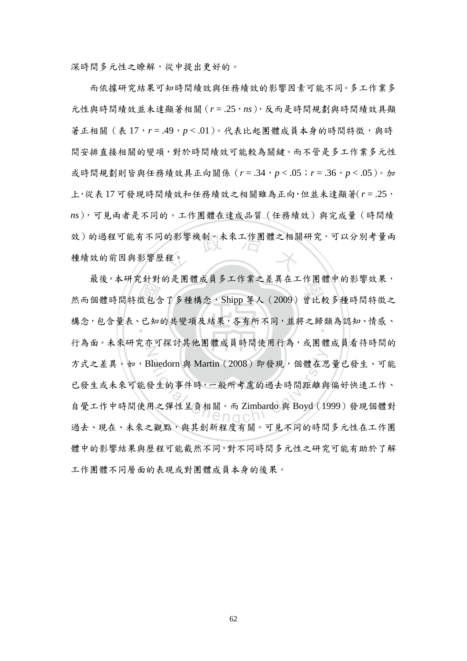深時間多元性之瞭解,從中提出更好的。

效)的過程可能有不同的影響機制。未來工作團體之相關研究,可以分別考量兩<br>種績效的前因與影響歷程。 而依據研究結果可知時間績效與任務績效的影響因素可能不同。多工作業多 元性與時間績效並未達顯著相關(*r* = .25,*ns*),反而是時間規劃與時間績效具顯 著正相關 (表 17, r = .49, p < .01)。代表比起團體成員本身的時間特徵,與時 間安排直接相關的變項,對於時間績效可能較為關鍵。而不管是多工作業多元性 或時間規劃則皆與任務績效具正向關係(*r* = .34,*p* < .05;*r* = .36,*p* < .05)。加 上,從表 17 可發現時間績效和任務績效之相關雖為正向,但並未達顯著(*r* = .25, *ns*),可見兩者是不同的。工作團體在達成品質(任務績效)與完成量(時間績 種績效的前因與影響歷程。

出到<br>數包知 取役, 4~7 九到到的是田胆成只少工作未之左共任工作田胆干的粉音效不 構念,包含量表、已知的共變項及結果,各有所不同,並將之歸類為認知、情感、 N Bluedorn 與 Martin (2008)即發現, 個體在思<br>發生的事件時,一般所考慮的過去時間距離與<br>用之彈性呈負相關。而 Zimbardo 與 Boyd (19 最後,本研究針對的是團體成員多工作業之差異在工作團體中的影響效果, 行為面。未來研究亦可探討其他團體成員時間使用行為,或團體成員看待時間的 方式之差異。如,Bluedorn 與 Martin(2008)即發現,個體在思量已發生、可能 已發生或未來可能發生的事件時,一般所考慮的過去時間距離與偏好快速工作、 自覺工作中時間使用之彈性呈負相關。而 Zimbardo 與 Boyd(1999)發現個體對 過去、現在、未來之觀點,與其創新程度有關。可見不同的時間多元性在工作團 體中的影響結果與歷程可能截然不同,對不同時間多元性之研究可能有助於了解 工作團體不同層面的表現或對團體成員本身的後果。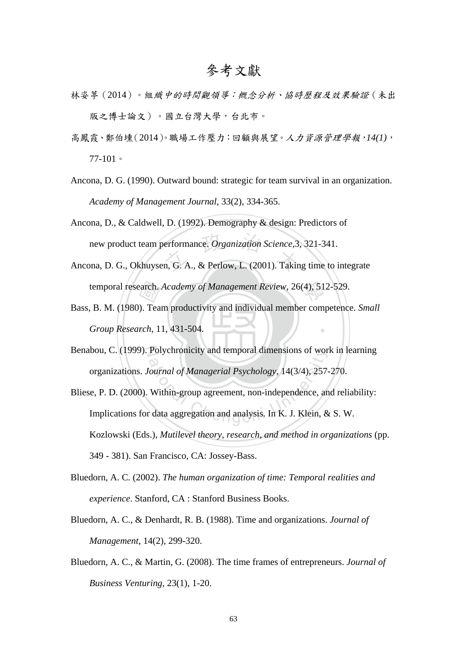# 參考文獻

- 林姿葶(2014)。組織中的時間觀領導:概念分析、協時歷程及效果驗證(未出 版之博士論文)。國立台灣大學,台北市。
- 高鳳霞、鄭伯壎(2014)。職場工作壓力:回顧與展望。人力資源管理學報,*14(1)*, 77-101。
- Ancona, D. G. (1990). Outward bound: strategic for team survival in an organization. *Academy of Management Journal*, 33(2), 334-365.
- new product team performance. Organization Science, 3, 321-341.<br>Ancona, D. G., Okhuysen, G. A., & Perlow, L. (2001). Taking time to integrate Ancona, D., & Caldwell, D. (1992). Demography & design: Predictors of new product team performance. *Organization Science*,3, 321-341.
- 學 temporal research. *Academy of Management Review*, 26(4), 512-529.
- ‧*Group Research*, 11, 431-504. earch.<br>
(). Tea<br>
rch, 1 ‧ Bass, B. M. (1980). Team productivity and individual member competence. *Small*
- Benabou, C. (1999). Polychronicity and temporal dimensions of work in learning organizations. *Journal of Managerial Psychology*, 14(3/4), 257-270.
- Polychronicity and temporal dimensions of works.<br>
Cournal of Managerial Psychology, 14(3/4), 257-<br>
Within-group agreement, non-independence, and contain the data aggregation and analysis. In K. J. Klein, & Bliese, P. D. (2000). Within-group agreement, non-independence, and reliability: Implications for data aggregation and analysis. In K. J. Klein, & S. W. Kozlowski (Eds.), *Mutilevel theory, research, and method in organizations* (pp. 349 - 381). San Francisco, CA: Jossey-Bass.
- Bluedorn, A. C. (2002). *The human organization of time: Temporal realities and experience*. Stanford, CA : Stanford Business Books.
- Bluedorn, A. C., & Denhardt, R. B. (1988). Time and organizations. *Journal of Management*, 14(2), 299-320.
- Bluedorn, A. C., & Martin, G. (2008). The time frames of entrepreneurs. *Journal of Business Venturing*, 23(1), 1-20.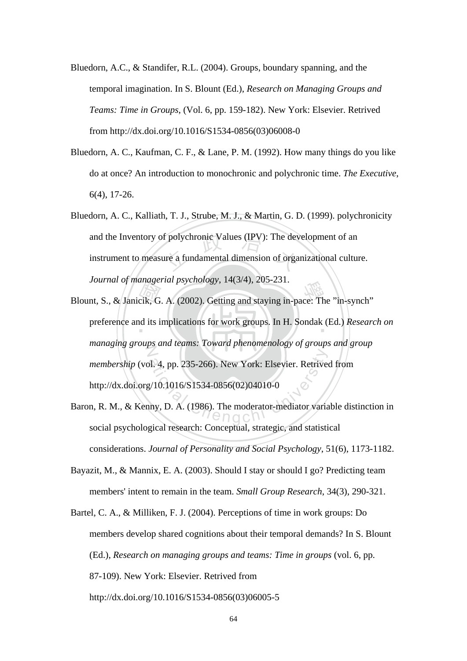- Bluedorn, A.C., & Standifer, R.L. (2004). Groups, boundary spanning, and the temporal imagination. In S. Blount (Ed.), *Research on Managing Groups and Teams: Time in Groups*, (Vol. 6, pp. 159-182). New York: Elsevier. Retrived from http://dx.doi.org/10.1016/S1534-0856(03)06008-0
- Bluedorn, A. C., Kaufman, C. F., & Lane, P. M. (1992). How many things do you like do at once? An introduction to monochronic and polychronic time. *The Executive*, 6(4), 17-26.
- and the Inventory of polychronic Values (IPV): The development of an instrument to measure a fundamental dimension of organizational culture Bluedorn, A. C., Kalliath, T. J., Strube, M. J., & Martin, G. D. (1999). polychronicity instrument to measure a fundamental dimension of organizational culture. *Journal of managerial psychology*, 14(3/4), 205-231.
- Blount, S., & Janicik, G. A. (2002). Getting and staying in-pace: The "in-synch"<br>preference and its implications for work groups. In H. Sondak (Ed.) Researc preference and its implications for work groups. In H. Sondak (Ed.) *Research on* N ational Chenger 235-266. New York: Elsevier. Retriver<br>
2/10.1016/S1534-0856(02)04010-0<br>
any, D. A. (1986). The moderator-mediator varia *managing groups and teams: Toward phenomenology of groups and group membership* (vol. 4, pp. 235-266). New York: Elsevier. Retrived from http://dx.doi.org/10.1016/S1534-0856(02)04010-0
- Baron, R. M., & Kenny, D. A. (1986). The moderator-mediator variable distinction in social psychological research: Conceptual, strategic, and statistical considerations. *Journal of Personality and Social Psychology*, 51(6), 1173-1182.
- Bayazit, M., & Mannix, E. A. (2003). Should I stay or should I go? Predicting team members' intent to remain in the team. *Small Group Research*, 34(3), 290-321.
- Bartel, C. A., & Milliken, F. J. (2004). Perceptions of time in work groups: Do members develop shared cognitions about their temporal demands? In S. Blount (Ed.), *Research on managing groups and teams: Time in groups* (vol. 6, pp. 87-109). New York: Elsevier. Retrived from http://dx.doi.org/10.1016/S1534-0856(03)06005-5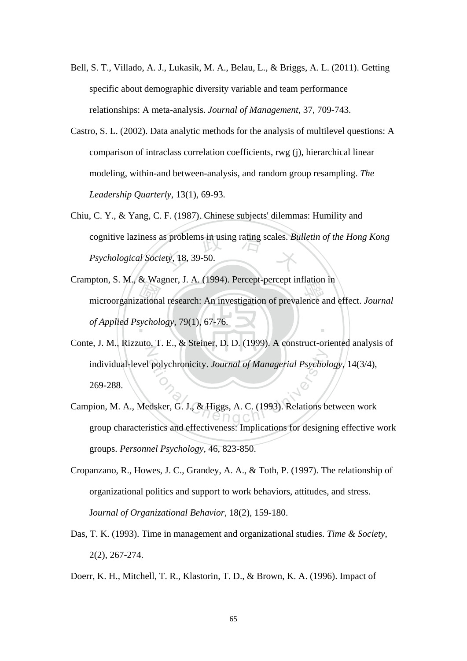- Bell, S. T., Villado, A. J., Lukasik, M. A., Belau, L., & Briggs, A. L. (2011). Getting specific about demographic diversity variable and team performance relationships: A meta-analysis. *Journal of Management*, 37, 709-743.
- Castro, S. L. (2002). Data analytic methods for the analysis of multilevel questions: A comparison of intraclass correlation coefficients, rwg (j), hierarchical linear modeling, within-and between-analysis, and random group resampling. *The Leadership Quarterly*, 13(1), 69-93.
- cognitive laziness as problems in using rating scales. *Bulletin of the Hong Kong*<br>*Psychological Society*, 18, 39-50. Chiu, C. Y., & Yang, C. F. (1987). Chinese subjects' dilemmas: Humility and *Psychological Society*, 18, 39-50.
- microorganizational research: An investigation of prevalence and effect. *Journal* of Applied Psychology, 79(1), 67-76. ‧ Crampton, S. M., & Wagner, J. A. (1994). Percept-percept inflation in *of Applied Psychology*, 79(1), 67-76.
- N polychronicity. Journal of Managerial Psychol<br>dsker, G. J., & Higgs, A. C. (1993). Relations be Conte, J. M., Rizzuto, T. E., & Steiner, D. D. (1999). A construct-oriented analysis of individual-level polychronicity. *Journal of Managerial Psychology*, 14(3/4), 269-288.
- Campion, M. A., Medsker, G. J., & Higgs, A. C. (1993). Relations between work group characteristics and effectiveness: Implications for designing effective work groups. *Personnel Psychology*, 46, 823-850.
- Cropanzano, R., Howes, J. C., Grandey, A. A., & Toth, P. (1997). The relationship of organizational politics and support to work behaviors, attitudes, and stress. J*ournal of Organizational Behavior*, 18(2), 159-180.
- Das, T. K. (1993). Time in management and organizational studies. *Time & Society*, 2(2), 267-274.
- Doerr, K. H., Mitchell, T. R., Klastorin, T. D., & Brown, K. A. (1996). Impact of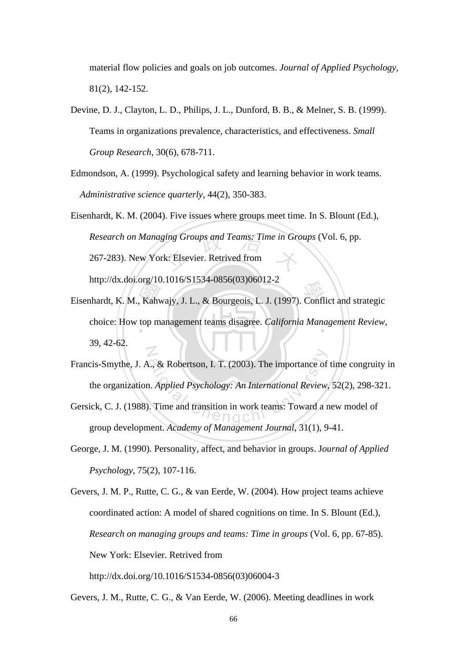material flow policies and goals on job outcomes. *Journal of Applied Psychology*, 81(2), 142-152.

- Devine, D. J., Clayton, L. D., Philips, J. L., Dunford, B. B., & Melner, S. B. (1999). Teams in organizations prevalence, characteristics, and effectiveness. *Small Group Research*, 30(6), 678-711.
- Edmondson, A. (1999). Psychological safety and learning behavior in work teams. *Administrative science quarterly*, 44(2), 350-383.
- Research on Managing Groups and Teams: Time in Groups (Vol. 6, pp.<br>267-283). New York: Elsevier. Retrived from Eisenhardt, K. M. (2004). Five issues where groups meet time. In S. Blount (Ed.), 267-283). New York: Elsevier. Retrived from

http://dx.doi.org/10.1016/S1534-0856(03)06012-2

- Eisenhardt, K. M., Kahwajy, J. L., & Bourgeois, L. J. (1997). Conflict and strategic<br>choice: How top management teams disagree. *California Management Review*, ‧ choice: How top management teams disagree. *California Management Review*, N 39, 42-62.
- ational Chengchi University Chengchi University Chengchi University Chengchi University Chengchi University Chengchi University Chengchi University Chengchi University Chengchi University Chengchi University Chengchi Unive Francis-Smythe, J. A., & Robertson, I. T. (2003). The importance of time congruity in the organization. *Applied Psychology: An International Review*, 52(2), 298-321.
- Gersick, C. J. (1988). Time and transition in work teams: Toward a new model of group development. *Academy of Management Journal*, 31(1), 9-41.
- George, J. M. (1990). Personality, affect, and behavior in groups. J*ournal of Applied Psychology*, 75(2), 107-116.

Gevers, J. M. P., Rutte, C. G., & van Eerde, W. (2004). How project teams achieve coordinated action: A model of shared cognitions on time. In S. Blount (Ed.), *Research on managing groups and teams: Time in groups* (Vol. 6, pp. 67-85). New York: Elsevier. Retrived from

http://dx.doi.org/10.1016/S1534-0856(03)06004-3

Gevers, J. M., Rutte, C. G., & Van Eerde, W. (2006). Meeting deadlines in work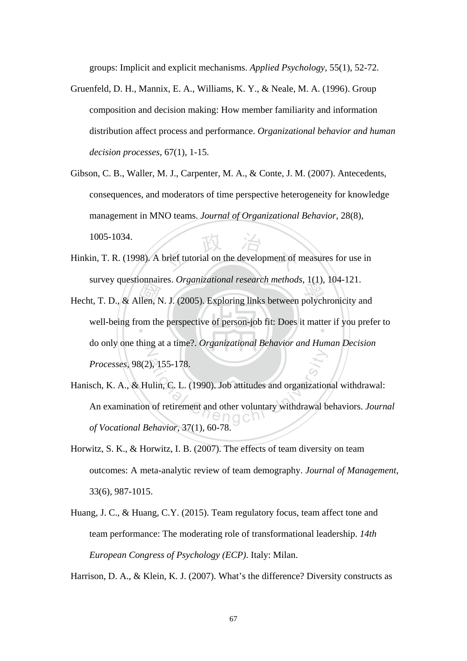groups: Implicit and explicit mechanisms. *Applied Psychology*, 55(1), 52-72.

- Gruenfeld, D. H., Mannix, E. A., Williams, K. Y., & Neale, M. A. (1996). Group composition and decision making: How member familiarity and information distribution affect process and performance. *Organizational behavior and human decision processes*, 67(1), 1-15.
- Gibson, C. B., Waller, M. J., Carpenter, M. A., & Conte, J. M. (2007). Antecedents, consequences, and moderators of time perspective heterogeneity for knowledge management in MNO teams. *Journal of Organizational Behavior*, 28(8), 1005-1034.
- brief tutorial on the development of i Hinkin, T. R. (1998). A brief tutorial on the development of measures for use in survey questionnaires. *Organizational research methods*, 1(1), 104-121.
- survey questionnaires. *Organizational research memous*, 1(1), 104-121.<br>Hecht, T. D., & Allen, N. J. (2005). Exploring links between polychronicity and<br>well-being from the perspective of person-job fit: Does it matter if y well-being from the perspective of person-job fit: Does it matter if you prefer to  $\mathbb{Z}$ do only one thing at a time?. *Organizational Behavior and Human Decision Processes*, 98(2), 155-178.
- ation<br>
1, 155-178.<br>
atitudes and organization<br>
1 of retirement and other voluntary withdrawal b<br>  $\begin{array}{c}\n\circ \\
\circ \\
\circ\n\end{array}$ Hanisch, K. A., & Hulin, C. L. (1990). Job attitudes and organizational withdrawal: An examination of retirement and other voluntary withdrawal behaviors. *Journal of Vocational Behavior*, 37(1), 60-78.
- Horwitz, S. K., & Horwitz, I. B. (2007). The effects of team diversity on team outcomes: A meta-analytic review of team demography. *Journal of Management*, 33(6), 987-1015.
- Huang, J. C., & Huang, C.Y. (2015). Team regulatory focus, team affect tone and team performance: The moderating role of transformational leadership. *14th European Congress of Psychology (ECP)*. Italy: Milan.

Harrison, D. A., & Klein, K. J. (2007). What's the difference? Diversity constructs as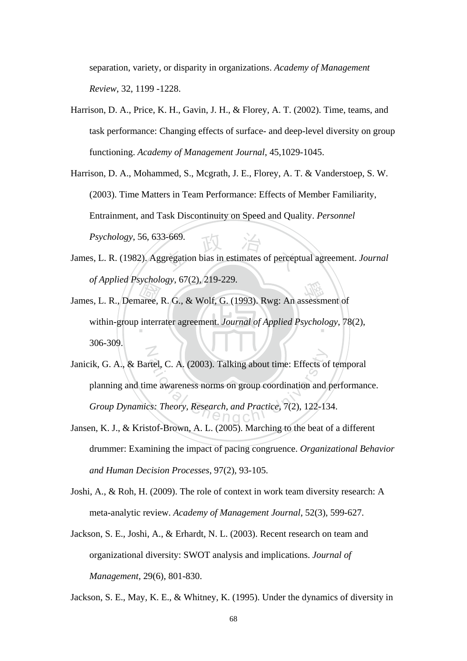separation, variety, or disparity in organizations. *Academy of Management Review*, 32, 1199 -1228.

Harrison, D. A., Price, K. H., Gavin, J. H., & Florey, A. T. (2002). Time, teams, and task performance: Changing effects of surface- and deep-level diversity on group functioning. *Academy of Management Journal*, 45,1029-1045.

Harrison, D. A., Mohammed, S., Mcgrath, J. E., Florey, A. T. & Vanderstoep, S. W. (2003). Time Matters in Team Performance: Effects of Member Familiarity, Entrainment, and Task Discontinuity on Speed and Quality. *Personnel Psychology*, 56, 633-669.

- $3-669$ .<br>gregation bias in estimates of percept James, L. R. (1982). Aggregation bias in estimates of perceptual agreement. *Journal of Applied Psychology*, 67(2), 219-229.
- James, L. R., Demaree, R. G., & Wolf, G. (1993). Rwg: An assessment of within-group interrater agreement. Journal of Applied Psychology, 78 within-group interrater agreement. *Journal of Applied Psychology*, 78(2), N 306-309.
- rtel, C. A. (2003). Talking about time: Effects of<br>me awareness norms on group coordination and<br>cs: Theory, Research, and Practice, 7(2), 122-13 Janicik, G. A., & Bartel, C. A. (2003). Talking about time: Effects of temporal planning and time awareness norms on group coordination and performance. *Group Dynamics: Theory, Research, and Practice*, 7(2), 122-134.
- Jansen, K. J., & Kristof-Brown, A. L. (2005). Marching to the beat of a different drummer: Examining the impact of pacing congruence. *Organizational Behavior and Human Decision Processes*, 97(2), 93-105.
- Joshi, A., & Roh, H. (2009). The role of context in work team diversity research: A meta-analytic review. *Academy of Management Journal*, 52(3), 599-627.
- Jackson, S. E., Joshi, A., & Erhardt, N. L. (2003). Recent research on team and organizational diversity: SWOT analysis and implications. *Journal of Management*, 29(6), 801-830.

Jackson, S. E., May, K. E., & Whitney, K. (1995). Under the dynamics of diversity in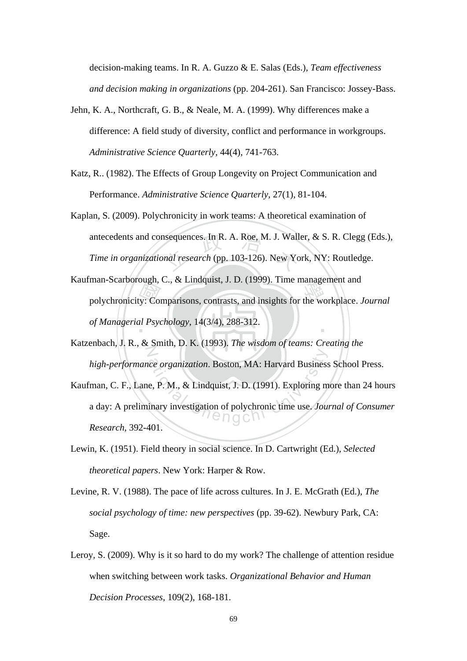decision-making teams. In R. A. Guzzo & E. Salas (Eds.), *Team effectiveness and decision making in organizations* (pp. 204-261). San Francisco: Jossey-Bass.

- Jehn, K. A., Northcraft, G. B., & Neale, M. A. (1999). Why differences make a difference: A field study of diversity, conflict and performance in workgroups. *Administrative Science Quarterly*, 44(4), 741-763.
- Katz, R.. (1982). The Effects of Group Longevity on Project Communication and Performance. *Administrative Science Quarterly*, 27(1), 81-104.
- nsequences. In R. A. Roe, M. J. Wall<br>and research (pp. 103-126). New Yo Kaplan, S. (2009). Polychronicity in work teams: A theoretical examination of antecedents and consequences. In R. A. Roe, M. J. Waller, & S. R. Clegg (Eds.), *Time in organizational research* (pp. 103-126). New York, NY: Routledge.
- man-scarborough, C., & Emdquist, J. D. (1999). The management and<br>polychronicity: Comparisons, contrasts, and insights for the workplace. *Journal*<br>of Managerial Psychology, 14(3/4), 288-312. ‧ Kaufman-Scarborough, C., & Lindquist, J. D. (1999). Time management and *of Managerial Psychology*, 14(3/4), 288-312.
- N Katzenbach, J. R., & Smith, D. K. (1993). *The wisdom of teams: Creating the high-performance organization*. Boston, MA: Harvard Business School Press.
- ce organization. Boston, MA: Harvard Business<br>e, P. M., & Lindquist, J. D. (1991). Exploring m<br>inary investigation of polychronic time use. Jou. Kaufman, C. F., Lane, P. M., & Lindquist, J. D. (1991). Exploring more than 24 hours a day: A preliminary investigation of polychronic time use. *Journal of Consumer Research*, 392-401.
- Lewin, K. (1951). Field theory in social science. In D. Cartwright (Ed.), *Selected theoretical papers*. New York: Harper & Row.
- Levine, R. V. (1988). The pace of life across cultures. In J. E. McGrath (Ed.), *The social psychology of time: new perspectives* (pp. 39-62). Newbury Park, CA: Sage.
- Leroy, S. (2009). Why is it so hard to do my work? The challenge of attention residue when switching between work tasks. *Organizational Behavior and Human Decision Processes*, 109(2), 168-181.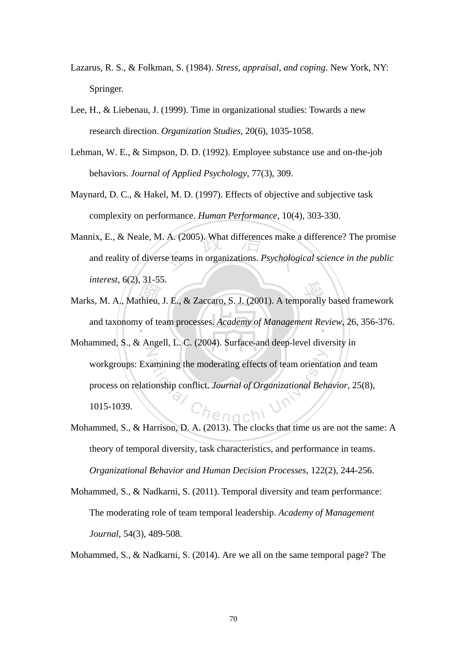- Lazarus, R. S., & Folkman, S. (1984). *Stress, appraisal, and coping*. New York, NY: Springer.
- Lee, H., & Liebenau, J. (1999). Time in organizational studies: Towards a new research direction. *Organization Studies*, 20(6), 1035-1058.
- Lehman, W. E., & Simpson, D. D. (1992). Employee substance use and on-the-job behaviors. *Journal of Applied Psychology*, 77(3), 309.
- Maynard, D. C., & Hakel, M. D. (1997). Effects of objective and subjective task complexity on performance. *Human Performance*, 10(4), 303-330.
- A. (2005). What differences make a<br>se teams in organizations. *Psycholog* Mannix, E., & Neale, M. A. (2005). What differences make a difference? The promise and reality of diverse teams in organizations. *Psychological science in the public interest*, 6(2), 31-55.
- Marks, M. A., Mathieu, J. E., & Zaccaro, S. J. (2001). A temporally based framework<br>and taxonomy of team processes. Academy of Management Review, 26, 356-376. and taxonomy of team processes. *Academy of Management Review*, 26, 356-376.
- N Edmontonal of Organizational Behaviorship conflict. Journal of Organizational Behaviorship<br>
Chengchi University<br>
Chengchi University<br>
Chengchi University<br>
Chengchi University<br>
Chengchi University<br>
Chengchi University<br>
Chen Mohammed, S., & Angell, L. C. (2004). Surface-and deep-level diversity in workgroups: Examining the moderating effects of team orientation and team process on relationship conflict. *Journal of Organizational Behavior*, 25(8), 1015-1039.
- Mohammed, S., & Harrison, D. A. (2013). The clocks that time us are not the same: A theory of temporal diversity, task characteristics, and performance in teams. *Organizational Behavior and Human Decision Processes*, 122(2), 244-256.
- Mohammed, S., & Nadkarni, S. (2011). Temporal diversity and team performance: The moderating role of team temporal leadership. *Academy of Management Journal*, 54(3), 489-508.

Mohammed, S., & Nadkarni, S. (2014). Are we all on the same temporal page? The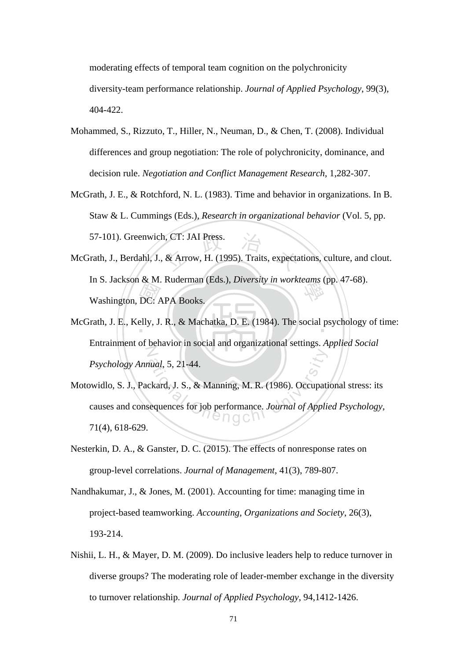moderating effects of temporal team cognition on the polychronicity diversity-team performance relationship. *Journal of Applied Psychology*, 99(3), 404-422.

- Mohammed, S., Rizzuto, T., Hiller, N., Neuman, D., & Chen, T. (2008). Individual differences and group negotiation: The role of polychronicity, dominance, and decision rule. *Negotiation and Conflict Management Research*, 1,282-307.
- McGrath, J. E., & Rotchford, N. L. (1983). Time and behavior in organizations. In B. Staw & L. Cummings (Eds.), *Research in organizational behavior* (Vol. 5, pp. 57-101). Greenwich, CT: JAI Press.
- $DC: A$ <br>elly, J. n, CT: JAI Press.<br>& Arrow, H. (1995). Traits, expecta In S. Jackson & M. Ruderman (Eds.), *Diversity in workteams* (pp. 47-68).<br>Washington, DC: APA Books. McGrath, J., Berdahl, J., & Arrow, H. (1995). Traits, expectations, culture, and clout. Washington, DC: APA Books.
- McGrath, J. E., Kelly, J. R., & Machatka, D. E. (1984). The social psychology of time: Z Entrainment of behavior in social and organizational settings. *Applied Social Psychology Annual*, 5, 21-44.
- ational, 5, 21-44.<br>
ckard, J. S., & Manning, M. R. (1986). Occupation<br>
equences for job performance. Journal of Applic Motowidlo, S. J., Packard, J. S., & Manning, M. R. (1986). Occupational stress: its causes and consequences for job performance. *Journal of Applied Psychology*, 71(4), 618-629.
- Nesterkin, D. A., & Ganster, D. C. (2015). The effects of nonresponse rates on group-level correlations. *Journal of Management*, 41(3), 789-807.
- Nandhakumar, J., & Jones, M. (2001). Accounting for time: managing time in project-based teamworking. *Accounting, Organizations and Society*, 26(3), 193-214.
- Nishii, L. H., & Mayer, D. M. (2009). Do inclusive leaders help to reduce turnover in diverse groups? The moderating role of leader-member exchange in the diversity to turnover relationship. *Journal of Applied Psychology*, 94,1412-1426.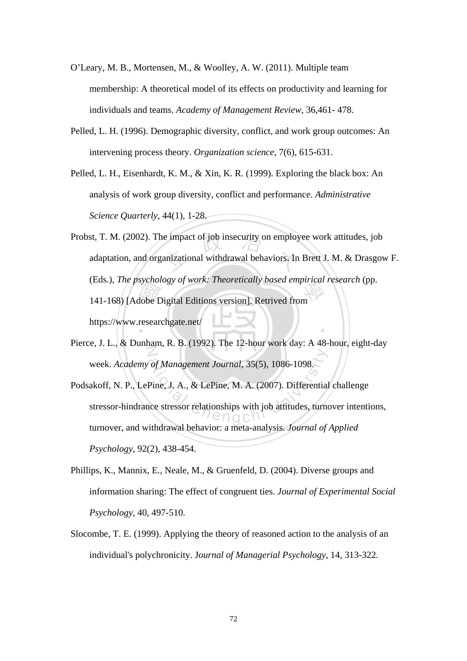- O'Leary, M. B., Mortensen, M., & Woolley, A. W. (2011). Multiple team membership: A theoretical model of its effects on productivity and learning for individuals and teams. *Academy of Management Review*, 36,461- 478.
- Pelled, L. H. (1996). Demographic diversity, conflict, and work group outcomes: An intervening process theory. *Organization science*, 7(6), 615-631.
- Pelled, L. H., Eisenhardt, K. M., & Xin, K. R. (1999). Exploring the black box: An analysis of work group diversity, conflict and performance. *Administrative Science Quarterly*, 44(1), 1-28.
- Maria<br>
dobe D<br>
resear Probst, T. M. (2002). The impact of job insecurity on employee work attitudes, job<br>adaptation, and organizational withdrawal behaviors. In Brett J. M. & Drasgov (Eds.), *The psychology of work: Theoretically based empirical research* (pp.<br>141-168) [Adobe Digital Editions version]. Retrived from ‧ adaptation, and organizational withdrawal behaviors. In Brett J. M. & Drasgow F. 141-168) [Adobe Digital Editions version]. Retrived from https://www.researchgate.net/
- N Pierce, J. L., & Dunham, R. B. (1992). The 12-hour work day: A 48-hour, eight-day week. *Academy of Management Journal*, 35(5), 1086-1098.
- of Management Journal, 35(5), 1086-1098<br>Pine, J. A., & LePine, M. A. (2007). Differential<br>ace stressor relationships with job attitudes, turned Podsakoff, N. P., LePine, J. A., & LePine, M. A. (2007). Differential challenge stressor-hindrance stressor relationships with job attitudes, turnover intentions, turnover, and withdrawal behavior: a meta-analysis. *Journal of Applied Psychology*, 92(2), 438-454.
- Phillips, K., Mannix, E., Neale, M., & Gruenfeld, D. (2004). Diverse groups and information sharing: The effect of congruent ties. *Journal of Experimental Social Psychology*, 40, 497-510.
- Slocombe, T. E. (1999). Applying the theory of reasoned action to the analysis of an individual's polychronicity. J*ournal of Managerial Psychology*, 14, 313-322.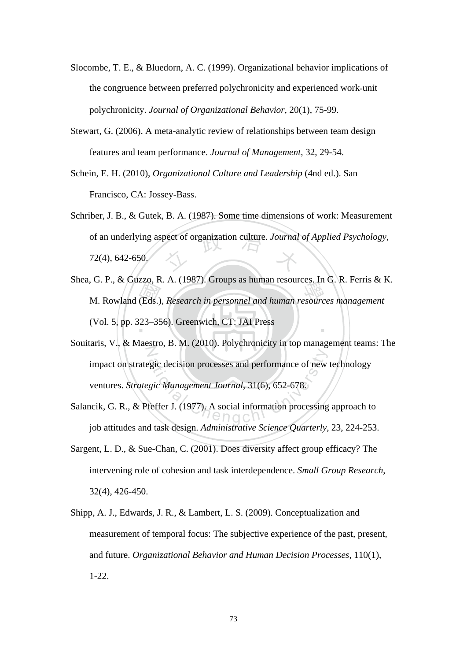- Slocombe, T. E., & Bluedorn, A. C. (1999). Organizational behavior implications of the congruence between preferred polychronicity and experienced work‐unit polychronicity. *Journal of Organizational Behavior*, 20(1), 75-99.
- Stewart, G. (2006). A meta-analytic review of relationships between team design features and team performance. *Journal of Management*, 32, 29-54.
- Schein, E. H. (2010), *Organizational Culture and Leadership* (4nd ed.). San Francisco, CA: Jossey-Bass.
- of an underlying aspect of organization culture. *Journal of Applied Psychology*,<br>72(4), 642-650, Schriber, J. B., & Gutek, B. A. (1987). Some time dimensions of work: Measurement 72(4), 642-650.
- M. Rowland (Eds.), *Research in personnel and human resources management* (Vol. 5, pp. 323–356). Greenwich, CT: JAI Press ‧ Shea, G. P., & Guzzo, R. A. (1987). Groups as human resources. In G. R. Ferris & K. (Vol. 5, pp. 323–356). Greenwich, CT: JAI Press
- $\overline{Z}$ gic decision processes and performance of new<br>gic Management Journal, 31(6), 652-678.<br>feffer J. (1977). A social information processing Souitaris, V., & Maestro, B. M. (2010). Polychronicity in top management teams: The impact on strategic decision processes and performance of new technology ventures. *Strategic Management Journal*, 31(6), 652-678.
- Salancik, G. R., & Pfeffer J. (1977). A social information processing approach to job attitudes and task design. *Administrative Science Quarterly*, 23, 224-253.
- Sargent, L. D., & Sue-Chan, C. (2001). Does diversity affect group efficacy? The intervening role of cohesion and task interdependence. *Small Group Research*, 32(4), 426-450.
- Shipp, A. J., Edwards, J. R., & Lambert, L. S. (2009). Conceptualization and measurement of temporal focus: The subjective experience of the past, present, and future. *Organizational Behavior and Human Decision Processes*, 110(1), 1-22.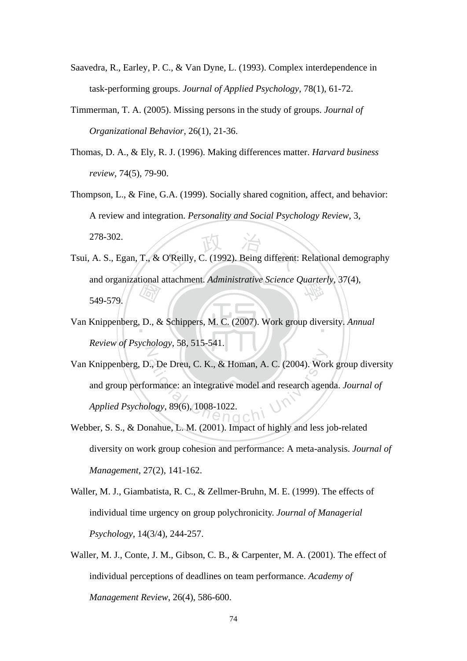- Saavedra, R., Earley, P. C., & Van Dyne, L. (1993). Complex interdependence in task-performing groups. *Journal of Applied Psychology*, 78(1), 61-72.
- Timmerman, T. A. (2005). Missing persons in the study of groups. *Journal of Organizational Behavior*, 26(1), 21-36.
- Thomas, D. A., & Ely, R. J. (1996). Making differences matter. *Harvard business review*, 74(5), 79-90.
- Thompson, L., & Fine, G.A. (1999). Socially shared cognition, affect, and behavior: A review and integration. *Personality and Social Psychology Review*, 3, 278-302.
- O'Reilly, C. (1992). Being different: and organizational attachment. *Administrative Science Quarterly*, 37(4), 549-579. Tsui, A. S., Egan, T., & O'Reilly, C. (1992). Being different: Relational demography 549-579.
- $\begin{array}{c}\n\hline\n\end{array}\n\begin{array}{c}\n\hline\n\end{array}\n\end{array}\n\quad \begin{array}{c}\n\hline\n\end{array}\n\quad \begin{array}{c}\n\hline\n\end{array}\n\quad \begin{array}{c}\n\hline\n\end{array}\n\end{array}\n\quad \begin{array}{c}\n\hline\n\end{array}\n\quad \begin{array}{c}\n\hline\n\end{array}\n\quad \begin{array}{c}\n\hline\n\end{array}\n\end{array}$ Van Knippenberg, D., & Schippers, M. C. (2007). Work group diversity. *Annual* N *Review of Psychology*, 58, 515-541.
- ation De Dreu, C. K., & Homan, A. C. (2004). Work<br>
France: an integrative model and research agen<br>
logy, 89(6), 1008-1022. Van Knippenberg, D., De Dreu, C. K., & Homan, A. C. (2004). Work group diversity and group performance: an integrative model and research agenda. *Journal of Applied Psychology*, 89(6), 1008-1022.
- Webber, S. S., & Donahue, L. M. (2001). Impact of highly and less job-related diversity on work group cohesion and performance: A meta-analysis. *Journal of Management*, 27(2), 141-162.
- Waller, M. J., Giambatista, R. C., & Zellmer-Bruhn, M. E. (1999). The effects of individual time urgency on group polychronicity. *Journal of Managerial Psychology*, 14(3/4), 244-257.
- Waller, M. J., Conte, J. M., Gibson, C. B., & Carpenter, M. A. (2001). The effect of individual perceptions of deadlines on team performance. *Academy of Management Review*, 26(4), 586-600.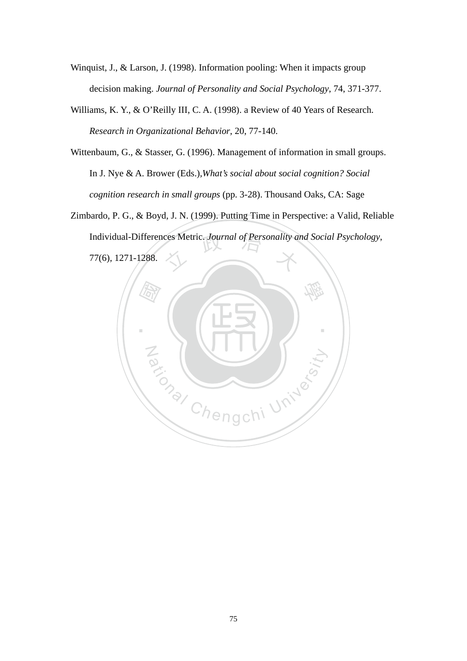- Winquist, J., & Larson, J. (1998). Information pooling: When it impacts group decision making. *Journal of Personality and Social Psychology*, 74, 371-377.
- Williams, K. Y., & O'Reilly III, C. A. (1998). a Review of 40 Years of Research. *Research in Organizational Behavior*, 20, 77-140.
- Wittenbaum, G., & Stasser, G. (1996). Management of information in small groups. In J. Nye & A. Brower (Eds.),*What's social about social cognition? Social cognition research in small groups* (pp. 3-28). Thousand Oaks, CA: Sage
- Individual-Differences Metric. *Journal of Personality and Social Psychology*,<br>77(6), 1271-1288. Zimbardo, P. G., & Boyd, J. N. (1999). Putting Time in Perspective: a Valid, Reliable 77(6), 1271-1288.

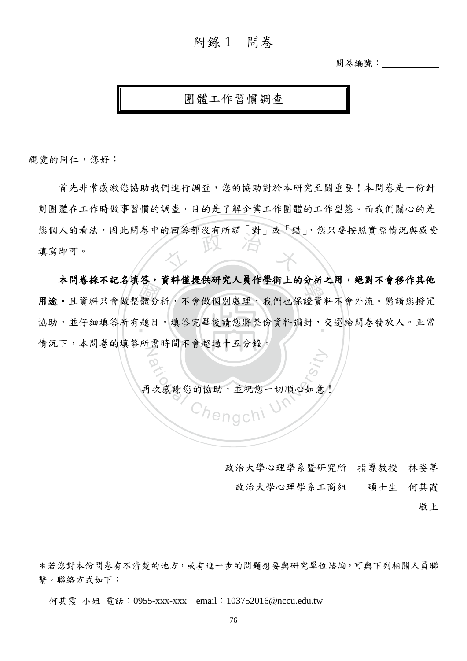## 附錄 1 問卷

問卷編號:

## 團體工作習慣調查

親愛的同仁,您好:

文 首先非常感激您協助我們進行調查,您的協助對於本研究至關重要!本問卷是一份針 對團體在工作時做事習慣的調查,目的是了解企業工作團體的工作型態。而我們關心的是 您個人的看法,因此問卷中的回答都沒有所謂「對」或「錯」,您只要按照實際情況與感受 填寫即可。

一體 題 : A P TO O THE A IS A THE A THAT A R THE A THAT A L H T M Z H T THAT THAT A THAT TH<br>用途。且資料只會做整體分析,不會做個別處理,我們也保證資料不會外流。懇請您撥冗 協助,並仔細填答所有題目。填答完畢後請您將整份資料彌封,交還給問卷發放人。正常 N 本問卷採不記名填答,資料僅提供研究人員作學術上的分析之用,絕對不會移作其他 情況下,本問卷的填答所需時間不會超過十五分鐘。

dation<br>|次感謝您的協助,並祝您一切順心如意<br>|次感謝您的協助,並祝您一切順心如意 再次感謝您的協助,並祝您一切順心如意!

- 政治大學心理學系暨研究所 指導教授 林姿葶
	- 政治大學心理學系工商組 碩士生 何其霞
		- 敬上

\*若您對本份問卷有不清楚的地方,或有進一步的問題想要與研究單位諮詢,可與下列相關人員聯 繫。聯絡方式如下:

何其霞 小姐 電話:0955-xxx-xxx email:103752016@nccu.edu.tw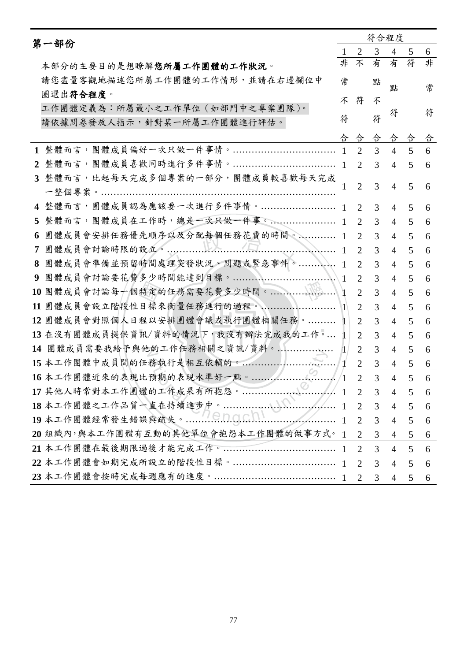| 第一部份           |                                      |              | 符合程度                        |                |                |                 |   |
|----------------|--------------------------------------|--------------|-----------------------------|----------------|----------------|-----------------|---|
|                |                                      | 1            | $\overline{2}$              | 3              | $\overline{4}$ | 5               | 6 |
|                | 本部分的主要目的是想瞭解您所屬工作團體的工作狀況。            | 非            | 不                           | 有              | 有              | 符               | 非 |
|                | 請您盡量客觀地描述您所屬工作團體的工作情形,並請在右邊欄位中       | 常            |                             | 點              | 點              |                 | 常 |
|                | 圈選出符合程度。                             | 不            | 符                           | 不              |                |                 |   |
|                | 工作團體定義為:所屬最小之工作單位 (如部門中之專案團隊)。       |              |                             |                | 符              |                 | 符 |
|                | 請依據問卷發放人指示,針對某一所屬工作團體進行評估。           | 符            |                             | 符              |                |                 |   |
|                |                                      | 合            | 合                           | 合              | 合              | 合               | 合 |
|                |                                      |              | 2                           | 3              | $\overline{4}$ | 5               | 6 |
| $\mathbf{2}$   |                                      |              | $\mathcal{D}_{\mathcal{L}}$ | 3              | $\overline{4}$ | 5               | 6 |
|                | 3 整體而言,比起每天完成多個專案的一部分,團體成員較喜歡每天完成    |              | $\overline{2}$              | 3              | $\overline{4}$ | 5               | 6 |
|                |                                      |              |                             |                |                |                 |   |
|                | 4 整體而言,團體成員認為應該要一次進行多件事情。 1          |              | 2                           | 3              | 4              | 5               | 6 |
| 5 <sup>5</sup> | 整體而言,團體成員在工作時,總是一次只做一件事。 1           |              | 2                           | 3              | $\overline{4}$ | 5               | 6 |
| 6              | 團體成員會安排任務優先順序以及分配每個任務花費的時間。 1        |              | 2                           | 3              | $\overline{4}$ | 5               | 6 |
| 7              | <b>NA</b> 1                          |              | 2                           | 3              | $\overline{4}$ | 5               | 6 |
| 8              | 團體成員會準備並預留時間處理突發狀況、問題或緊急事件。          | $\mathbf{1}$ | 2                           | 3              | $\overline{4}$ | 5               | 6 |
| 9              | 團體成員會討論要花費多少時間能達到目標。                 | -1           | 2                           | 3              | $\overline{4}$ | 5               | 6 |
|                |                                      |              | 2                           | 3              | $\overline{4}$ | 5               | 6 |
|                | 11 團體成員會設立階段性目標來衡量任務進行的過程。 ……………………  | $\vert$ 1    | 2                           | 3              | $\overline{4}$ | 5               | 6 |
|                | 12團體成員會對照個人日程以安排團體會議或執行團體相關任務。       |              | $\overline{2}$              | 3              | $\overline{4}$ | 5               | 6 |
|                | 13 在沒有團體成員提供資訊/資料的情況下,我沒有辦法完成我的工作。   |              | 2                           | 3              | $\overline{4}$ | 5               | 6 |
| 14             | 團體成員需要我給予與他的工作任務相關之資訊/資料。            | Л            | 2                           | 3              | 4              | 5               | 6 |
|                | 15 本工作團體中成員間的任務執行是相互依賴的。             |              | 2                           | 3              | 4              | 5               | 6 |
|                | S<br>16本工作團體近來的表現比預期的表現水準好一點。        |              | $\mathcal{D}$               | $\mathcal{F}$  | 4              | 5 <sup>7</sup>  | 6 |
|                | 17 其他人時常對本工作團體的工作成果有所抱怨。             |              | $\overline{2}$              | $\overline{3}$ | $\overline{4}$ | 5               | 6 |
|                |                                      |              | $\overline{2}$              | $\overline{3}$ | $\overline{4}$ | $5\overline{)}$ | 6 |
|                |                                      |              | $\overline{2}$              | $\overline{3}$ | $\overline{4}$ | 5 <sup>5</sup>  | 6 |
|                | 20 組織內,與本工作團體有互動的其他單位會抱怨本工作團體的做事方式。1 |              | $\overline{2}$              | $\mathfrak{Z}$ | $\overline{4}$ | 5               | 6 |
|                |                                      |              | $\overline{2}$              | 3              | $\overline{4}$ | $5\overline{)}$ | 6 |
|                |                                      |              | $\overline{2}$              | $\overline{3}$ | $\overline{4}$ | 5               | 6 |
|                |                                      |              | 2                           | 3              | 4              | 5               | 6 |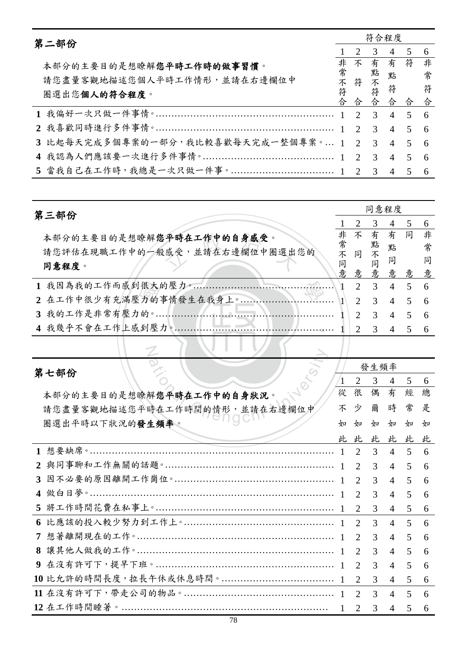|  | 第二部份                                         |   | 符合程度 |                |                |     |     |  |  |  |
|--|----------------------------------------------|---|------|----------------|----------------|-----|-----|--|--|--|
|  |                                              |   | 2    | $\overline{3}$ | $\overline{4}$ | 5   | 6   |  |  |  |
|  | 本部分的主要目的是想瞭解您平時工作時的做事習慣。                     | 非 | 不    |                | 有有符            |     | 非   |  |  |  |
|  | 請您盡量客觀地描述您個人平時工作情形,並請在右邊欄位中                  |   |      |                | 點              |     | 常   |  |  |  |
|  | 圈選出您個人的符合程度。                                 |   |      |                |                | 符 符 |     |  |  |  |
|  |                                              | 合 | 合    | 合合合            |                |     | 合   |  |  |  |
|  |                                              |   |      |                |                |     | -6  |  |  |  |
|  |                                              |   |      |                |                |     | - 6 |  |  |  |
|  | 3 比起每天完成多個專案的一部分,我比較喜歡每天完成一整個專案。 1 2 3 4 5 6 |   |      |                |                |     |     |  |  |  |
|  |                                              |   |      |                |                |     | - 6 |  |  |  |
|  |                                              |   |      |                |                |     | -6  |  |  |  |

| 第三部份                               |   | 同意程度                        |                          |                |       |     |  |
|------------------------------------|---|-----------------------------|--------------------------|----------------|-------|-----|--|
|                                    |   |                             | 3                        | $\overline{4}$ |       | 6   |  |
| 本部分的主要目的是想瞭解您平時在工作中的自身感受。          | 非 | 不                           |                          | 有有同            |       | 非   |  |
| 請您評估在現職工作中的一般感受,並請在右邊欄位中圈選出您的      |   |                             |                          |                | 點 常   |     |  |
| 同意程度。                              |   |                             |                          |                |       | 同   |  |
|                                    | 意 |                             |                          |                | 意意意意意 |     |  |
| 1 我因為我的工作而感到很大的壓力。………………………………………… |   | $\mathcal{D}$               | 3 4 5                    |                |       | - 6 |  |
|                                    |   | $\overline{2}$              | 3 4 5                    |                |       | - 6 |  |
|                                    |   | $\mathcal{D}_{\mathcal{L}}$ | $\overline{\mathcal{E}}$ | $4 \quad 5$    |       | - 6 |  |
|                                    |   | $\mathcal{D}_{\mathcal{L}}$ | $\mathcal{R}$            | $\overline{4}$ | 5     |     |  |
|                                    |   |                             |                          |                |       |     |  |

N

**bending at the Chengchi University**<br>解您平時在工作中的自身狀況。<br>時在工作時間的情形,並請在右邊欄位中<br>生媚率。 發生頻率 第七部份  $\sqrt{1}$ 23456從 很 偶 有 經 總 本部分的主要目的是想瞭解您平時在工作中的自身狀況。 很少如此 有時如此 經常如此 不 少 爾 時 常 是 請您盡量客觀地描述您平時在工作時間的情形,並請在右邊欄位中 圈選出平時以下狀況的發生頻率。  $4<sub>0</sub>$  $4<sub>U</sub>$  $4<sub>0</sub>$  $4<sub>U</sub>$  $4<sub>U</sub>$  $4<sub>U</sub>$ 此 此 此 此 此 此 1 想要缺席。………………………………………………………………………… 1 2 3 4 5 6 **2** 與同事聊和工作無關的話題。……………………………………………… 1 2 3 4 5 6 **3** 因不必要的原因離開工作崗位。…………………………………………… 1 2 3 4 5 6 **4** 做白日夢。…………………………………………………………………… 1 2 3 4 5 6 **5** 將工作時間花費在私事上。………………………………………………… 1 2 3 4 5 6 **6** 比應該的投入較少努力到工作上。………………………………………… 1 2 3 4 5 6 **7** 想著離開現在的工作。……………………………………………………… 1 2 3 4 5 6 **8** 讓其他人做我的工作。……………………………………………………… 1 2 3 4 5 6 **9** 在沒有許可下,提早下班。………………………………………………… 1 2 3 4 5 6 **10** 比允許的時間長度,拉長午休或休息時間。……………………………… 1 2 3 4 5 6 **11** 在沒有許可下,帶走公司的物品。………………………………………… 1 2 3 4 5 6 **12** 在工作時間睡著。………………………………………………………… 1 2 3 4 5 6